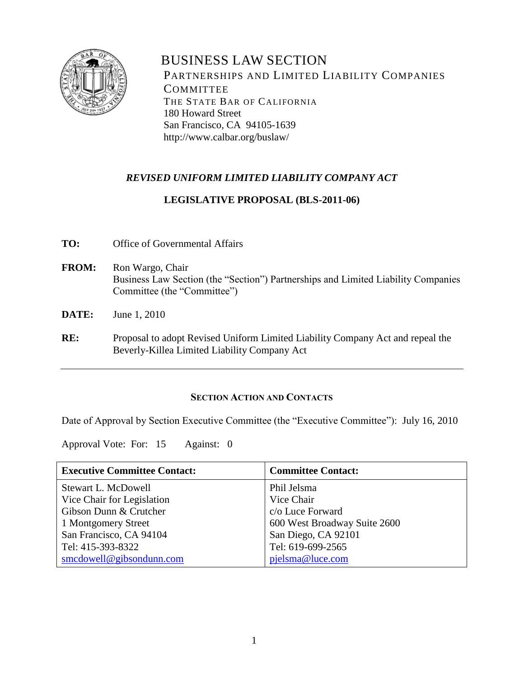

 BUSINESS LAW SECTION PARTNERSHIPS AND LIMITED LIABILITY COMPANIES **COMMITTEE** THE STATE BAR OF CALIFORNIA 180 Howard Street San Francisco, CA 94105-1639 http://www.calbar.org/buslaw/

## *REVISED UNIFORM LIMITED LIABILITY COMPANY ACT*

### **LEGISLATIVE PROPOSAL (BLS-2011-06)**

- **TO:** Office of Governmental Affairs
- **FROM:** Ron Wargo, Chair Business Law Section (the "Section") Partnerships and Limited Liability Companies Committee (the "Committee")
- **DATE:** June 1, 2010
- **RE:** Proposal to adopt Revised Uniform Limited Liability Company Act and repeal the Beverly-Killea Limited Liability Company Act

### **SECTION ACTION AND CONTACTS**

Date of Approval by Section Executive Committee (the "Executive Committee"): July 16, 2010

Approval Vote: For: 15 Against: 0

| <b>Executive Committee Contact:</b> | <b>Committee Contact:</b>    |
|-------------------------------------|------------------------------|
| Stewart L. McDowell                 | Phil Jelsma                  |
| Vice Chair for Legislation          | Vice Chair                   |
| Gibson Dunn & Crutcher              | c/o Luce Forward             |
| 1 Montgomery Street                 | 600 West Broadway Suite 2600 |
| San Francisco, CA 94104             | San Diego, CA 92101          |
| Tel: 415-393-8322                   | Tel: 619-699-2565            |
| $s$ mcdowell@gibsondunn.com         | pjelsma@luce.com             |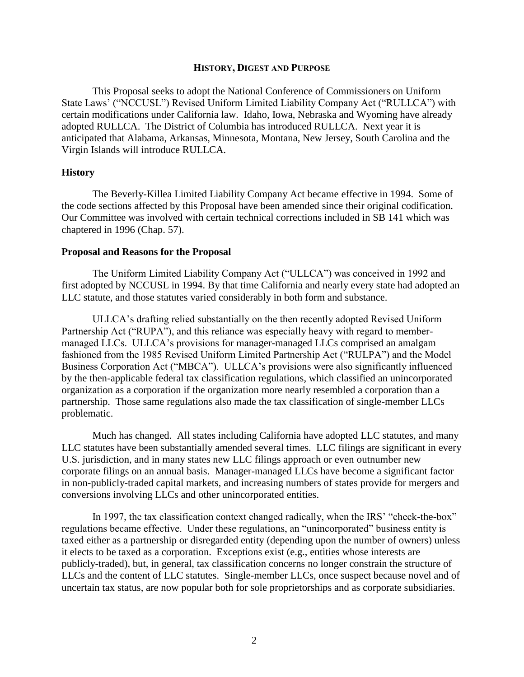#### **HISTORY, DIGEST AND PURPOSE**

This Proposal seeks to adopt the National Conference of Commissioners on Uniform State Laws' ("NCCUSL") Revised Uniform Limited Liability Company Act ("RULLCA") with certain modifications under California law. Idaho, Iowa, Nebraska and Wyoming have already adopted RULLCA. The District of Columbia has introduced RULLCA. Next year it is anticipated that Alabama, Arkansas, Minnesota, Montana, New Jersey, South Carolina and the Virgin Islands will introduce RULLCA.

### **History**

The Beverly-Killea Limited Liability Company Act became effective in 1994. Some of the code sections affected by this Proposal have been amended since their original codification. Our Committee was involved with certain technical corrections included in SB 141 which was chaptered in 1996 (Chap. 57).

#### **Proposal and Reasons for the Proposal**

The Uniform Limited Liability Company Act ("ULLCA") was conceived in 1992 and first adopted by NCCUSL in 1994. By that time California and nearly every state had adopted an LLC statute, and those statutes varied considerably in both form and substance.

ULLCA's drafting relied substantially on the then recently adopted Revised Uniform Partnership Act ("RUPA"), and this reliance was especially heavy with regard to membermanaged LLCs. ULLCA's provisions for manager-managed LLCs comprised an amalgam fashioned from the 1985 Revised Uniform Limited Partnership Act ("RULPA") and the Model Business Corporation Act ("MBCA"). ULLCA's provisions were also significantly influenced by the then-applicable federal tax classification regulations, which classified an unincorporated organization as a corporation if the organization more nearly resembled a corporation than a partnership. Those same regulations also made the tax classification of single-member LLCs problematic.

Much has changed. All states including California have adopted LLC statutes, and many LLC statutes have been substantially amended several times. LLC filings are significant in every U.S. jurisdiction, and in many states new LLC filings approach or even outnumber new corporate filings on an annual basis. Manager-managed LLCs have become a significant factor in non-publicly-traded capital markets, and increasing numbers of states provide for mergers and conversions involving LLCs and other unincorporated entities.

In 1997, the tax classification context changed radically, when the IRS' "check-the-box" regulations became effective. Under these regulations, an "unincorporated" business entity is taxed either as a partnership or disregarded entity (depending upon the number of owners) unless it elects to be taxed as a corporation. Exceptions exist (e.g., entities whose interests are publicly-traded), but, in general, tax classification concerns no longer constrain the structure of LLCs and the content of LLC statutes. Single-member LLCs, once suspect because novel and of uncertain tax status, are now popular both for sole proprietorships and as corporate subsidiaries.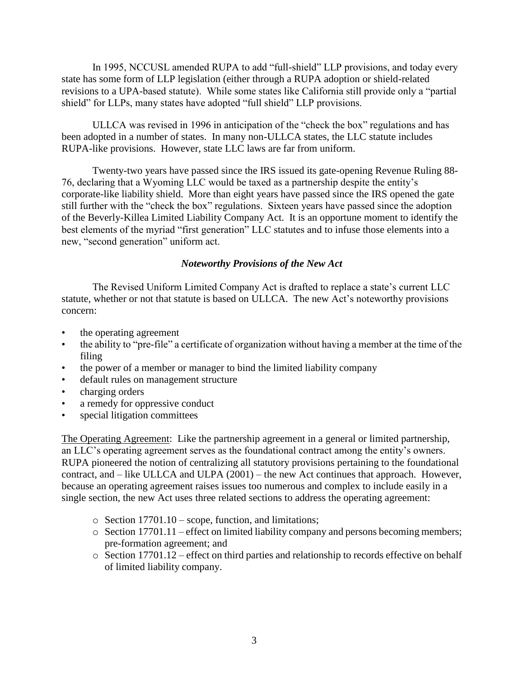In 1995, NCCUSL amended RUPA to add "full-shield" LLP provisions, and today every state has some form of LLP legislation (either through a RUPA adoption or shield-related revisions to a UPA-based statute). While some states like California still provide only a "partial shield" for LLPs, many states have adopted "full shield" LLP provisions.

ULLCA was revised in 1996 in anticipation of the "check the box" regulations and has been adopted in a number of states. In many non-ULLCA states, the LLC statute includes RUPA-like provisions. However, state LLC laws are far from uniform.

Twenty-two years have passed since the IRS issued its gate-opening Revenue Ruling 88- 76, declaring that a Wyoming LLC would be taxed as a partnership despite the entity's corporate-like liability shield. More than eight years have passed since the IRS opened the gate still further with the "check the box" regulations. Sixteen years have passed since the adoption of the Beverly-Killea Limited Liability Company Act. It is an opportune moment to identify the best elements of the myriad "first generation" LLC statutes and to infuse those elements into a new, "second generation" uniform act.

### *Noteworthy Provisions of the New Act*

The Revised Uniform Limited Company Act is drafted to replace a state's current LLC statute, whether or not that statute is based on ULLCA. The new Act's noteworthy provisions concern:

- the operating agreement
- the ability to "pre-file" a certificate of organization without having a member at the time of the filing
- the power of a member or manager to bind the limited liability company
- default rules on management structure
- charging orders
- a remedy for oppressive conduct
- special litigation committees

The Operating Agreement: Like the partnership agreement in a general or limited partnership, an LLC's operating agreement serves as the foundational contract among the entity's owners. RUPA pioneered the notion of centralizing all statutory provisions pertaining to the foundational contract, and – like ULLCA and ULPA (2001) – the new Act continues that approach. However, because an operating agreement raises issues too numerous and complex to include easily in a single section, the new Act uses three related sections to address the operating agreement:

- o Section 17701.10 scope, function, and limitations;
- o Section 17701.11 effect on limited liability company and persons becoming members; pre-formation agreement; and
- o Section 17701.12 effect on third parties and relationship to records effective on behalf of limited liability company.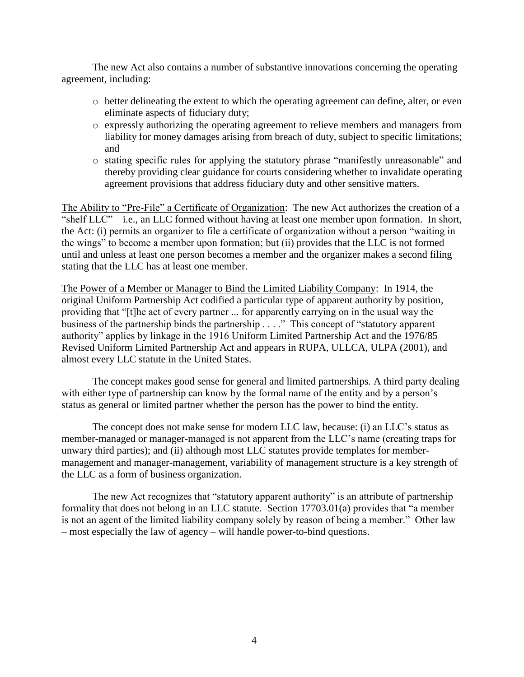The new Act also contains a number of substantive innovations concerning the operating agreement, including:

- o better delineating the extent to which the operating agreement can define, alter, or even eliminate aspects of fiduciary duty;
- o expressly authorizing the operating agreement to relieve members and managers from liability for money damages arising from breach of duty, subject to specific limitations; and
- o stating specific rules for applying the statutory phrase "manifestly unreasonable" and thereby providing clear guidance for courts considering whether to invalidate operating agreement provisions that address fiduciary duty and other sensitive matters.

The Ability to "Pre-File" a Certificate of Organization: The new Act authorizes the creation of a "shelf LLC" – i.e., an LLC formed without having at least one member upon formation. In short, the Act: (i) permits an organizer to file a certificate of organization without a person "waiting in the wings" to become a member upon formation; but (ii) provides that the LLC is not formed until and unless at least one person becomes a member and the organizer makes a second filing stating that the LLC has at least one member.

The Power of a Member or Manager to Bind the Limited Liability Company: In 1914, the original Uniform Partnership Act codified a particular type of apparent authority by position, providing that "[t]he act of every partner ... for apparently carrying on in the usual way the business of the partnership binds the partnership ...." This concept of "statutory apparent authority" applies by linkage in the 1916 Uniform Limited Partnership Act and the 1976/85 Revised Uniform Limited Partnership Act and appears in RUPA, ULLCA, ULPA (2001), and almost every LLC statute in the United States.

The concept makes good sense for general and limited partnerships. A third party dealing with either type of partnership can know by the formal name of the entity and by a person's status as general or limited partner whether the person has the power to bind the entity.

The concept does not make sense for modern LLC law, because: (i) an LLC's status as member-managed or manager-managed is not apparent from the LLC's name (creating traps for unwary third parties); and (ii) although most LLC statutes provide templates for membermanagement and manager-management, variability of management structure is a key strength of the LLC as a form of business organization.

The new Act recognizes that "statutory apparent authority" is an attribute of partnership formality that does not belong in an LLC statute. Section 17703.01(a) provides that "a member is not an agent of the limited liability company solely by reason of being a member." Other law – most especially the law of agency – will handle power-to-bind questions.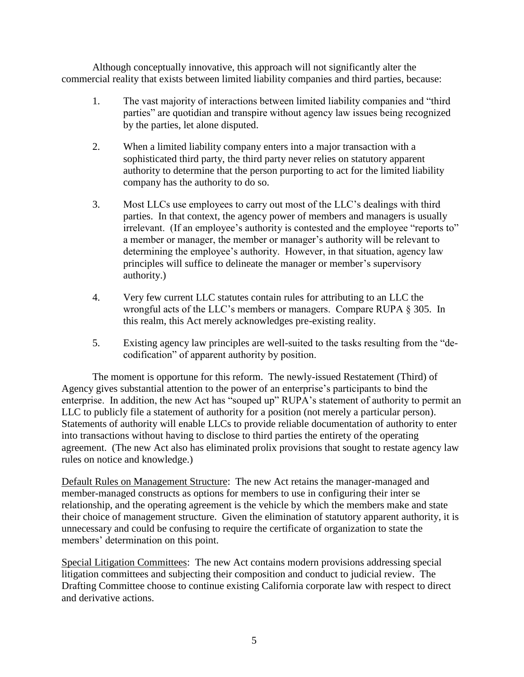Although conceptually innovative, this approach will not significantly alter the commercial reality that exists between limited liability companies and third parties, because:

- 1. The vast majority of interactions between limited liability companies and "third parties" are quotidian and transpire without agency law issues being recognized by the parties, let alone disputed.
- 2. When a limited liability company enters into a major transaction with a sophisticated third party, the third party never relies on statutory apparent authority to determine that the person purporting to act for the limited liability company has the authority to do so.
- 3. Most LLCs use employees to carry out most of the LLC's dealings with third parties. In that context, the agency power of members and managers is usually irrelevant. (If an employee's authority is contested and the employee "reports to" a member or manager, the member or manager's authority will be relevant to determining the employee's authority. However, in that situation, agency law principles will suffice to delineate the manager or member's supervisory authority.)
- 4. Very few current LLC statutes contain rules for attributing to an LLC the wrongful acts of the LLC's members or managers. Compare RUPA § 305. In this realm, this Act merely acknowledges pre-existing reality.
- 5. Existing agency law principles are well-suited to the tasks resulting from the "decodification" of apparent authority by position.

The moment is opportune for this reform. The newly-issued Restatement (Third) of Agency gives substantial attention to the power of an enterprise's participants to bind the enterprise. In addition, the new Act has "souped up" RUPA's statement of authority to permit an LLC to publicly file a statement of authority for a position (not merely a particular person). Statements of authority will enable LLCs to provide reliable documentation of authority to enter into transactions without having to disclose to third parties the entirety of the operating agreement. (The new Act also has eliminated prolix provisions that sought to restate agency law rules on notice and knowledge.)

Default Rules on Management Structure: The new Act retains the manager-managed and member-managed constructs as options for members to use in configuring their inter se relationship, and the operating agreement is the vehicle by which the members make and state their choice of management structure. Given the elimination of statutory apparent authority, it is unnecessary and could be confusing to require the certificate of organization to state the members' determination on this point.

Special Litigation Committees: The new Act contains modern provisions addressing special litigation committees and subjecting their composition and conduct to judicial review. The Drafting Committee choose to continue existing California corporate law with respect to direct and derivative actions.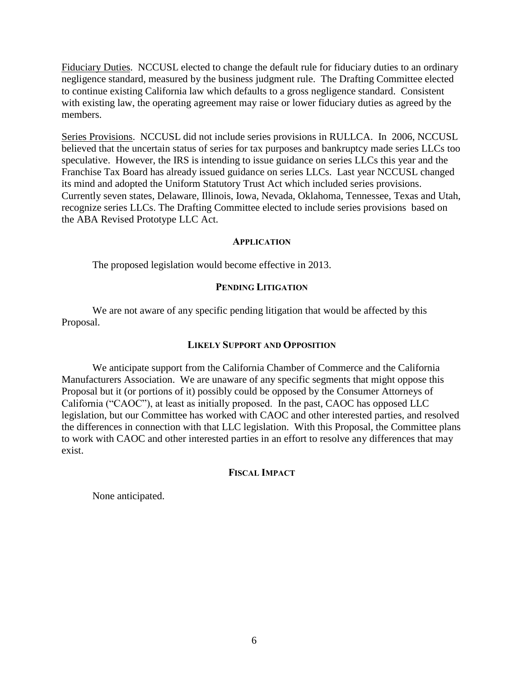Fiduciary Duties. NCCUSL elected to change the default rule for fiduciary duties to an ordinary negligence standard, measured by the business judgment rule. The Drafting Committee elected to continue existing California law which defaults to a gross negligence standard. Consistent with existing law, the operating agreement may raise or lower fiduciary duties as agreed by the members.

Series Provisions. NCCUSL did not include series provisions in RULLCA. In 2006, NCCUSL believed that the uncertain status of series for tax purposes and bankruptcy made series LLCs too speculative. However, the IRS is intending to issue guidance on series LLCs this year and the Franchise Tax Board has already issued guidance on series LLCs. Last year NCCUSL changed its mind and adopted the Uniform Statutory Trust Act which included series provisions. Currently seven states, Delaware, Illinois, Iowa, Nevada, Oklahoma, Tennessee, Texas and Utah, recognize series LLCs. The Drafting Committee elected to include series provisions based on the ABA Revised Prototype LLC Act.

#### **APPLICATION**

The proposed legislation would become effective in 2013.

### **PENDING LITIGATION**

We are not aware of any specific pending litigation that would be affected by this Proposal.

#### **LIKELY SUPPORT AND OPPOSITION**

We anticipate support from the California Chamber of Commerce and the California Manufacturers Association. We are unaware of any specific segments that might oppose this Proposal but it (or portions of it) possibly could be opposed by the Consumer Attorneys of California ("CAOC"), at least as initially proposed. In the past, CAOC has opposed LLC legislation, but our Committee has worked with CAOC and other interested parties, and resolved the differences in connection with that LLC legislation. With this Proposal, the Committee plans to work with CAOC and other interested parties in an effort to resolve any differences that may exist.

### **FISCAL IMPACT**

None anticipated.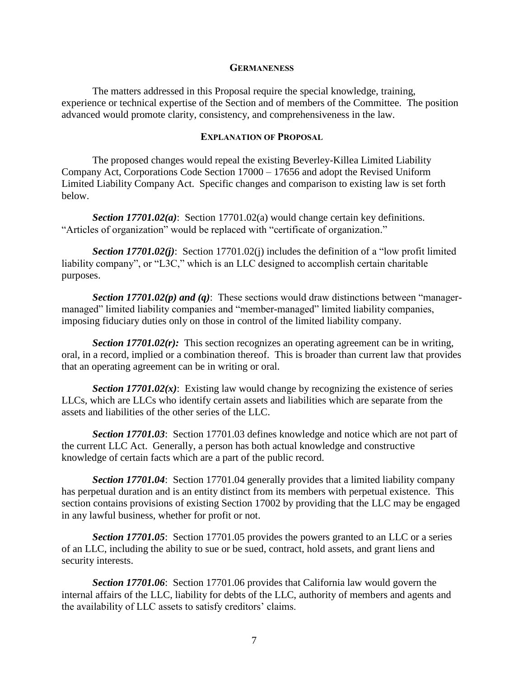#### **GERMANENESS**

The matters addressed in this Proposal require the special knowledge, training, experience or technical expertise of the Section and of members of the Committee. The position advanced would promote clarity, consistency, and comprehensiveness in the law.

#### **EXPLANATION OF PROPOSAL**

The proposed changes would repeal the existing Beverley-Killea Limited Liability Company Act, Corporations Code Section 17000 – 17656 and adopt the Revised Uniform Limited Liability Company Act. Specific changes and comparison to existing law is set forth below.

*Section 17701.02(a)*: Section 17701.02(a) would change certain key definitions. "Articles of organization" would be replaced with "certificate of organization."

*Section 17701.02(j)*: Section 17701.02(j) includes the definition of a "low profit limited liability company", or "L3C," which is an LLC designed to accomplish certain charitable purposes.

*Section 17701.02(p) and (q)*: These sections would draw distinctions between "managermanaged" limited liability companies and "member-managed" limited liability companies, imposing fiduciary duties only on those in control of the limited liability company.

*Section 17701.02(r)*: This section recognizes an operating agreement can be in writing, oral, in a record, implied or a combination thereof. This is broader than current law that provides that an operating agreement can be in writing or oral.

*Section 17701.02(x)*: Existing law would change by recognizing the existence of series LLCs, which are LLCs who identify certain assets and liabilities which are separate from the assets and liabilities of the other series of the LLC.

*Section 17701.03*: Section 17701.03 defines knowledge and notice which are not part of the current LLC Act. Generally, a person has both actual knowledge and constructive knowledge of certain facts which are a part of the public record.

*Section 17701.04*: Section 17701.04 generally provides that a limited liability company has perpetual duration and is an entity distinct from its members with perpetual existence. This section contains provisions of existing Section 17002 by providing that the LLC may be engaged in any lawful business, whether for profit or not.

*Section 17701.05*: Section 17701.05 provides the powers granted to an LLC or a series of an LLC, including the ability to sue or be sued, contract, hold assets, and grant liens and security interests.

*Section 17701.06*: Section 17701.06 provides that California law would govern the internal affairs of the LLC, liability for debts of the LLC, authority of members and agents and the availability of LLC assets to satisfy creditors' claims.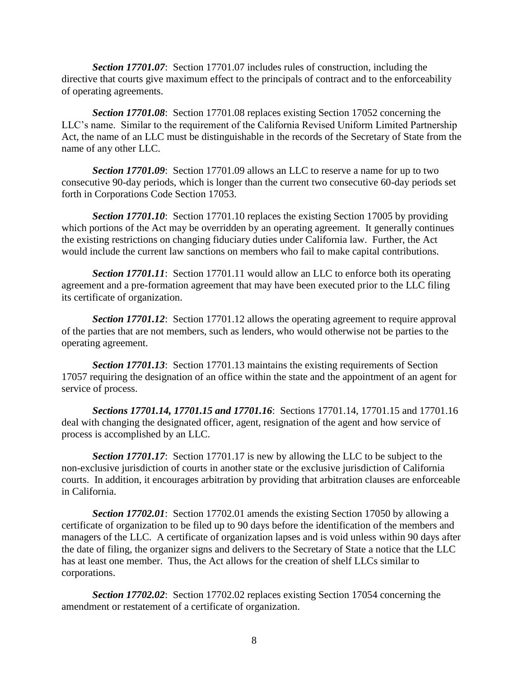*Section 17701.07*: Section 17701.07 includes rules of construction, including the directive that courts give maximum effect to the principals of contract and to the enforceability of operating agreements.

*Section 17701.08*: Section 17701.08 replaces existing Section 17052 concerning the LLC's name. Similar to the requirement of the California Revised Uniform Limited Partnership Act, the name of an LLC must be distinguishable in the records of the Secretary of State from the name of any other LLC.

*Section 17701.09*: Section 17701.09 allows an LLC to reserve a name for up to two consecutive 90-day periods, which is longer than the current two consecutive 60-day periods set forth in Corporations Code Section 17053.

*Section 17701.10*: Section 17701.10 replaces the existing Section 17005 by providing which portions of the Act may be overridden by an operating agreement. It generally continues the existing restrictions on changing fiduciary duties under California law. Further, the Act would include the current law sanctions on members who fail to make capital contributions.

*Section 17701.11*: Section 17701.11 would allow an LLC to enforce both its operating agreement and a pre-formation agreement that may have been executed prior to the LLC filing its certificate of organization.

*Section 17701.12*: Section 17701.12 allows the operating agreement to require approval of the parties that are not members, such as lenders, who would otherwise not be parties to the operating agreement.

*Section 17701.13*: Section 17701.13 maintains the existing requirements of Section 17057 requiring the designation of an office within the state and the appointment of an agent for service of process.

*Sections 17701.14, 17701.15 and 17701.16*: Sections 17701.14, 17701.15 and 17701.16 deal with changing the designated officer, agent, resignation of the agent and how service of process is accomplished by an LLC.

*Section 17701.17*: Section 17701.17 is new by allowing the LLC to be subject to the non-exclusive jurisdiction of courts in another state or the exclusive jurisdiction of California courts. In addition, it encourages arbitration by providing that arbitration clauses are enforceable in California.

*Section 17702.01*: Section 17702.01 amends the existing Section 17050 by allowing a certificate of organization to be filed up to 90 days before the identification of the members and managers of the LLC. A certificate of organization lapses and is void unless within 90 days after the date of filing, the organizer signs and delivers to the Secretary of State a notice that the LLC has at least one member. Thus, the Act allows for the creation of shelf LLCs similar to corporations.

*Section 17702.02*: Section 17702.02 replaces existing Section 17054 concerning the amendment or restatement of a certificate of organization.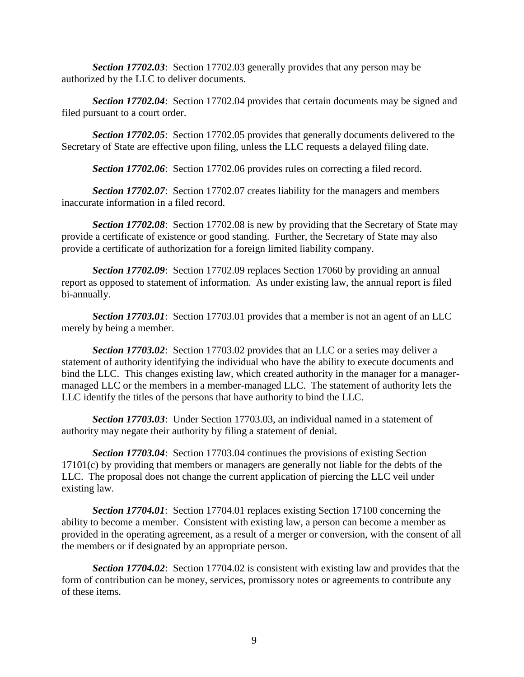*Section 17702.03*: Section 17702.03 generally provides that any person may be authorized by the LLC to deliver documents.

*Section 17702.04*: Section 17702.04 provides that certain documents may be signed and filed pursuant to a court order.

*Section 17702.05*: Section 17702.05 provides that generally documents delivered to the Secretary of State are effective upon filing, unless the LLC requests a delayed filing date.

*Section 17702.06*: Section 17702.06 provides rules on correcting a filed record.

*Section 17702.07*: Section 17702.07 creates liability for the managers and members inaccurate information in a filed record.

**Section 17702.08**: Section 17702.08 is new by providing that the Secretary of State may provide a certificate of existence or good standing. Further, the Secretary of State may also provide a certificate of authorization for a foreign limited liability company.

*Section 17702.09*: Section 17702.09 replaces Section 17060 by providing an annual report as opposed to statement of information. As under existing law, the annual report is filed bi-annually.

**Section 17703.01**: Section 17703.01 provides that a member is not an agent of an LLC merely by being a member.

*Section 17703.02*: Section 17703.02 provides that an LLC or a series may deliver a statement of authority identifying the individual who have the ability to execute documents and bind the LLC. This changes existing law, which created authority in the manager for a managermanaged LLC or the members in a member-managed LLC. The statement of authority lets the LLC identify the titles of the persons that have authority to bind the LLC.

*Section 17703.03*: Under Section 17703.03, an individual named in a statement of authority may negate their authority by filing a statement of denial.

*Section 17703.04*: Section 17703.04 continues the provisions of existing Section 17101(c) by providing that members or managers are generally not liable for the debts of the LLC. The proposal does not change the current application of piercing the LLC veil under existing law.

*Section 17704.01*: Section 17704.01 replaces existing Section 17100 concerning the ability to become a member. Consistent with existing law, a person can become a member as provided in the operating agreement, as a result of a merger or conversion, with the consent of all the members or if designated by an appropriate person.

*Section 17704.02*: Section 17704.02 is consistent with existing law and provides that the form of contribution can be money, services, promissory notes or agreements to contribute any of these items.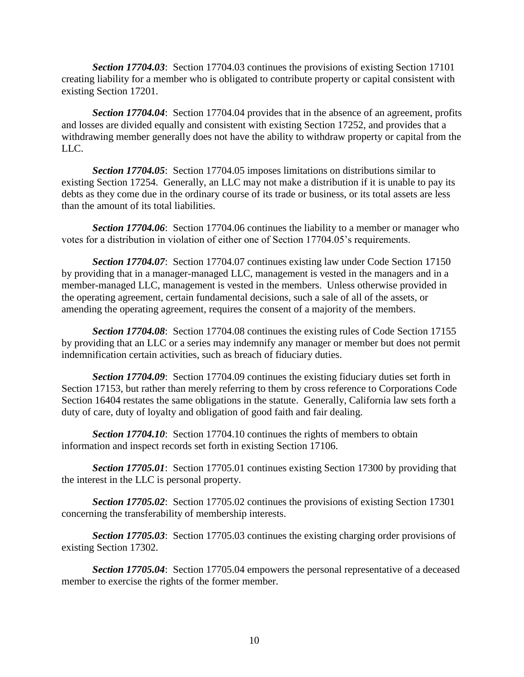*Section 17704.03*: Section 17704.03 continues the provisions of existing Section 17101 creating liability for a member who is obligated to contribute property or capital consistent with existing Section 17201.

*Section 17704.04*: Section 17704.04 provides that in the absence of an agreement, profits and losses are divided equally and consistent with existing Section 17252, and provides that a withdrawing member generally does not have the ability to withdraw property or capital from the LLC.

*Section 17704.05*: Section 17704.05 imposes limitations on distributions similar to existing Section 17254. Generally, an LLC may not make a distribution if it is unable to pay its debts as they come due in the ordinary course of its trade or business, or its total assets are less than the amount of its total liabilities.

*Section 17704.06*: Section 17704.06 continues the liability to a member or manager who votes for a distribution in violation of either one of Section 17704.05's requirements.

*Section 17704.07*: Section 17704.07 continues existing law under Code Section 17150 by providing that in a manager-managed LLC, management is vested in the managers and in a member-managed LLC, management is vested in the members. Unless otherwise provided in the operating agreement, certain fundamental decisions, such a sale of all of the assets, or amending the operating agreement, requires the consent of a majority of the members.

*Section 17704.08*: Section 17704.08 continues the existing rules of Code Section 17155 by providing that an LLC or a series may indemnify any manager or member but does not permit indemnification certain activities, such as breach of fiduciary duties.

*Section 17704.09*: Section 17704.09 continues the existing fiduciary duties set forth in Section 17153, but rather than merely referring to them by cross reference to Corporations Code Section 16404 restates the same obligations in the statute. Generally, California law sets forth a duty of care, duty of loyalty and obligation of good faith and fair dealing.

*Section 17704.10*: Section 17704.10 continues the rights of members to obtain information and inspect records set forth in existing Section 17106.

*Section 17705.01*: Section 17705.01 continues existing Section 17300 by providing that the interest in the LLC is personal property.

*Section 17705.02*: Section 17705.02 continues the provisions of existing Section 17301 concerning the transferability of membership interests.

*Section 17705.03*: Section 17705.03 continues the existing charging order provisions of existing Section 17302.

*Section 17705.04*: Section 17705.04 empowers the personal representative of a deceased member to exercise the rights of the former member.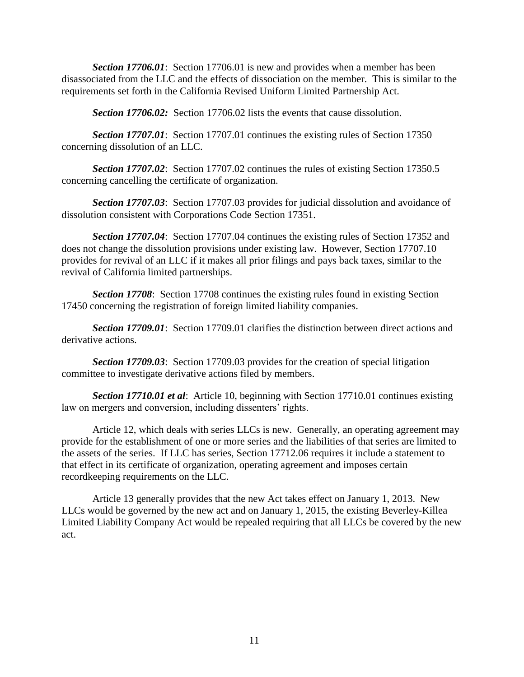*Section 17706.01*: Section 17706.01 is new and provides when a member has been disassociated from the LLC and the effects of dissociation on the member. This is similar to the requirements set forth in the California Revised Uniform Limited Partnership Act.

*Section 17706.02:* Section 17706.02 lists the events that cause dissolution.

*Section 17707.01*: Section 17707.01 continues the existing rules of Section 17350 concerning dissolution of an LLC.

*Section 17707.02*: Section 17707.02 continues the rules of existing Section 17350.5 concerning cancelling the certificate of organization.

*Section 17707.03*: Section 17707.03 provides for judicial dissolution and avoidance of dissolution consistent with Corporations Code Section 17351.

*Section 17707.04*: Section 17707.04 continues the existing rules of Section 17352 and does not change the dissolution provisions under existing law. However, Section 17707.10 provides for revival of an LLC if it makes all prior filings and pays back taxes, similar to the revival of California limited partnerships.

*Section 17708*: Section 17708 continues the existing rules found in existing Section 17450 concerning the registration of foreign limited liability companies.

*Section 17709.01*: Section 17709.01 clarifies the distinction between direct actions and derivative actions.

*Section 17709.03*: Section 17709.03 provides for the creation of special litigation committee to investigate derivative actions filed by members.

*Section 17710.01 et al*: Article 10, beginning with Section 17710.01 continues existing law on mergers and conversion, including dissenters' rights.

Article 12, which deals with series LLCs is new. Generally, an operating agreement may provide for the establishment of one or more series and the liabilities of that series are limited to the assets of the series. If LLC has series, Section 17712.06 requires it include a statement to that effect in its certificate of organization, operating agreement and imposes certain recordkeeping requirements on the LLC.

Article 13 generally provides that the new Act takes effect on January 1, 2013. New LLCs would be governed by the new act and on January 1, 2015, the existing Beverley-Killea Limited Liability Company Act would be repealed requiring that all LLCs be covered by the new act.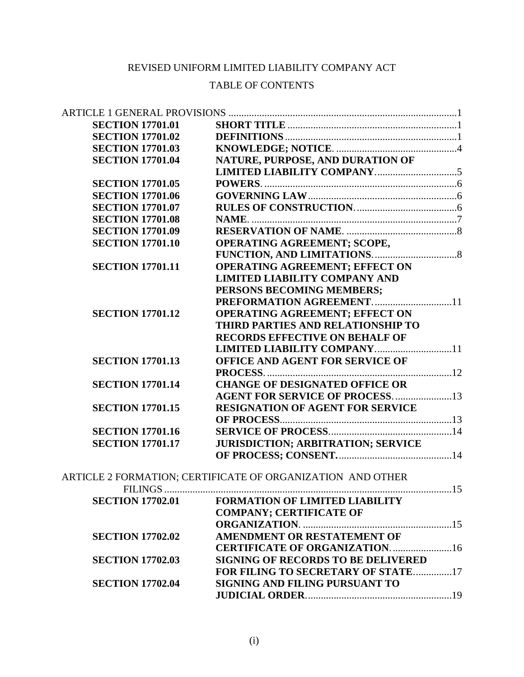# REVISED UNIFORM LIMITED LIABILITY COMPANY ACT

## TABLE OF CONTENTS

| <b>SECTION 17701.01</b> |                                                            |     |
|-------------------------|------------------------------------------------------------|-----|
| <b>SECTION 17701.02</b> |                                                            |     |
| <b>SECTION 17701.03</b> |                                                            |     |
| <b>SECTION 17701.04</b> | NATURE, PURPOSE, AND DURATION OF                           |     |
|                         |                                                            |     |
| <b>SECTION 17701.05</b> |                                                            |     |
| <b>SECTION 17701.06</b> |                                                            |     |
| <b>SECTION 17701.07</b> |                                                            |     |
| <b>SECTION 17701.08</b> |                                                            |     |
| <b>SECTION 17701.09</b> |                                                            |     |
| <b>SECTION 17701.10</b> | OPERATING AGREEMENT; SCOPE,                                |     |
|                         |                                                            |     |
| <b>SECTION 17701.11</b> | <b>OPERATING AGREEMENT; EFFECT ON</b>                      |     |
|                         | <b>LIMITED LIABILITY COMPANY AND</b>                       |     |
|                         | PERSONS BECOMING MEMBERS;                                  |     |
|                         | PREFORMATION AGREEMENT11                                   |     |
| <b>SECTION 17701.12</b> | <b>OPERATING AGREEMENT; EFFECT ON</b>                      |     |
|                         | THIRD PARTIES AND RELATIONSHIP TO                          |     |
|                         | <b>RECORDS EFFECTIVE ON BEHALF OF</b>                      |     |
|                         | LIMITED LIABILITY COMPANY11                                |     |
| <b>SECTION 17701.13</b> | OFFICE AND AGENT FOR SERVICE OF                            |     |
|                         |                                                            |     |
| <b>SECTION 17701.14</b> | <b>CHANGE OF DESIGNATED OFFICE OR</b>                      |     |
|                         | <b>AGENT FOR SERVICE OF PROCESS. 13</b>                    |     |
| <b>SECTION 17701.15</b> | <b>RESIGNATION OF AGENT FOR SERVICE</b>                    |     |
|                         |                                                            |     |
| <b>SECTION 17701.16</b> |                                                            |     |
| <b>SECTION 17701.17</b> | <b>JURISDICTION; ARBITRATION; SERVICE</b>                  |     |
|                         |                                                            |     |
|                         |                                                            |     |
|                         | ARTICLE 2 FORMATION; CERTIFICATE OF ORGANIZATION AND OTHER |     |
| FILINGS                 |                                                            | .15 |
| <b>SECTION 17702.01</b> | <b>FORMATION OF LIMITED LIABILITY</b>                      |     |
|                         | <b>COMPANY; CERTIFICATE OF</b>                             |     |
|                         |                                                            |     |
| <b>SECTION 17702.02</b> | <b>AMENDMENT OR RESTATEMENT OF</b>                         |     |
|                         | <b>CERTIFICATE OF ORGANIZATION.</b> 16                     |     |
| <b>SECTION 17702.03</b> | <b>SIGNING OF RECORDS TO BE DELIVERED</b>                  |     |
|                         | FOR FILING TO SECRETARY OF STATE17                         |     |
| <b>SECTION 17702.04</b> | SIGNING AND FILING PURSUANT TO                             |     |
|                         |                                                            |     |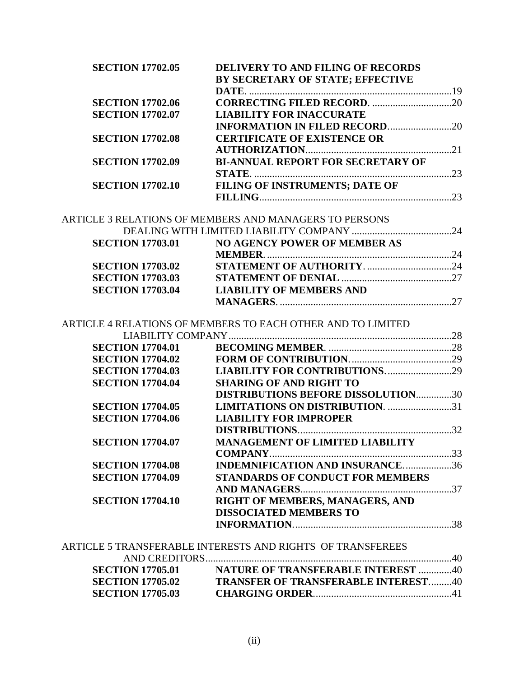| <b>SECTION 17702.05</b> | <b>DELIVERY TO AND FILING OF RECORDS</b>                                    |  |
|-------------------------|-----------------------------------------------------------------------------|--|
|                         | BY SECRETARY OF STATE; EFFECTIVE                                            |  |
|                         |                                                                             |  |
| <b>SECTION 17702.06</b> |                                                                             |  |
| <b>SECTION 17702.07</b> | <b>LIABILITY FOR INACCURATE</b>                                             |  |
|                         | <b>INFORMATION IN FILED RECORD20</b>                                        |  |
| <b>SECTION 17702.08</b> | <b>CERTIFICATE OF EXISTENCE OR</b>                                          |  |
|                         |                                                                             |  |
| <b>SECTION 17702.09</b> | <b>BI-ANNUAL REPORT FOR SECRETARY OF</b>                                    |  |
|                         |                                                                             |  |
| <b>SECTION 17702.10</b> | FILING OF INSTRUMENTS; DATE OF                                              |  |
|                         |                                                                             |  |
|                         |                                                                             |  |
|                         | ARTICLE 3 RELATIONS OF MEMBERS AND MANAGERS TO PERSONS                      |  |
|                         |                                                                             |  |
| <b>SECTION 17703.01</b> | <b>NO AGENCY POWER OF MEMBER AS</b>                                         |  |
|                         |                                                                             |  |
| <b>SECTION 17703.02</b> |                                                                             |  |
|                         |                                                                             |  |
|                         | SECTION 17703.04 LIABILITY OF MEMBERS AND                                   |  |
|                         |                                                                             |  |
|                         |                                                                             |  |
|                         | ARTICLE 4 RELATIONS OF MEMBERS TO EACH OTHER AND TO LIMITED                 |  |
|                         |                                                                             |  |
| <b>SECTION 17704.01</b> |                                                                             |  |
| <b>SECTION 17704.02</b> |                                                                             |  |
|                         |                                                                             |  |
| <b>SECTION 17704.04</b> | <b>SHARING OF AND RIGHT TO</b><br><b>DISTRIBUTIONS BEFORE DISSOLUTION30</b> |  |
| <b>SECTION 17704.05</b> | LIMITATIONS ON DISTRIBUTION. 31                                             |  |
|                         |                                                                             |  |
| <b>SECTION 17704.06</b> | <b>LIABILITY FOR IMPROPER</b>                                               |  |
|                         |                                                                             |  |
| <b>SECTION 17704.07</b> | <b>MANAGEMENT OF LIMITED LIABILITY</b>                                      |  |
|                         |                                                                             |  |
| <b>SECTION 17704.08</b> | <b>INDEMNIFICATION AND INSURANCE36</b>                                      |  |
| <b>SECTION 17704.09</b> | <b>STANDARDS OF CONDUCT FOR MEMBERS</b>                                     |  |
|                         |                                                                             |  |
| <b>SECTION 17704.10</b> | RIGHT OF MEMBERS, MANAGERS, AND                                             |  |
|                         | <b>DISSOCIATED MEMBERS TO</b>                                               |  |
|                         |                                                                             |  |
|                         | ARTICLE 5 TRANSFERABLE INTERESTS AND RIGHTS OF TRANSFEREES                  |  |
|                         |                                                                             |  |
| <b>SECTION 17705.01</b> | <b>NATURE OF TRANSFERABLE INTEREST 40</b>                                   |  |
|                         | <b>SECTION 17705.02 TRANSFER OF TRANSFERABLE INTEREST40</b>                 |  |
|                         |                                                                             |  |
|                         |                                                                             |  |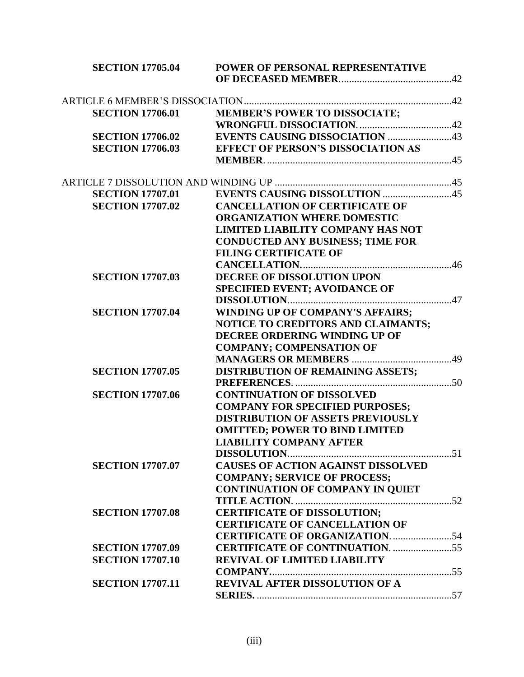| <b>SECTION 17705.04</b> | POWER OF PERSONAL REPRESENTATIVE          |  |
|-------------------------|-------------------------------------------|--|
|                         |                                           |  |
|                         |                                           |  |
| <b>SECTION 17706.01</b> | <b>MEMBER'S POWER TO DISSOCIATE;</b>      |  |
|                         |                                           |  |
| <b>SECTION 17706.02</b> | <b>EVENTS CAUSING DISSOCIATION 43</b>     |  |
| <b>SECTION 17706.03</b> | <b>EFFECT OF PERSON'S DISSOCIATION AS</b> |  |
|                         |                                           |  |
|                         |                                           |  |
|                         |                                           |  |
| <b>SECTION 17707.02</b> | <b>CANCELLATION OF CERTIFICATE OF</b>     |  |
|                         | <b>ORGANIZATION WHERE DOMESTIC</b>        |  |
|                         | <b>LIMITED LIABILITY COMPANY HAS NOT</b>  |  |
|                         | <b>CONDUCTED ANY BUSINESS; TIME FOR</b>   |  |
|                         | <b>FILING CERTIFICATE OF</b>              |  |
|                         |                                           |  |
| <b>SECTION 17707.03</b> | DECREE OF DISSOLUTION UPON                |  |
|                         | <b>SPECIFIED EVENT; AVOIDANCE OF</b>      |  |
|                         |                                           |  |
| <b>SECTION 17707.04</b> | WINDING UP OF COMPANY'S AFFAIRS;          |  |
|                         | NOTICE TO CREDITORS AND CLAIMANTS;        |  |
|                         | DECREE ORDERING WINDING UP OF             |  |
|                         | <b>COMPANY; COMPENSATION OF</b>           |  |
|                         |                                           |  |
| <b>SECTION 17707.05</b> | <b>DISTRIBUTION OF REMAINING ASSETS:</b>  |  |
|                         |                                           |  |
| <b>SECTION 17707.06</b> | <b>CONTINUATION OF DISSOLVED</b>          |  |
|                         | <b>COMPANY FOR SPECIFIED PURPOSES;</b>    |  |
|                         | <b>DISTRIBUTION OF ASSETS PREVIOUSLY</b>  |  |
|                         | <b>OMITTED; POWER TO BIND LIMITED</b>     |  |
|                         | <b>LIABILITY COMPANY AFTER</b>            |  |
|                         |                                           |  |
| <b>SECTION 17707.07</b> | <b>CAUSES OF ACTION AGAINST DISSOLVED</b> |  |
|                         | <b>COMPANY; SERVICE OF PROCESS;</b>       |  |
|                         | <b>CONTINUATION OF COMPANY IN QUIET</b>   |  |
|                         |                                           |  |
| <b>SECTION 17707.08</b> | <b>CERTIFICATE OF DISSOLUTION;</b>        |  |
|                         | <b>CERTIFICATE OF CANCELLATION OF</b>     |  |
|                         |                                           |  |
| <b>SECTION 17707.09</b> | <b>CERTIFICATE OF CONTINUATION. 55</b>    |  |
| <b>SECTION 17707.10</b> | <b>REVIVAL OF LIMITED LIABILITY</b>       |  |
|                         |                                           |  |
| <b>SECTION 17707.11</b> | REVIVAL AFTER DISSOLUTION OF A            |  |
|                         |                                           |  |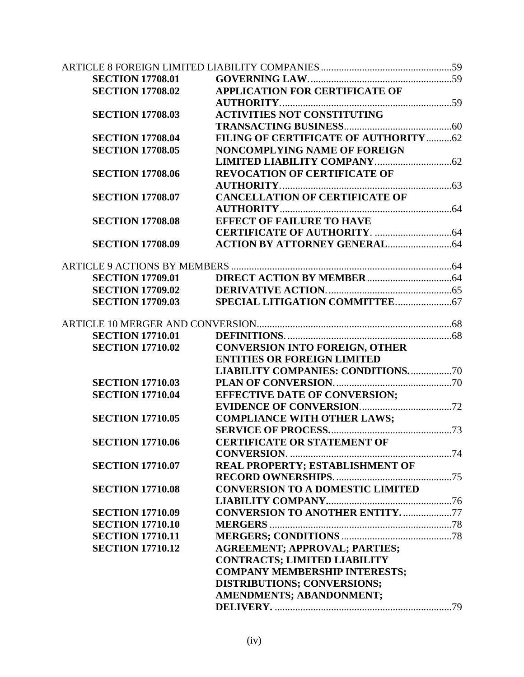| <b>SECTION 17708.01</b> |                                          |  |
|-------------------------|------------------------------------------|--|
| <b>SECTION 17708.02</b> | <b>APPLICATION FOR CERTIFICATE OF</b>    |  |
|                         |                                          |  |
| <b>SECTION 17708.03</b> | <b>ACTIVITIES NOT CONSTITUTING</b>       |  |
|                         |                                          |  |
| <b>SECTION 17708.04</b> | FILING OF CERTIFICATE OF AUTHORITY  62   |  |
| <b>SECTION 17708.05</b> | NONCOMPLYING NAME OF FOREIGN             |  |
|                         |                                          |  |
| <b>SECTION 17708.06</b> | <b>REVOCATION OF CERTIFICATE OF</b>      |  |
|                         |                                          |  |
| <b>SECTION 17708.07</b> | <b>CANCELLATION OF CERTIFICATE OF</b>    |  |
|                         |                                          |  |
| <b>SECTION 17708.08</b> | <b>EFFECT OF FAILURE TO HAVE</b>         |  |
|                         |                                          |  |
| <b>SECTION 17708.09</b> |                                          |  |
|                         |                                          |  |
|                         |                                          |  |
| <b>SECTION 17709.01</b> |                                          |  |
|                         |                                          |  |
| <b>SECTION 17709.03</b> |                                          |  |
|                         |                                          |  |
| <b>SECTION 17710.01</b> |                                          |  |
| <b>SECTION 17710.02</b> | <b>CONVERSION INTO FOREIGN, OTHER</b>    |  |
|                         | <b>ENTITIES OR FOREIGN LIMITED</b>       |  |
|                         | <b>LIABILITY COMPANIES: CONDITIONS70</b> |  |
| <b>SECTION 17710.03</b> |                                          |  |
| <b>SECTION 17710.04</b> |                                          |  |
|                         |                                          |  |
| <b>SECTION 17710.05</b> | <b>COMPLIANCE WITH OTHER LAWS;</b>       |  |
|                         |                                          |  |
| <b>SECTION 17710.06</b> | <b>CERTIFICATE OR STATEMENT OF</b>       |  |
|                         |                                          |  |
| <b>SECTION 17710.07</b> | REAL PROPERTY; ESTABLISHMENT OF          |  |
|                         |                                          |  |
| <b>SECTION 17710.08</b> | <b>CONVERSION TO A DOMESTIC LIMITED</b>  |  |
|                         |                                          |  |
| <b>SECTION 17710.09</b> | <b>CONVERSION TO ANOTHER ENTITY.</b> 77  |  |
| <b>SECTION 17710.10</b> |                                          |  |
| <b>SECTION 17710.11</b> |                                          |  |
| <b>SECTION 17710.12</b> | <b>AGREEMENT; APPROVAL; PARTIES;</b>     |  |
|                         | <b>CONTRACTS; LIMITED LIABILITY</b>      |  |
|                         | <b>COMPANY MEMBERSHIP INTERESTS;</b>     |  |
|                         | DISTRIBUTIONS; CONVERSIONS;              |  |
|                         | AMENDMENTS; ABANDONMENT;                 |  |
|                         |                                          |  |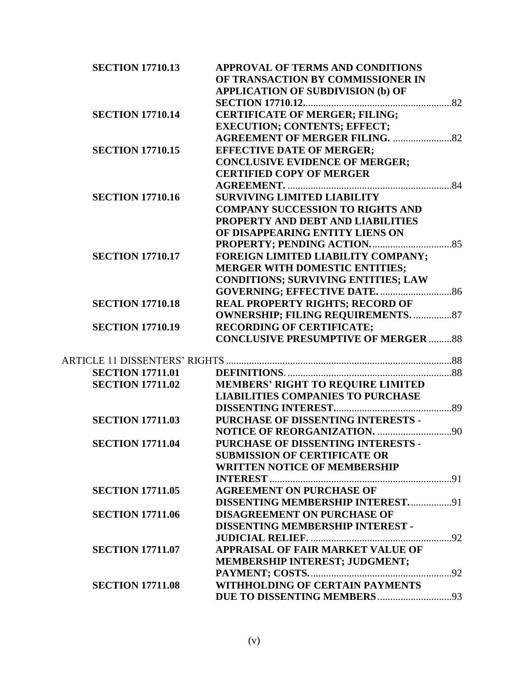| <b>SECTION 17710.13</b> | <b>APPROVAL OF TERMS AND CONDITIONS</b>     |  |
|-------------------------|---------------------------------------------|--|
|                         | OF TRANSACTION BY COMMISSIONER IN           |  |
|                         | <b>APPLICATION OF SUBDIVISION (b) OF</b>    |  |
|                         |                                             |  |
| <b>SECTION 17710.14</b> | <b>CERTIFICATE OF MERGER; FILING;</b>       |  |
|                         | <b>EXECUTION; CONTENTS; EFFECT;</b>         |  |
|                         |                                             |  |
| <b>SECTION 17710.15</b> | <b>EFFECTIVE DATE OF MERGER;</b>            |  |
|                         | <b>CONCLUSIVE EVIDENCE OF MERGER;</b>       |  |
|                         | <b>CERTIFIED COPY OF MERGER</b>             |  |
|                         |                                             |  |
| <b>SECTION 17710.16</b> | <b>SURVIVING LIMITED LIABILITY</b>          |  |
|                         | <b>COMPANY SUCCESSION TO RIGHTS AND</b>     |  |
|                         | PROPERTY AND DEBT AND LIABILITIES           |  |
|                         | OF DISAPPEARING ENTITY LIENS ON             |  |
|                         |                                             |  |
| <b>SECTION 17710.17</b> | FOREIGN LIMITED LIABILITY COMPANY;          |  |
|                         | <b>MERGER WITH DOMESTIC ENTITIES;</b>       |  |
|                         | <b>CONDITIONS; SURVIVING ENTITIES; LAW</b>  |  |
|                         |                                             |  |
| <b>SECTION 17710.18</b> | <b>REAL PROPERTY RIGHTS; RECORD OF</b>      |  |
|                         | <b>OWNERSHIP; FILING REQUIREMENTS87</b>     |  |
| <b>SECTION 17710.19</b> | <b>RECORDING OF CERTIFICATE;</b>            |  |
|                         | <b>CONCLUSIVE PRESUMPTIVE OF MERGER  88</b> |  |
|                         |                                             |  |
| <b>SECTION 17711.01</b> |                                             |  |
| <b>SECTION 17711.02</b> | <b>MEMBERS' RIGHT TO REQUIRE LIMITED</b>    |  |
|                         | <b>LIABILITIES COMPANIES TO PURCHASE</b>    |  |
|                         |                                             |  |
| <b>SECTION 17711.03</b> | PURCHASE OF DISSENTING INTERESTS -          |  |
|                         |                                             |  |
| <b>SECTION 17711.04</b> | <b>PURCHASE OF DISSENTING INTERESTS -</b>   |  |
|                         | <b>SUBMISSION OF CERTIFICATE OR</b>         |  |
|                         | <b>WRITTEN NOTICE OF MEMBERSHIP</b>         |  |
|                         |                                             |  |
| <b>SECTION 17711.05</b> | <b>AGREEMENT ON PURCHASE OF</b>             |  |
|                         | <b>DISSENTING MEMBERSHIP INTEREST91</b>     |  |
| <b>SECTION 17711.06</b> | <b>DISAGREEMENT ON PURCHASE OF</b>          |  |
|                         | DISSENTING MEMBERSHIP INTEREST -            |  |
|                         |                                             |  |
| <b>SECTION 17711.07</b> | <b>APPRAISAL OF FAIR MARKET VALUE OF</b>    |  |
|                         | <b>MEMBERSHIP INTEREST; JUDGMENT;</b>       |  |
|                         |                                             |  |
| <b>SECTION 17711.08</b> | WITHHOLDING OF CERTAIN PAYMENTS             |  |
|                         |                                             |  |
|                         |                                             |  |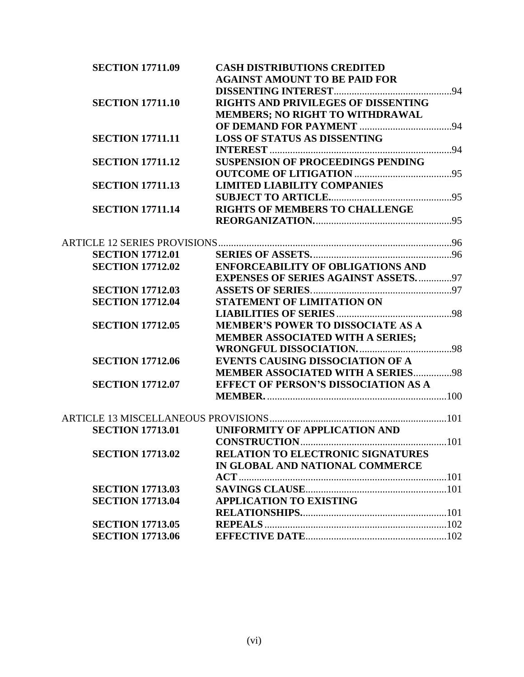| <b>SECTION 17711.09</b> | <b>CASH DISTRIBUTIONS CREDITED</b>                    |      |
|-------------------------|-------------------------------------------------------|------|
|                         | <b>AGAINST AMOUNT TO BE PAID FOR</b>                  |      |
|                         |                                                       |      |
| <b>SECTION 17711.10</b> | <b>RIGHTS AND PRIVILEGES OF DISSENTING</b>            |      |
|                         | <b>MEMBERS; NO RIGHT TO WITHDRAWAL</b>                |      |
|                         |                                                       |      |
| <b>SECTION 17711.11</b> | <b>LOSS OF STATUS AS DISSENTING</b>                   |      |
|                         |                                                       |      |
| <b>SECTION 17711.12</b> | SUSPENSION OF PROCEEDINGS PENDING                     |      |
|                         |                                                       |      |
| <b>SECTION 17711.13</b> | <b>LIMITED LIABILITY COMPANIES</b>                    |      |
|                         |                                                       |      |
| <b>SECTION 17711.14</b> | <b>RIGHTS OF MEMBERS TO CHALLENGE</b>                 |      |
|                         |                                                       |      |
|                         |                                                       |      |
|                         |                                                       |      |
| <b>SECTION 17712.01</b> |                                                       |      |
| <b>SECTION 17712.02</b> | <b>ENFORCEABILITY OF OBLIGATIONS AND</b>              |      |
|                         | <b>EXPENSES OF SERIES AGAINST ASSETS97</b>            |      |
| <b>SECTION 17712.03</b> |                                                       |      |
| <b>SECTION 17712.04</b> | STATEMENT OF LIMITATION ON                            |      |
|                         |                                                       |      |
| <b>SECTION 17712.05</b> | <b>MEMBER'S POWER TO DISSOCIATE AS A</b>              |      |
|                         | <b>MEMBER ASSOCIATED WITH A SERIES;</b>               |      |
|                         |                                                       |      |
| <b>SECTION 17712.06</b> | <b>EVENTS CAUSING DISSOCIATION OF A</b>               |      |
|                         | <b>MEMBER ASSOCIATED WITH A SERIES98</b>              |      |
| <b>SECTION 17712.07</b> | <b>EFFECT OF PERSON'S DISSOCIATION AS A</b>           |      |
|                         |                                                       |      |
|                         |                                                       |      |
|                         |                                                       |      |
|                         | <b>SECTION 17713.01 UNIFORMITY OF APPLICATION AND</b> |      |
|                         | <b>CONSTRUCTION</b>                                   | .101 |
| <b>SECTION 17713.02</b> | <b>RELATION TO ELECTRONIC SIGNATURES</b>              |      |
|                         | IN GLOBAL AND NATIONAL COMMERCE                       |      |
|                         |                                                       |      |
| <b>SECTION 17713.03</b> |                                                       |      |
| <b>SECTION 17713.04</b> | <b>APPLICATION TO EXISTING</b>                        |      |
|                         |                                                       |      |
| <b>SECTION 17713.05</b> |                                                       |      |
| <b>SECTION 17713.06</b> |                                                       |      |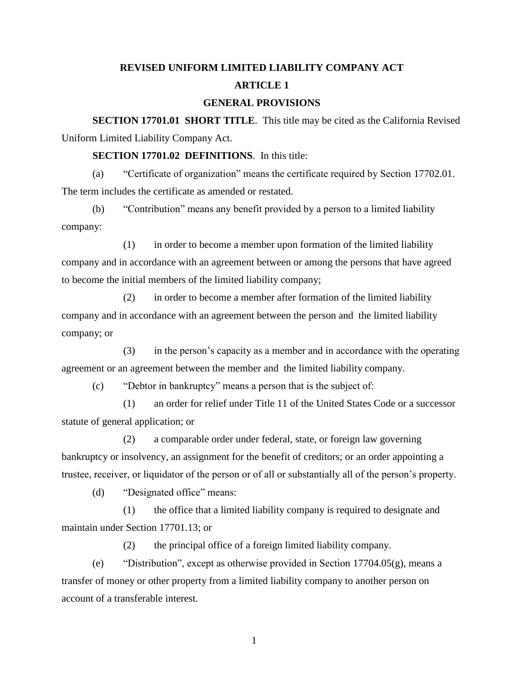# **REVISED UNIFORM LIMITED LIABILITY COMPANY ACT ARTICLE 1**

### **GENERAL PROVISIONS**

<span id="page-17-1"></span><span id="page-17-0"></span>**SECTION 17701.01 SHORT TITLE**. This title may be cited as the California Revised Uniform Limited Liability Company Act.

**SECTION 17701.02 DEFINITIONS**. In this title:

<span id="page-17-2"></span>(a) "Certificate of organization" means the certificate required by Section 17702.01. The term includes the certificate as amended or restated.

(b) "Contribution" means any benefit provided by a person to a limited liability company:

(1) in order to become a member upon formation of the limited liability company and in accordance with an agreement between or among the persons that have agreed to become the initial members of the limited liability company;

(2) in order to become a member after formation of the limited liability company and in accordance with an agreement between the person and the limited liability company; or

(3) in the person's capacity as a member and in accordance with the operating agreement or an agreement between the member and the limited liability company.

(c) "Debtor in bankruptcy" means a person that is the subject of:

(1) an order for relief under Title 11 of the United States Code or a successor statute of general application; or

(2) a comparable order under federal, state, or foreign law governing bankruptcy or insolvency, an assignment for the benefit of creditors; or an order appointing a trustee, receiver, or liquidator of the person or of all or substantially all of the person's property.

(d) "Designated office" means:

(1) the office that a limited liability company is required to designate and maintain under Section 17701.13; or

(2) the principal office of a foreign limited liability company.

(e) "Distribution", except as otherwise provided in Section 17704.05(g), means a transfer of money or other property from a limited liability company to another person on account of a transferable interest.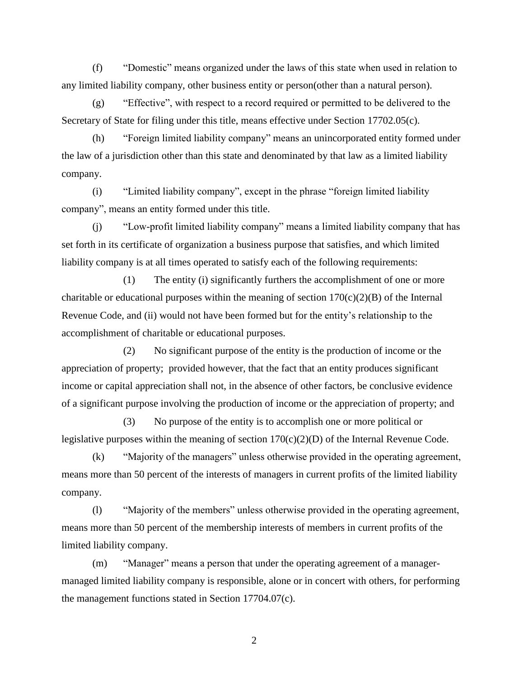(f) "Domestic" means organized under the laws of this state when used in relation to any limited liability company, other business entity or person(other than a natural person).

(g) "Effective", with respect to a record required or permitted to be delivered to the Secretary of State for filing under this title, means effective under Section 17702.05(c).

(h) "Foreign limited liability company" means an unincorporated entity formed under the law of a jurisdiction other than this state and denominated by that law as a limited liability company.

(i) "Limited liability company", except in the phrase "foreign limited liability company", means an entity formed under this title.

(j) "Low-profit limited liability company" means a limited liability company that has set forth in its certificate of organization a business purpose that satisfies, and which limited liability company is at all times operated to satisfy each of the following requirements:

(1) The entity (i) significantly furthers the accomplishment of one or more charitable or educational purposes within the meaning of section  $170(c)(2)(B)$  of the Internal Revenue Code, and (ii) would not have been formed but for the entity's relationship to the accomplishment of charitable or educational purposes.

(2) No significant purpose of the entity is the production of income or the appreciation of property; provided however, that the fact that an entity produces significant income or capital appreciation shall not, in the absence of other factors, be conclusive evidence of a significant purpose involving the production of income or the appreciation of property; and

(3) No purpose of the entity is to accomplish one or more political or legislative purposes within the meaning of section 170(c)(2)(D) of the Internal Revenue Code.

(k) "Majority of the managers" unless otherwise provided in the operating agreement, means more than 50 percent of the interests of managers in current profits of the limited liability company.

(l) "Majority of the members" unless otherwise provided in the operating agreement, means more than 50 percent of the membership interests of members in current profits of the limited liability company.

(m) "Manager" means a person that under the operating agreement of a managermanaged limited liability company is responsible, alone or in concert with others, for performing the management functions stated in Section 17704.07(c).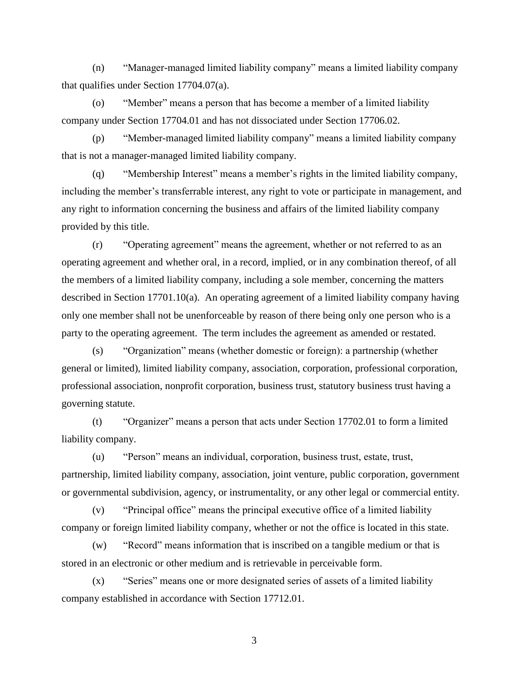(n) "Manager-managed limited liability company" means a limited liability company that qualifies under Section 17704.07(a).

(o) "Member" means a person that has become a member of a limited liability company under Section 17704.01 and has not dissociated under Section 17706.02.

(p) "Member-managed limited liability company" means a limited liability company that is not a manager-managed limited liability company.

(q) "Membership Interest" means a member's rights in the limited liability company, including the member's transferrable interest, any right to vote or participate in management, and any right to information concerning the business and affairs of the limited liability company provided by this title.

(r) "Operating agreement" means the agreement, whether or not referred to as an operating agreement and whether oral, in a record, implied, or in any combination thereof, of all the members of a limited liability company, including a sole member, concerning the matters described in Section 17701.10(a). An operating agreement of a limited liability company having only one member shall not be unenforceable by reason of there being only one person who is a party to the operating agreement. The term includes the agreement as amended or restated.

(s) "Organization" means (whether domestic or foreign): a partnership (whether general or limited), limited liability company, association, corporation, professional corporation, professional association, nonprofit corporation, business trust, statutory business trust having a governing statute.

(t) "Organizer" means a person that acts under Section 17702.01 to form a limited liability company.

(u) "Person" means an individual, corporation, business trust, estate, trust, partnership, limited liability company, association, joint venture, public corporation, government or governmental subdivision, agency, or instrumentality, or any other legal or commercial entity.

(v) "Principal office" means the principal executive office of a limited liability company or foreign limited liability company, whether or not the office is located in this state.

(w) "Record" means information that is inscribed on a tangible medium or that is stored in an electronic or other medium and is retrievable in perceivable form.

(x) "Series" means one or more designated series of assets of a limited liability company established in accordance with Section 17712.01.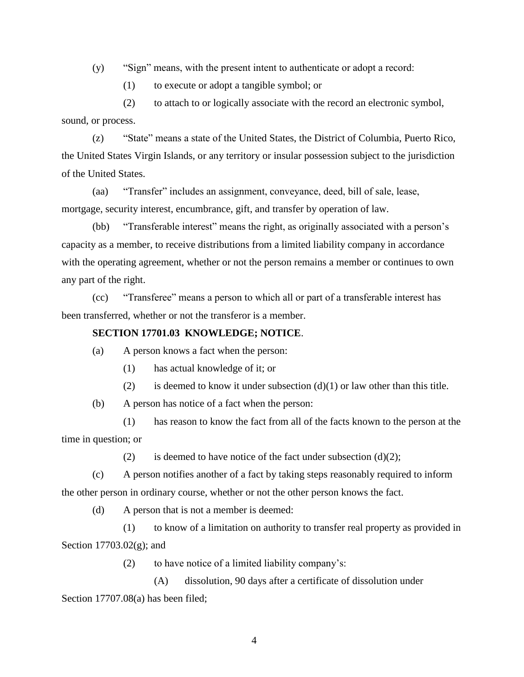(y) "Sign" means, with the present intent to authenticate or adopt a record:

(1) to execute or adopt a tangible symbol; or

(2) to attach to or logically associate with the record an electronic symbol, sound, or process.

(z) "State" means a state of the United States, the District of Columbia, Puerto Rico, the United States Virgin Islands, or any territory or insular possession subject to the jurisdiction of the United States.

(aa) "Transfer" includes an assignment, conveyance, deed, bill of sale, lease, mortgage, security interest, encumbrance, gift, and transfer by operation of law.

(bb) "Transferable interest" means the right, as originally associated with a person's capacity as a member, to receive distributions from a limited liability company in accordance with the operating agreement, whether or not the person remains a member or continues to own any part of the right.

(cc) "Transferee" means a person to which all or part of a transferable interest has been transferred, whether or not the transferor is a member.

### <span id="page-20-0"></span>**SECTION 17701.03 KNOWLEDGE; NOTICE**.

(a) A person knows a fact when the person:

- (1) has actual knowledge of it; or
- (2) is deemed to know it under subsection  $(d)(1)$  or law other than this title.

(b) A person has notice of a fact when the person:

(1) has reason to know the fact from all of the facts known to the person at the time in question; or

(2) is deemed to have notice of the fact under subsection  $(d)(2)$ ;

(c) A person notifies another of a fact by taking steps reasonably required to inform the other person in ordinary course, whether or not the other person knows the fact.

(d) A person that is not a member is deemed:

(1) to know of a limitation on authority to transfer real property as provided in Section 17703.02(g); and

(2) to have notice of a limited liability company's:

(A) dissolution, 90 days after a certificate of dissolution under Section 17707.08(a) has been filed;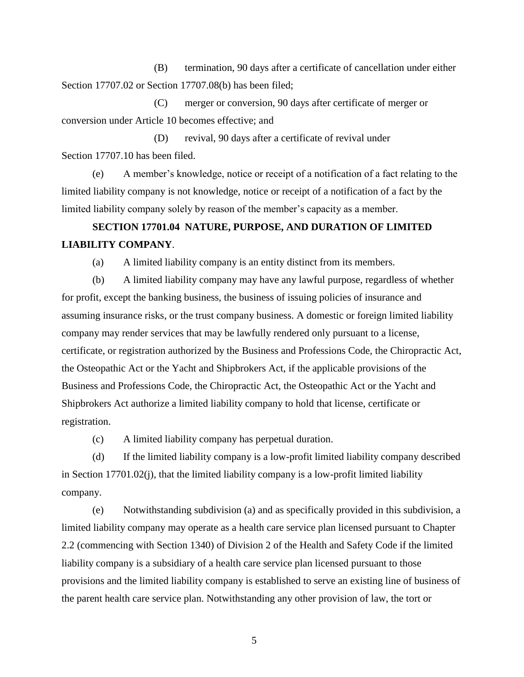(B) termination, 90 days after a certificate of cancellation under either Section 17707.02 or Section 17707.08(b) has been filed;

(C) merger or conversion, 90 days after certificate of merger or conversion under Article 10 becomes effective; and

(D) revival, 90 days after a certificate of revival under Section 17707.10 has been filed.

(e) A member's knowledge, notice or receipt of a notification of a fact relating to the limited liability company is not knowledge, notice or receipt of a notification of a fact by the limited liability company solely by reason of the member's capacity as a member.

# <span id="page-21-0"></span>**SECTION 17701.04 NATURE, PURPOSE, AND DURATION OF LIMITED LIABILITY COMPANY**.

(a) A limited liability company is an entity distinct from its members.

(b) A limited liability company may have any lawful purpose, regardless of whether for profit, except the banking business, the business of issuing policies of insurance and assuming insurance risks, or the trust company business. A domestic or foreign limited liability company may render services that may be lawfully rendered only pursuant to a license, certificate, or registration authorized by the Business and Professions Code, the Chiropractic Act, the Osteopathic Act or the Yacht and Shipbrokers Act, if the applicable provisions of the Business and Professions Code, the Chiropractic Act, the Osteopathic Act or the Yacht and Shipbrokers Act authorize a limited liability company to hold that license, certificate or registration.

(c) A limited liability company has perpetual duration.

(d) If the limited liability company is a low-profit limited liability company described in Section 17701.02(j), that the limited liability company is a low-profit limited liability company.

(e) Notwithstanding subdivision (a) and as specifically provided in this subdivision, a limited liability company may operate as a health care service plan licensed pursuant to Chapter 2.2 (commencing with Section 1340) of Division 2 of the Health and Safety Code if the limited liability company is a subsidiary of a health care service plan licensed pursuant to those provisions and the limited liability company is established to serve an existing line of business of the parent health care service plan. Notwithstanding any other provision of law, the tort or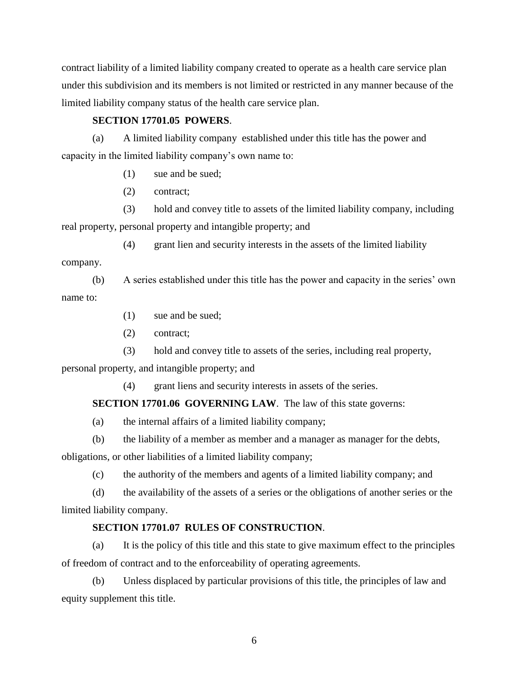contract liability of a limited liability company created to operate as a health care service plan under this subdivision and its members is not limited or restricted in any manner because of the limited liability company status of the health care service plan.

### **SECTION 17701.05 POWERS**.

<span id="page-22-0"></span>(a) A limited liability company established under this title has the power and capacity in the limited liability company's own name to:

(1) sue and be sued;

(2) contract;

(3) hold and convey title to assets of the limited liability company, including real property, personal property and intangible property; and

(4) grant lien and security interests in the assets of the limited liability

company.

(b) A series established under this title has the power and capacity in the series' own name to:

- (1) sue and be sued;
- (2) contract;
- (3) hold and convey title to assets of the series, including real property,

personal property, and intangible property; and

(4) grant liens and security interests in assets of the series.

<span id="page-22-1"></span>**SECTION 17701.06 GOVERNING LAW**. The law of this state governs:

(a) the internal affairs of a limited liability company;

(b) the liability of a member as member and a manager as manager for the debts,

obligations, or other liabilities of a limited liability company;

(c) the authority of the members and agents of a limited liability company; and

(d) the availability of the assets of a series or the obligations of another series or the limited liability company.

### **SECTION 17701.07 RULES OF CONSTRUCTION**.

<span id="page-22-2"></span>(a) It is the policy of this title and this state to give maximum effect to the principles of freedom of contract and to the enforceability of operating agreements.

(b) Unless displaced by particular provisions of this title, the principles of law and equity supplement this title.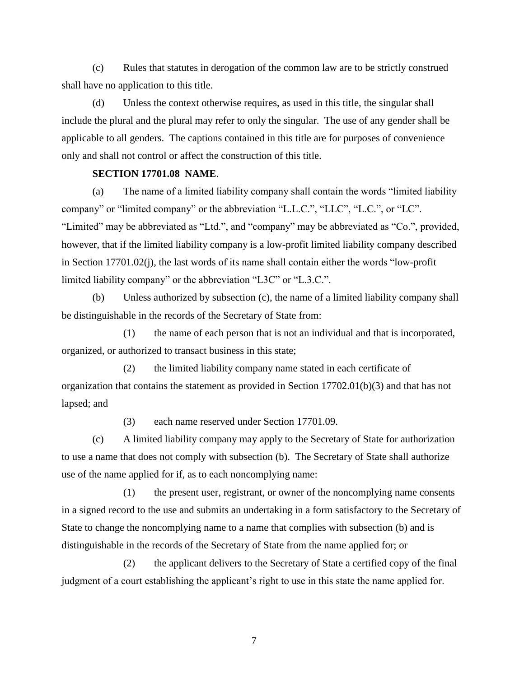(c) Rules that statutes in derogation of the common law are to be strictly construed shall have no application to this title.

(d) Unless the context otherwise requires, as used in this title, the singular shall include the plural and the plural may refer to only the singular. The use of any gender shall be applicable to all genders. The captions contained in this title are for purposes of convenience only and shall not control or affect the construction of this title.

### **SECTION 17701.08 NAME**.

<span id="page-23-0"></span>(a) The name of a limited liability company shall contain the words "limited liability company" or "limited company" or the abbreviation "L.L.C.", "LLC", "L.C.", or "LC". "Limited" may be abbreviated as "Ltd.", and "company" may be abbreviated as "Co.", provided, however, that if the limited liability company is a low-profit limited liability company described in Section 17701.02(j), the last words of its name shall contain either the words "low-profit limited liability company" or the abbreviation "L3C" or "L.3.C.".

(b) Unless authorized by subsection (c), the name of a limited liability company shall be distinguishable in the records of the Secretary of State from:

(1) the name of each person that is not an individual and that is incorporated, organized, or authorized to transact business in this state;

(2) the limited liability company name stated in each certificate of organization that contains the statement as provided in Section 17702.01(b)(3) and that has not lapsed; and

(3) each name reserved under Section 17701.09.

(c) A limited liability company may apply to the Secretary of State for authorization to use a name that does not comply with subsection (b). The Secretary of State shall authorize use of the name applied for if, as to each noncomplying name:

(1) the present user, registrant, or owner of the noncomplying name consents in a signed record to the use and submits an undertaking in a form satisfactory to the Secretary of State to change the noncomplying name to a name that complies with subsection (b) and is distinguishable in the records of the Secretary of State from the name applied for; or

(2) the applicant delivers to the Secretary of State a certified copy of the final judgment of a court establishing the applicant's right to use in this state the name applied for.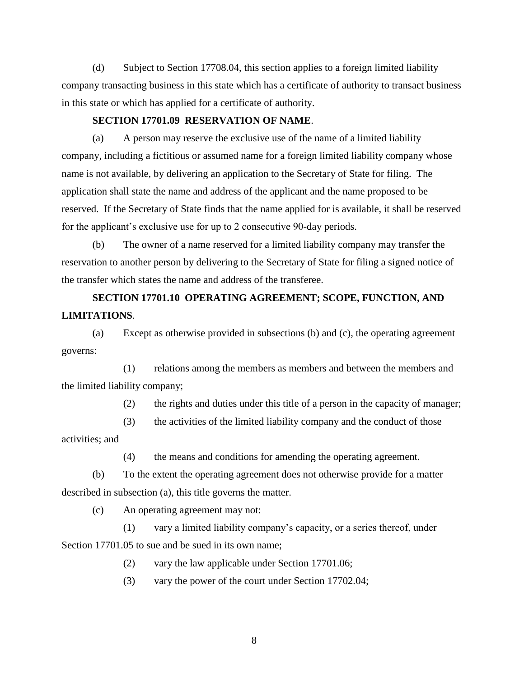(d) Subject to Section 17708.04, this section applies to a foreign limited liability company transacting business in this state which has a certificate of authority to transact business in this state or which has applied for a certificate of authority.

#### **SECTION 17701.09 RESERVATION OF NAME**.

<span id="page-24-0"></span>(a) A person may reserve the exclusive use of the name of a limited liability company, including a fictitious or assumed name for a foreign limited liability company whose name is not available, by delivering an application to the Secretary of State for filing. The application shall state the name and address of the applicant and the name proposed to be reserved. If the Secretary of State finds that the name applied for is available, it shall be reserved for the applicant's exclusive use for up to 2 consecutive 90-day periods.

(b) The owner of a name reserved for a limited liability company may transfer the reservation to another person by delivering to the Secretary of State for filing a signed notice of the transfer which states the name and address of the transferee.

# <span id="page-24-1"></span>**SECTION 17701.10 OPERATING AGREEMENT; SCOPE, FUNCTION, AND LIMITATIONS**.

(a) Except as otherwise provided in subsections (b) and (c), the operating agreement governs:

(1) relations among the members as members and between the members and the limited liability company;

(2) the rights and duties under this title of a person in the capacity of manager;

(3) the activities of the limited liability company and the conduct of those

activities; and

(4) the means and conditions for amending the operating agreement.

(b) To the extent the operating agreement does not otherwise provide for a matter described in subsection (a), this title governs the matter.

(c) An operating agreement may not:

(1) vary a limited liability company's capacity, or a series thereof, under Section 17701.05 to sue and be sued in its own name;

- (2) vary the law applicable under Section 17701.06;
- (3) vary the power of the court under Section 17702.04;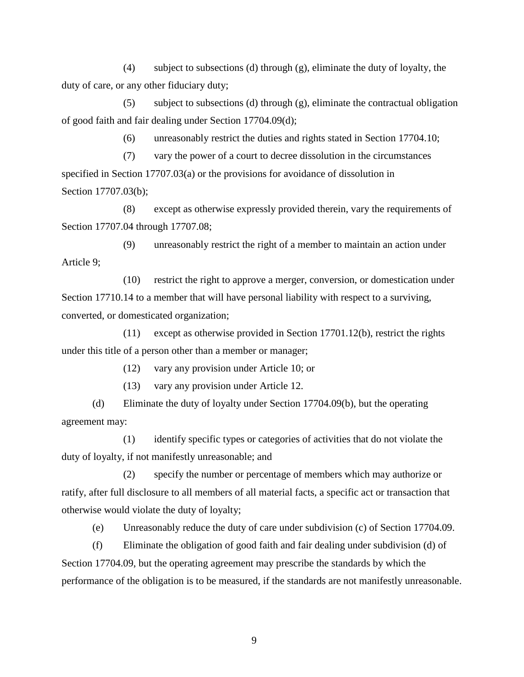(4) subject to subsections (d) through (g), eliminate the duty of loyalty, the duty of care, or any other fiduciary duty;

(5) subject to subsections (d) through (g), eliminate the contractual obligation of good faith and fair dealing under Section 17704.09(d);

(6) unreasonably restrict the duties and rights stated in Section 17704.10;

(7) vary the power of a court to decree dissolution in the circumstances specified in Section 17707.03(a) or the provisions for avoidance of dissolution in Section 17707.03(b);

(8) except as otherwise expressly provided therein, vary the requirements of Section 17707.04 through 17707.08;

(9) unreasonably restrict the right of a member to maintain an action under Article 9;

(10) restrict the right to approve a merger, conversion, or domestication under Section 17710.14 to a member that will have personal liability with respect to a surviving, converted, or domesticated organization;

(11) except as otherwise provided in Section 17701.12(b), restrict the rights under this title of a person other than a member or manager;

(12) vary any provision under Article 10; or

(13) vary any provision under Article 12.

(d) Eliminate the duty of loyalty under Section 17704.09(b), but the operating agreement may:

(1) identify specific types or categories of activities that do not violate the duty of loyalty, if not manifestly unreasonable; and

(2) specify the number or percentage of members which may authorize or ratify, after full disclosure to all members of all material facts, a specific act or transaction that otherwise would violate the duty of loyalty;

(e) Unreasonably reduce the duty of care under subdivision (c) of Section 17704.09.

(f) Eliminate the obligation of good faith and fair dealing under subdivision (d) of Section 17704.09, but the operating agreement may prescribe the standards by which the performance of the obligation is to be measured, if the standards are not manifestly unreasonable.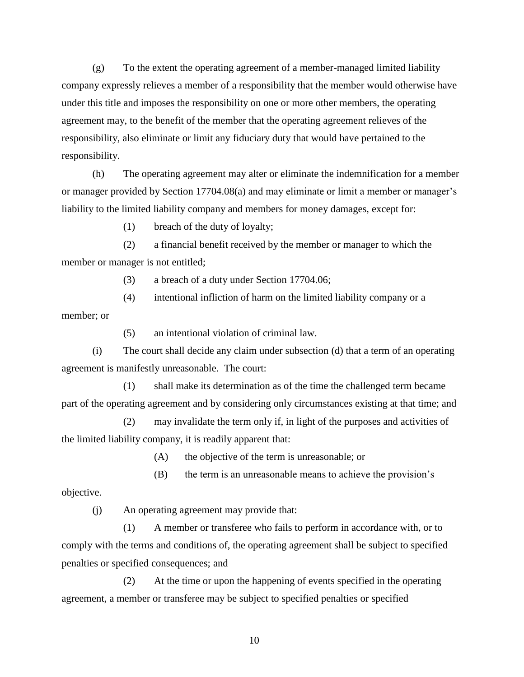(g) To the extent the operating agreement of a member-managed limited liability company expressly relieves a member of a responsibility that the member would otherwise have under this title and imposes the responsibility on one or more other members, the operating agreement may, to the benefit of the member that the operating agreement relieves of the responsibility, also eliminate or limit any fiduciary duty that would have pertained to the responsibility.

(h) The operating agreement may alter or eliminate the indemnification for a member or manager provided by Section 17704.08(a) and may eliminate or limit a member or manager's liability to the limited liability company and members for money damages, except for:

(1) breach of the duty of loyalty;

(2) a financial benefit received by the member or manager to which the member or manager is not entitled;

(3) a breach of a duty under Section 17704.06;

(4) intentional infliction of harm on the limited liability company or a

member; or

(5) an intentional violation of criminal law.

(i) The court shall decide any claim under subsection (d) that a term of an operating agreement is manifestly unreasonable. The court:

(1) shall make its determination as of the time the challenged term became part of the operating agreement and by considering only circumstances existing at that time; and

(2) may invalidate the term only if, in light of the purposes and activities of the limited liability company, it is readily apparent that:

(A) the objective of the term is unreasonable; or

(B) the term is an unreasonable means to achieve the provision's

objective.

(j) An operating agreement may provide that:

(1) A member or transferee who fails to perform in accordance with, or to comply with the terms and conditions of, the operating agreement shall be subject to specified penalties or specified consequences; and

(2) At the time or upon the happening of events specified in the operating agreement, a member or transferee may be subject to specified penalties or specified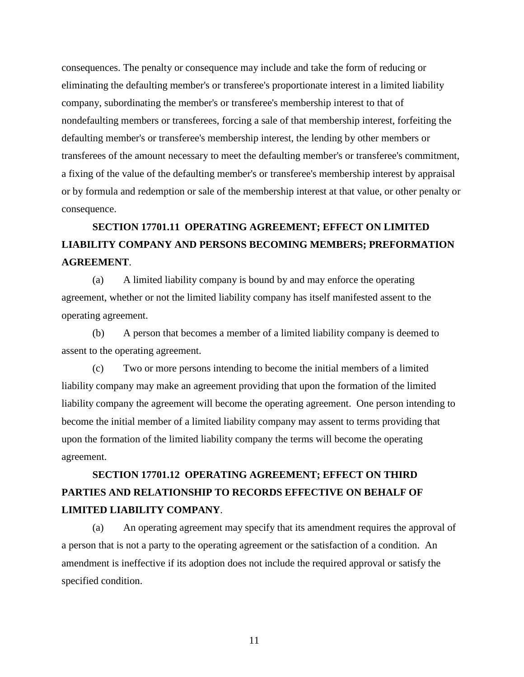consequences. The penalty or consequence may include and take the form of reducing or eliminating the defaulting member's or transferee's proportionate interest in a limited liability company, subordinating the member's or transferee's membership interest to that of nondefaulting members or transferees, forcing a sale of that membership interest, forfeiting the defaulting member's or transferee's membership interest, the lending by other members or transferees of the amount necessary to meet the defaulting member's or transferee's commitment, a fixing of the value of the defaulting member's or transferee's membership interest by appraisal or by formula and redemption or sale of the membership interest at that value, or other penalty or consequence.

# <span id="page-27-0"></span>**SECTION 17701.11 OPERATING AGREEMENT; EFFECT ON LIMITED LIABILITY COMPANY AND PERSONS BECOMING MEMBERS; PREFORMATION AGREEMENT**.

(a) A limited liability company is bound by and may enforce the operating agreement, whether or not the limited liability company has itself manifested assent to the operating agreement.

(b) A person that becomes a member of a limited liability company is deemed to assent to the operating agreement.

(c) Two or more persons intending to become the initial members of a limited liability company may make an agreement providing that upon the formation of the limited liability company the agreement will become the operating agreement. One person intending to become the initial member of a limited liability company may assent to terms providing that upon the formation of the limited liability company the terms will become the operating agreement.

# <span id="page-27-1"></span>**SECTION 17701.12 OPERATING AGREEMENT; EFFECT ON THIRD PARTIES AND RELATIONSHIP TO RECORDS EFFECTIVE ON BEHALF OF LIMITED LIABILITY COMPANY**.

(a) An operating agreement may specify that its amendment requires the approval of a person that is not a party to the operating agreement or the satisfaction of a condition. An amendment is ineffective if its adoption does not include the required approval or satisfy the specified condition.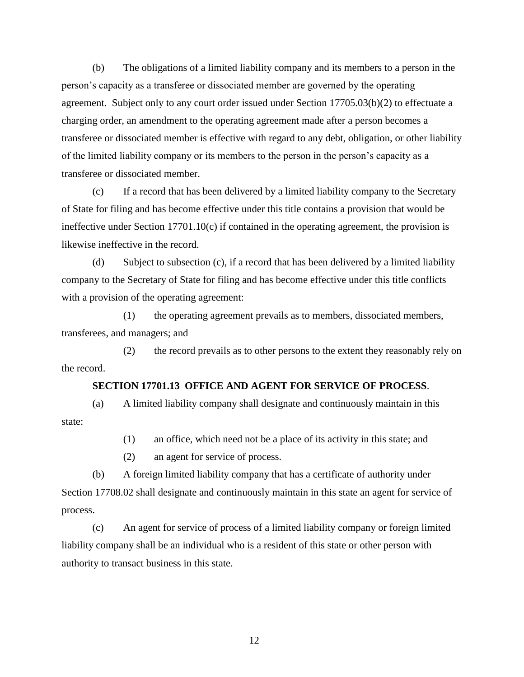(b) The obligations of a limited liability company and its members to a person in the person's capacity as a transferee or dissociated member are governed by the operating agreement. Subject only to any court order issued under Section 17705.03(b)(2) to effectuate a charging order, an amendment to the operating agreement made after a person becomes a transferee or dissociated member is effective with regard to any debt, obligation, or other liability of the limited liability company or its members to the person in the person's capacity as a transferee or dissociated member.

(c) If a record that has been delivered by a limited liability company to the Secretary of State for filing and has become effective under this title contains a provision that would be ineffective under Section 17701.10(c) if contained in the operating agreement, the provision is likewise ineffective in the record.

(d) Subject to subsection (c), if a record that has been delivered by a limited liability company to the Secretary of State for filing and has become effective under this title conflicts with a provision of the operating agreement:

(1) the operating agreement prevails as to members, dissociated members, transferees, and managers; and

(2) the record prevails as to other persons to the extent they reasonably rely on the record.

### **SECTION 17701.13 OFFICE AND AGENT FOR SERVICE OF PROCESS**.

<span id="page-28-0"></span>(a) A limited liability company shall designate and continuously maintain in this state:

- (1) an office, which need not be a place of its activity in this state; and
- (2) an agent for service of process.

(b) A foreign limited liability company that has a certificate of authority under Section 17708.02 shall designate and continuously maintain in this state an agent for service of process.

(c) An agent for service of process of a limited liability company or foreign limited liability company shall be an individual who is a resident of this state or other person with authority to transact business in this state.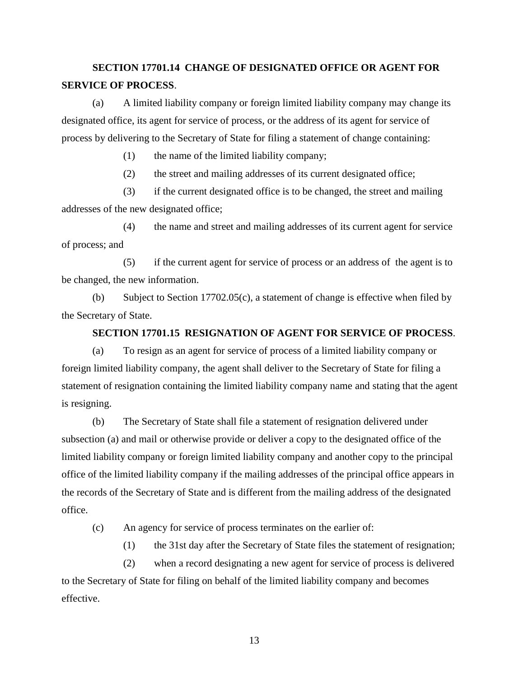# <span id="page-29-0"></span>**SECTION 17701.14 CHANGE OF DESIGNATED OFFICE OR AGENT FOR SERVICE OF PROCESS**.

(a) A limited liability company or foreign limited liability company may change its designated office, its agent for service of process, or the address of its agent for service of process by delivering to the Secretary of State for filing a statement of change containing:

(1) the name of the limited liability company;

(2) the street and mailing addresses of its current designated office;

(3) if the current designated office is to be changed, the street and mailing addresses of the new designated office;

(4) the name and street and mailing addresses of its current agent for service of process; and

(5) if the current agent for service of process or an address of the agent is to be changed, the new information.

(b) Subject to Section 17702.05(c), a statement of change is effective when filed by the Secretary of State.

#### **SECTION 17701.15 RESIGNATION OF AGENT FOR SERVICE OF PROCESS**.

<span id="page-29-1"></span>(a) To resign as an agent for service of process of a limited liability company or foreign limited liability company, the agent shall deliver to the Secretary of State for filing a statement of resignation containing the limited liability company name and stating that the agent is resigning.

(b) The Secretary of State shall file a statement of resignation delivered under subsection (a) and mail or otherwise provide or deliver a copy to the designated office of the limited liability company or foreign limited liability company and another copy to the principal office of the limited liability company if the mailing addresses of the principal office appears in the records of the Secretary of State and is different from the mailing address of the designated office.

(c) An agency for service of process terminates on the earlier of:

(1) the 31st day after the Secretary of State files the statement of resignation;

(2) when a record designating a new agent for service of process is delivered to the Secretary of State for filing on behalf of the limited liability company and becomes effective.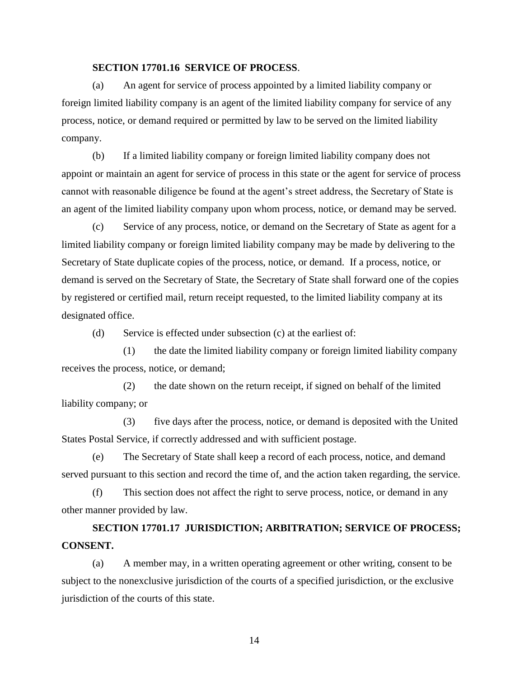#### **SECTION 17701.16 SERVICE OF PROCESS**.

<span id="page-30-0"></span>(a) An agent for service of process appointed by a limited liability company or foreign limited liability company is an agent of the limited liability company for service of any process, notice, or demand required or permitted by law to be served on the limited liability company.

(b) If a limited liability company or foreign limited liability company does not appoint or maintain an agent for service of process in this state or the agent for service of process cannot with reasonable diligence be found at the agent's street address, the Secretary of State is an agent of the limited liability company upon whom process, notice, or demand may be served.

(c) Service of any process, notice, or demand on the Secretary of State as agent for a limited liability company or foreign limited liability company may be made by delivering to the Secretary of State duplicate copies of the process, notice, or demand. If a process, notice, or demand is served on the Secretary of State, the Secretary of State shall forward one of the copies by registered or certified mail, return receipt requested, to the limited liability company at its designated office.

(d) Service is effected under subsection (c) at the earliest of:

(1) the date the limited liability company or foreign limited liability company receives the process, notice, or demand;

(2) the date shown on the return receipt, if signed on behalf of the limited liability company; or

(3) five days after the process, notice, or demand is deposited with the United States Postal Service, if correctly addressed and with sufficient postage.

(e) The Secretary of State shall keep a record of each process, notice, and demand served pursuant to this section and record the time of, and the action taken regarding, the service.

(f) This section does not affect the right to serve process, notice, or demand in any other manner provided by law.

# <span id="page-30-1"></span>**SECTION 17701.17 JURISDICTION; ARBITRATION; SERVICE OF PROCESS; CONSENT.**

(a) A member may, in a written operating agreement or other writing, consent to be subject to the nonexclusive jurisdiction of the courts of a specified jurisdiction, or the exclusive jurisdiction of the courts of this state.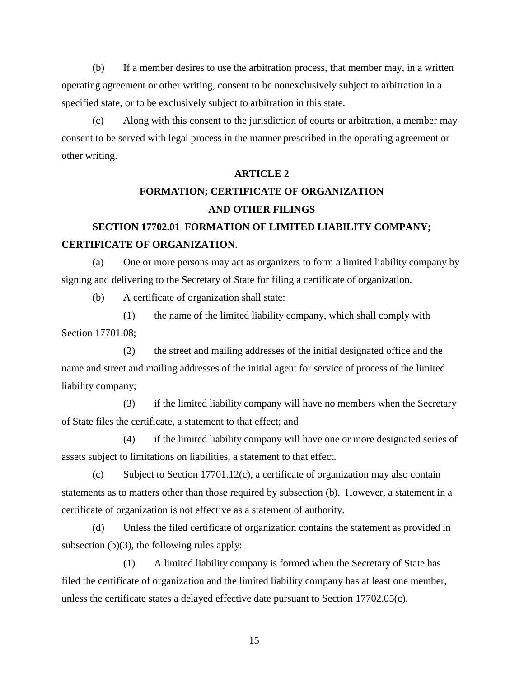(b) If a member desires to use the arbitration process, that member may, in a written operating agreement or other writing, consent to be nonexclusively subject to arbitration in a specified state, or to be exclusively subject to arbitration in this state.

(c) Along with this consent to the jurisdiction of courts or arbitration, a member may consent to be served with legal process in the manner prescribed in the operating agreement or other writing.

#### **ARTICLE 2**

# **FORMATION; CERTIFICATE OF ORGANIZATION AND OTHER FILINGS**

# <span id="page-31-1"></span><span id="page-31-0"></span>**SECTION 17702.01 FORMATION OF LIMITED LIABILITY COMPANY; CERTIFICATE OF ORGANIZATION**.

(a) One or more persons may act as organizers to form a limited liability company by signing and delivering to the Secretary of State for filing a certificate of organization.

(b) A certificate of organization shall state:

(1) the name of the limited liability company, which shall comply with Section 17701.08;

(2) the street and mailing addresses of the initial designated office and the name and street and mailing addresses of the initial agent for service of process of the limited liability company;

(3) if the limited liability company will have no members when the Secretary of State files the certificate, a statement to that effect; and

(4) if the limited liability company will have one or more designated series of assets subject to limitations on liabilities, a statement to that effect.

(c) Subject to Section 17701.12(c), a certificate of organization may also contain statements as to matters other than those required by subsection (b). However, a statement in a certificate of organization is not effective as a statement of authority.

(d) Unless the filed certificate of organization contains the statement as provided in subsection  $(b)(3)$ , the following rules apply:

(1) A limited liability company is formed when the Secretary of State has filed the certificate of organization and the limited liability company has at least one member, unless the certificate states a delayed effective date pursuant to Section 17702.05(c).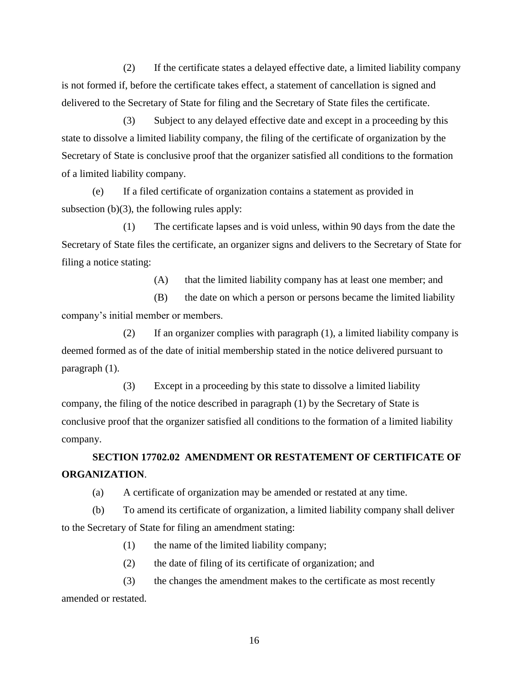(2) If the certificate states a delayed effective date, a limited liability company is not formed if, before the certificate takes effect, a statement of cancellation is signed and delivered to the Secretary of State for filing and the Secretary of State files the certificate.

(3) Subject to any delayed effective date and except in a proceeding by this state to dissolve a limited liability company, the filing of the certificate of organization by the Secretary of State is conclusive proof that the organizer satisfied all conditions to the formation of a limited liability company.

(e) If a filed certificate of organization contains a statement as provided in subsection  $(b)(3)$ , the following rules apply:

(1) The certificate lapses and is void unless, within 90 days from the date the Secretary of State files the certificate, an organizer signs and delivers to the Secretary of State for filing a notice stating:

(A) that the limited liability company has at least one member; and

(B) the date on which a person or persons became the limited liability company's initial member or members.

(2) If an organizer complies with paragraph (1), a limited liability company is deemed formed as of the date of initial membership stated in the notice delivered pursuant to paragraph (1).

(3) Except in a proceeding by this state to dissolve a limited liability company, the filing of the notice described in paragraph (1) by the Secretary of State is conclusive proof that the organizer satisfied all conditions to the formation of a limited liability company.

# <span id="page-32-0"></span>**SECTION 17702.02 AMENDMENT OR RESTATEMENT OF CERTIFICATE OF ORGANIZATION**.

(a) A certificate of organization may be amended or restated at any time.

(b) To amend its certificate of organization, a limited liability company shall deliver to the Secretary of State for filing an amendment stating:

(1) the name of the limited liability company;

(2) the date of filing of its certificate of organization; and

(3) the changes the amendment makes to the certificate as most recently amended or restated.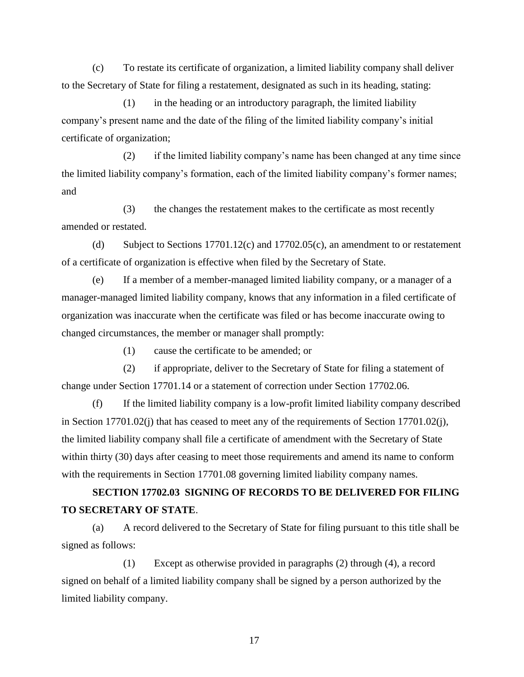(c) To restate its certificate of organization, a limited liability company shall deliver to the Secretary of State for filing a restatement, designated as such in its heading, stating:

(1) in the heading or an introductory paragraph, the limited liability company's present name and the date of the filing of the limited liability company's initial certificate of organization;

(2) if the limited liability company's name has been changed at any time since the limited liability company's formation, each of the limited liability company's former names; and

(3) the changes the restatement makes to the certificate as most recently amended or restated.

(d) Subject to Sections 17701.12(c) and 17702.05(c), an amendment to or restatement of a certificate of organization is effective when filed by the Secretary of State.

(e) If a member of a member-managed limited liability company, or a manager of a manager-managed limited liability company, knows that any information in a filed certificate of organization was inaccurate when the certificate was filed or has become inaccurate owing to changed circumstances, the member or manager shall promptly:

(1) cause the certificate to be amended; or

(2) if appropriate, deliver to the Secretary of State for filing a statement of change under Section 17701.14 or a statement of correction under Section 17702.06.

(f) If the limited liability company is a low-profit limited liability company described in Section 17701.02(j) that has ceased to meet any of the requirements of Section 17701.02(j), the limited liability company shall file a certificate of amendment with the Secretary of State within thirty (30) days after ceasing to meet those requirements and amend its name to conform with the requirements in Section 17701.08 governing limited liability company names.

# <span id="page-33-0"></span>**SECTION 17702.03 SIGNING OF RECORDS TO BE DELIVERED FOR FILING TO SECRETARY OF STATE**.

(a) A record delivered to the Secretary of State for filing pursuant to this title shall be signed as follows:

(1) Except as otherwise provided in paragraphs (2) through (4), a record signed on behalf of a limited liability company shall be signed by a person authorized by the limited liability company.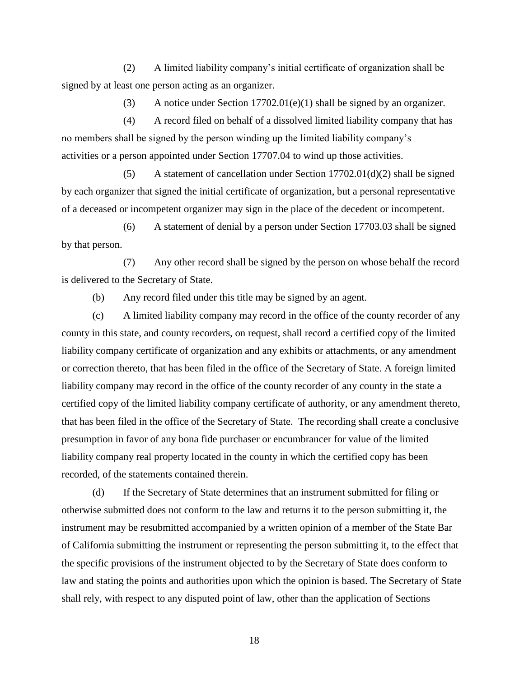(2) A limited liability company's initial certificate of organization shall be signed by at least one person acting as an organizer.

(3) A notice under Section 17702.01(e)(1) shall be signed by an organizer.

(4) A record filed on behalf of a dissolved limited liability company that has no members shall be signed by the person winding up the limited liability company's activities or a person appointed under Section 17707.04 to wind up those activities.

(5) A statement of cancellation under Section 17702.01(d)(2) shall be signed by each organizer that signed the initial certificate of organization, but a personal representative of a deceased or incompetent organizer may sign in the place of the decedent or incompetent.

(6) A statement of denial by a person under Section 17703.03 shall be signed by that person.

(7) Any other record shall be signed by the person on whose behalf the record is delivered to the Secretary of State.

(b) Any record filed under this title may be signed by an agent.

(c) A limited liability company may record in the office of the county recorder of any county in this state, and county recorders, on request, shall record a certified copy of the limited liability company certificate of organization and any exhibits or attachments, or any amendment or correction thereto, that has been filed in the office of the Secretary of State. A foreign limited liability company may record in the office of the county recorder of any county in the state a certified copy of the limited liability company certificate of authority, or any amendment thereto, that has been filed in the office of the Secretary of State. The recording shall create a conclusive presumption in favor of any bona fide purchaser or encumbrancer for value of the limited liability company real property located in the county in which the certified copy has been recorded, of the statements contained therein.

(d) If the Secretary of State determines that an instrument submitted for filing or otherwise submitted does not conform to the law and returns it to the person submitting it, the instrument may be resubmitted accompanied by a written opinion of a member of the State Bar of California submitting the instrument or representing the person submitting it, to the effect that the specific provisions of the instrument objected to by the Secretary of State does conform to law and stating the points and authorities upon which the opinion is based. The Secretary of State shall rely, with respect to any disputed point of law, other than the application of Sections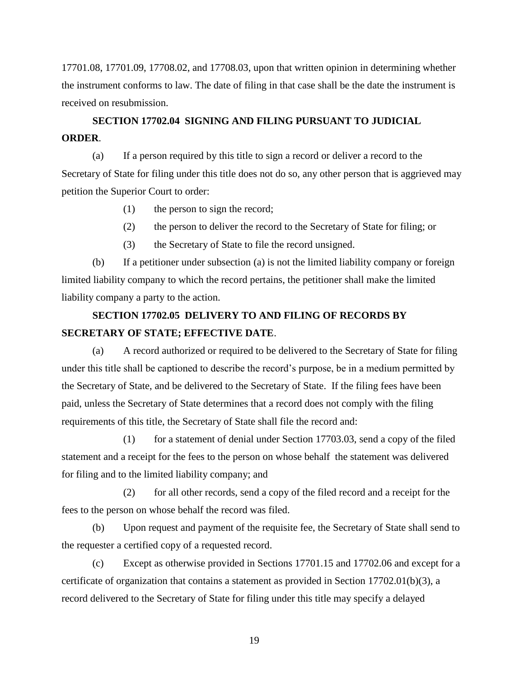17701.08, 17701.09, 17708.02, and 17708.03, upon that written opinion in determining whether the instrument conforms to law. The date of filing in that case shall be the date the instrument is received on resubmission.

# <span id="page-35-0"></span>**SECTION 17702.04 SIGNING AND FILING PURSUANT TO JUDICIAL ORDER**.

(a) If a person required by this title to sign a record or deliver a record to the Secretary of State for filing under this title does not do so, any other person that is aggrieved may petition the Superior Court to order:

- (1) the person to sign the record;
- (2) the person to deliver the record to the Secretary of State for filing; or
- (3) the Secretary of State to file the record unsigned.

(b) If a petitioner under subsection (a) is not the limited liability company or foreign limited liability company to which the record pertains, the petitioner shall make the limited liability company a party to the action.

# <span id="page-35-1"></span>**SECTION 17702.05 DELIVERY TO AND FILING OF RECORDS BY SECRETARY OF STATE; EFFECTIVE DATE**.

(a) A record authorized or required to be delivered to the Secretary of State for filing under this title shall be captioned to describe the record's purpose, be in a medium permitted by the Secretary of State, and be delivered to the Secretary of State. If the filing fees have been paid, unless the Secretary of State determines that a record does not comply with the filing requirements of this title, the Secretary of State shall file the record and:

(1) for a statement of denial under Section 17703.03, send a copy of the filed statement and a receipt for the fees to the person on whose behalf the statement was delivered for filing and to the limited liability company; and

(2) for all other records, send a copy of the filed record and a receipt for the fees to the person on whose behalf the record was filed.

(b) Upon request and payment of the requisite fee, the Secretary of State shall send to the requester a certified copy of a requested record.

(c) Except as otherwise provided in Sections 17701.15 and 17702.06 and except for a certificate of organization that contains a statement as provided in Section 17702.01(b)(3), a record delivered to the Secretary of State for filing under this title may specify a delayed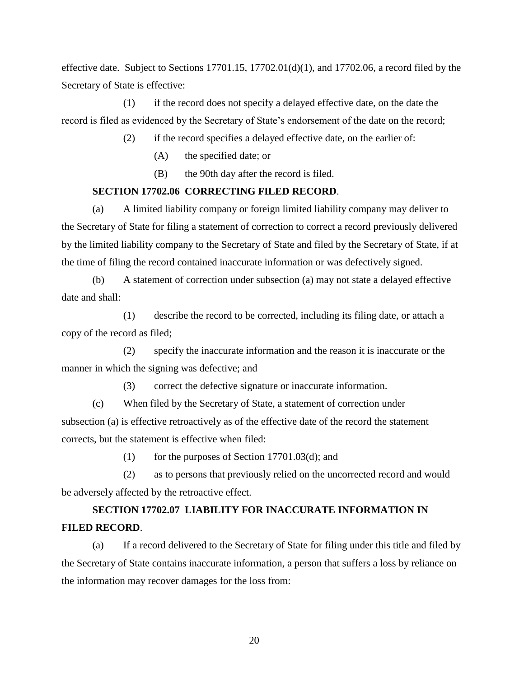effective date. Subject to Sections 17701.15, 17702.01(d)(1), and 17702.06, a record filed by the Secretary of State is effective:

(1) if the record does not specify a delayed effective date, on the date the record is filed as evidenced by the Secretary of State's endorsement of the date on the record;

- (2) if the record specifies a delayed effective date, on the earlier of:
	- (A) the specified date; or
	- (B) the 90th day after the record is filed.

#### **SECTION 17702.06 CORRECTING FILED RECORD**.

(a) A limited liability company or foreign limited liability company may deliver to the Secretary of State for filing a statement of correction to correct a record previously delivered by the limited liability company to the Secretary of State and filed by the Secretary of State, if at the time of filing the record contained inaccurate information or was defectively signed.

(b) A statement of correction under subsection (a) may not state a delayed effective date and shall:

(1) describe the record to be corrected, including its filing date, or attach a copy of the record as filed;

(2) specify the inaccurate information and the reason it is inaccurate or the manner in which the signing was defective; and

(3) correct the defective signature or inaccurate information.

(c) When filed by the Secretary of State, a statement of correction under subsection (a) is effective retroactively as of the effective date of the record the statement corrects, but the statement is effective when filed:

(1) for the purposes of Section  $17701.03(d)$ ; and

(2) as to persons that previously relied on the uncorrected record and would be adversely affected by the retroactive effect.

## **SECTION 17702.07 LIABILITY FOR INACCURATE INFORMATION IN FILED RECORD**.

(a) If a record delivered to the Secretary of State for filing under this title and filed by the Secretary of State contains inaccurate information, a person that suffers a loss by reliance on the information may recover damages for the loss from: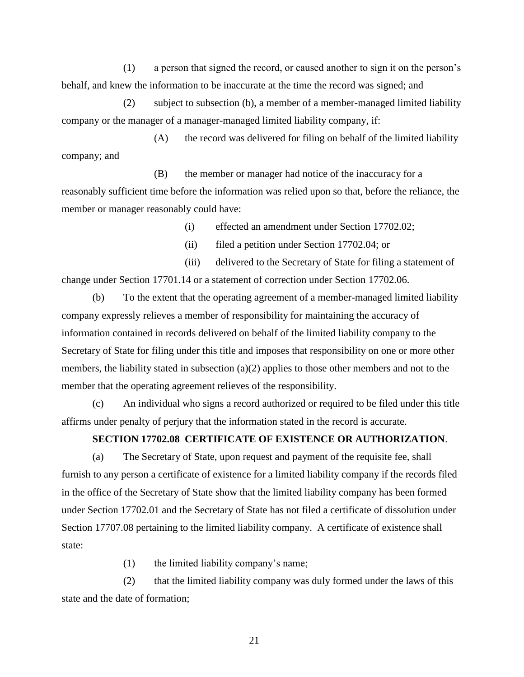(1) a person that signed the record, or caused another to sign it on the person's behalf, and knew the information to be inaccurate at the time the record was signed; and

(2) subject to subsection (b), a member of a member-managed limited liability company or the manager of a manager-managed limited liability company, if:

(A) the record was delivered for filing on behalf of the limited liability company; and

(B) the member or manager had notice of the inaccuracy for a reasonably sufficient time before the information was relied upon so that, before the reliance, the member or manager reasonably could have:

(i) effected an amendment under Section 17702.02;

(ii) filed a petition under Section 17702.04; or

(iii) delivered to the Secretary of State for filing a statement of change under Section 17701.14 or a statement of correction under Section 17702.06.

(b) To the extent that the operating agreement of a member-managed limited liability company expressly relieves a member of responsibility for maintaining the accuracy of information contained in records delivered on behalf of the limited liability company to the Secretary of State for filing under this title and imposes that responsibility on one or more other members, the liability stated in subsection (a)(2) applies to those other members and not to the member that the operating agreement relieves of the responsibility.

(c) An individual who signs a record authorized or required to be filed under this title affirms under penalty of perjury that the information stated in the record is accurate.

### **SECTION 17702.08 CERTIFICATE OF EXISTENCE OR AUTHORIZATION**.

(a) The Secretary of State, upon request and payment of the requisite fee, shall furnish to any person a certificate of existence for a limited liability company if the records filed in the office of the Secretary of State show that the limited liability company has been formed under Section 17702.01 and the Secretary of State has not filed a certificate of dissolution under Section 17707.08 pertaining to the limited liability company. A certificate of existence shall state:

(1) the limited liability company's name;

(2) that the limited liability company was duly formed under the laws of this state and the date of formation;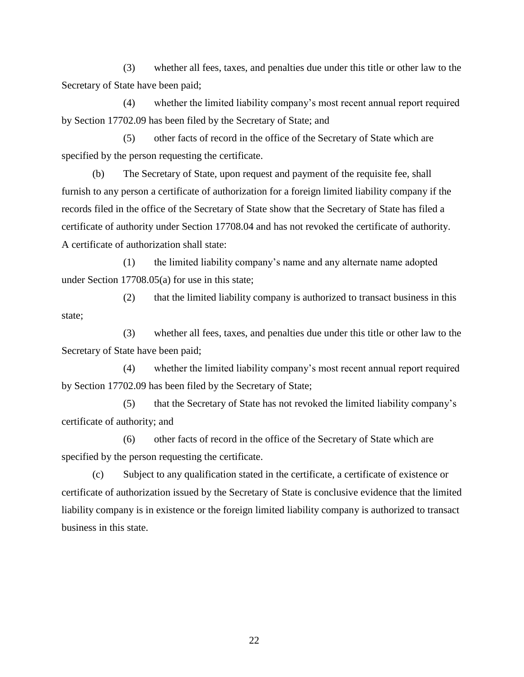(3) whether all fees, taxes, and penalties due under this title or other law to the Secretary of State have been paid;

(4) whether the limited liability company's most recent annual report required by Section 17702.09 has been filed by the Secretary of State; and

(5) other facts of record in the office of the Secretary of State which are specified by the person requesting the certificate.

(b) The Secretary of State, upon request and payment of the requisite fee, shall furnish to any person a certificate of authorization for a foreign limited liability company if the records filed in the office of the Secretary of State show that the Secretary of State has filed a certificate of authority under Section 17708.04 and has not revoked the certificate of authority. A certificate of authorization shall state:

(1) the limited liability company's name and any alternate name adopted under Section 17708.05(a) for use in this state;

(2) that the limited liability company is authorized to transact business in this state;

(3) whether all fees, taxes, and penalties due under this title or other law to the Secretary of State have been paid;

(4) whether the limited liability company's most recent annual report required by Section 17702.09 has been filed by the Secretary of State;

(5) that the Secretary of State has not revoked the limited liability company's certificate of authority; and

(6) other facts of record in the office of the Secretary of State which are specified by the person requesting the certificate.

(c) Subject to any qualification stated in the certificate, a certificate of existence or certificate of authorization issued by the Secretary of State is conclusive evidence that the limited liability company is in existence or the foreign limited liability company is authorized to transact business in this state.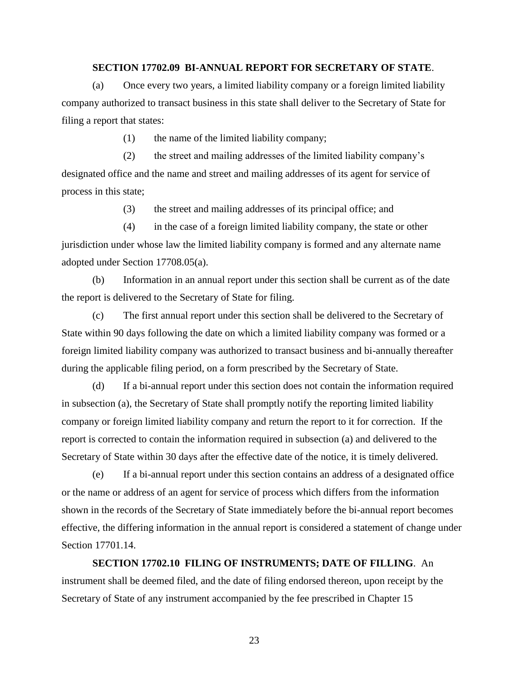#### **SECTION 17702.09 BI-ANNUAL REPORT FOR SECRETARY OF STATE**.

(a) Once every two years, a limited liability company or a foreign limited liability company authorized to transact business in this state shall deliver to the Secretary of State for filing a report that states:

(1) the name of the limited liability company;

(2) the street and mailing addresses of the limited liability company's designated office and the name and street and mailing addresses of its agent for service of process in this state;

(3) the street and mailing addresses of its principal office; and

(4) in the case of a foreign limited liability company, the state or other jurisdiction under whose law the limited liability company is formed and any alternate name adopted under Section 17708.05(a).

(b) Information in an annual report under this section shall be current as of the date the report is delivered to the Secretary of State for filing.

(c) The first annual report under this section shall be delivered to the Secretary of State within 90 days following the date on which a limited liability company was formed or a foreign limited liability company was authorized to transact business and bi-annually thereafter during the applicable filing period, on a form prescribed by the Secretary of State.

(d) If a bi-annual report under this section does not contain the information required in subsection (a), the Secretary of State shall promptly notify the reporting limited liability company or foreign limited liability company and return the report to it for correction. If the report is corrected to contain the information required in subsection (a) and delivered to the Secretary of State within 30 days after the effective date of the notice, it is timely delivered.

(e) If a bi-annual report under this section contains an address of a designated office or the name or address of an agent for service of process which differs from the information shown in the records of the Secretary of State immediately before the bi-annual report becomes effective, the differing information in the annual report is considered a statement of change under Section 17701.14.

**SECTION 17702.10 FILING OF INSTRUMENTS; DATE OF FILLING**. An instrument shall be deemed filed, and the date of filing endorsed thereon, upon receipt by the Secretary of State of any instrument accompanied by the fee prescribed in Chapter 15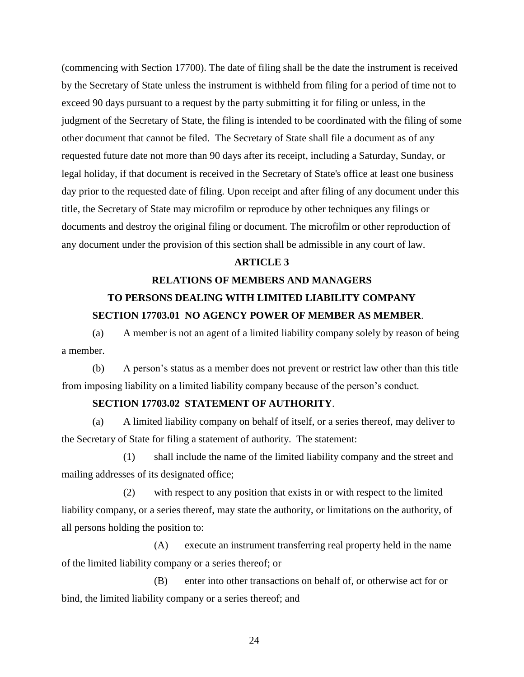(commencing with Section 17700). The date of filing shall be the date the instrument is received by the Secretary of State unless the instrument is withheld from filing for a period of time not to exceed 90 days pursuant to a request by the party submitting it for filing or unless, in the judgment of the Secretary of State, the filing is intended to be coordinated with the filing of some other document that cannot be filed. The Secretary of State shall file a document as of any requested future date not more than 90 days after its receipt, including a Saturday, Sunday, or legal holiday, if that document is received in the Secretary of State's office at least one business day prior to the requested date of filing. Upon receipt and after filing of any document under this title, the Secretary of State may microfilm or reproduce by other techniques any filings or documents and destroy the original filing or document. The microfilm or other reproduction of any document under the provision of this section shall be admissible in any court of law.

#### **ARTICLE 3**

# **RELATIONS OF MEMBERS AND MANAGERS TO PERSONS DEALING WITH LIMITED LIABILITY COMPANY**

### **SECTION 17703.01 NO AGENCY POWER OF MEMBER AS MEMBER**.

(a) A member is not an agent of a limited liability company solely by reason of being a member.

(b) A person's status as a member does not prevent or restrict law other than this title from imposing liability on a limited liability company because of the person's conduct.

#### **SECTION 17703.02 STATEMENT OF AUTHORITY**.

(a) A limited liability company on behalf of itself, or a series thereof, may deliver to the Secretary of State for filing a statement of authority. The statement:

(1) shall include the name of the limited liability company and the street and mailing addresses of its designated office;

(2) with respect to any position that exists in or with respect to the limited liability company, or a series thereof, may state the authority, or limitations on the authority, of all persons holding the position to:

(A) execute an instrument transferring real property held in the name of the limited liability company or a series thereof; or

(B) enter into other transactions on behalf of, or otherwise act for or bind, the limited liability company or a series thereof; and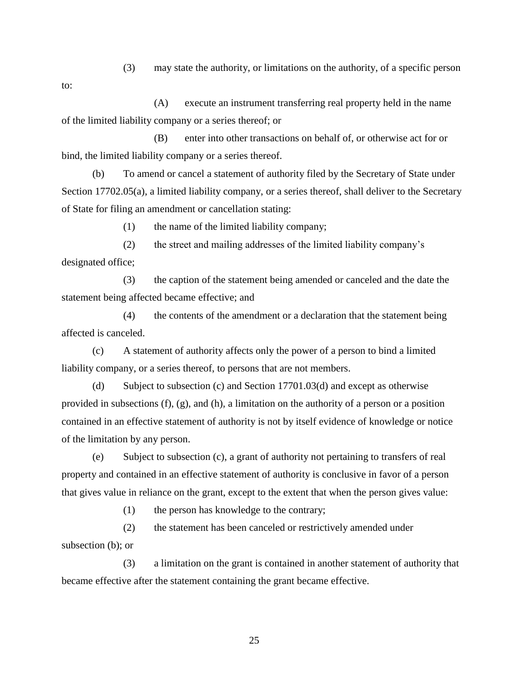(3) may state the authority, or limitations on the authority, of a specific person to:

(A) execute an instrument transferring real property held in the name of the limited liability company or a series thereof; or

(B) enter into other transactions on behalf of, or otherwise act for or bind, the limited liability company or a series thereof.

(b) To amend or cancel a statement of authority filed by the Secretary of State under Section 17702.05(a), a limited liability company, or a series thereof, shall deliver to the Secretary of State for filing an amendment or cancellation stating:

(1) the name of the limited liability company;

(2) the street and mailing addresses of the limited liability company's designated office;

(3) the caption of the statement being amended or canceled and the date the statement being affected became effective; and

(4) the contents of the amendment or a declaration that the statement being affected is canceled.

(c) A statement of authority affects only the power of a person to bind a limited liability company, or a series thereof, to persons that are not members.

(d) Subject to subsection (c) and Section 17701.03(d) and except as otherwise provided in subsections (f), (g), and (h), a limitation on the authority of a person or a position contained in an effective statement of authority is not by itself evidence of knowledge or notice of the limitation by any person.

(e) Subject to subsection (c), a grant of authority not pertaining to transfers of real property and contained in an effective statement of authority is conclusive in favor of a person that gives value in reliance on the grant, except to the extent that when the person gives value:

(1) the person has knowledge to the contrary;

(2) the statement has been canceled or restrictively amended under

subsection (b); or

(3) a limitation on the grant is contained in another statement of authority that became effective after the statement containing the grant became effective.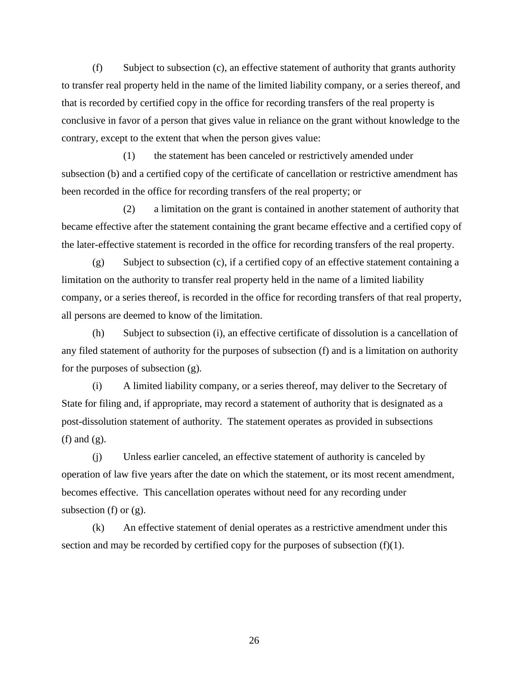(f) Subject to subsection (c), an effective statement of authority that grants authority to transfer real property held in the name of the limited liability company, or a series thereof, and that is recorded by certified copy in the office for recording transfers of the real property is conclusive in favor of a person that gives value in reliance on the grant without knowledge to the contrary, except to the extent that when the person gives value:

(1) the statement has been canceled or restrictively amended under subsection (b) and a certified copy of the certificate of cancellation or restrictive amendment has been recorded in the office for recording transfers of the real property; or

(2) a limitation on the grant is contained in another statement of authority that became effective after the statement containing the grant became effective and a certified copy of the later-effective statement is recorded in the office for recording transfers of the real property.

(g) Subject to subsection (c), if a certified copy of an effective statement containing a limitation on the authority to transfer real property held in the name of a limited liability company, or a series thereof, is recorded in the office for recording transfers of that real property, all persons are deemed to know of the limitation.

(h) Subject to subsection (i), an effective certificate of dissolution is a cancellation of any filed statement of authority for the purposes of subsection (f) and is a limitation on authority for the purposes of subsection (g).

(i) A limited liability company, or a series thereof, may deliver to the Secretary of State for filing and, if appropriate, may record a statement of authority that is designated as a post-dissolution statement of authority. The statement operates as provided in subsections (f) and (g).

(j) Unless earlier canceled, an effective statement of authority is canceled by operation of law five years after the date on which the statement, or its most recent amendment, becomes effective. This cancellation operates without need for any recording under subsection (f) or  $(g)$ .

(k) An effective statement of denial operates as a restrictive amendment under this section and may be recorded by certified copy for the purposes of subsection  $(f)(1)$ .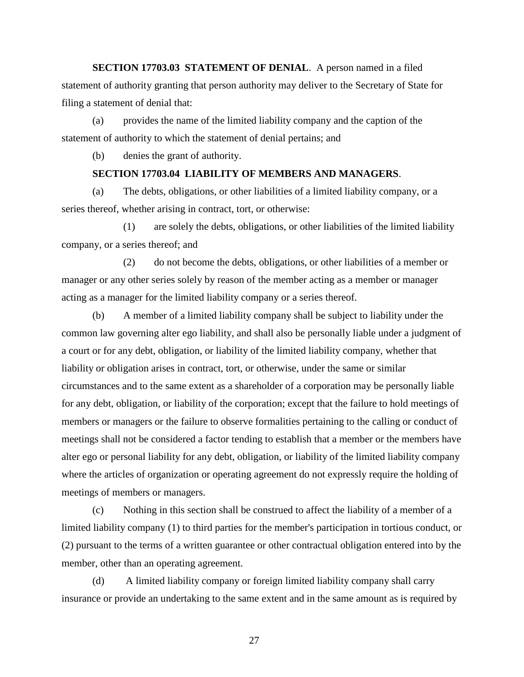**SECTION 17703.03 STATEMENT OF DENIAL**. A person named in a filed statement of authority granting that person authority may deliver to the Secretary of State for filing a statement of denial that:

(a) provides the name of the limited liability company and the caption of the statement of authority to which the statement of denial pertains; and

(b) denies the grant of authority.

#### **SECTION 17703.04 LIABILITY OF MEMBERS AND MANAGERS**.

(a) The debts, obligations, or other liabilities of a limited liability company, or a series thereof, whether arising in contract, tort, or otherwise:

(1) are solely the debts, obligations, or other liabilities of the limited liability company, or a series thereof; and

(2) do not become the debts, obligations, or other liabilities of a member or manager or any other series solely by reason of the member acting as a member or manager acting as a manager for the limited liability company or a series thereof.

(b) A member of a limited liability company shall be subject to liability under the common law governing alter ego liability, and shall also be personally liable under a judgment of a court or for any debt, obligation, or liability of the limited liability company, whether that liability or obligation arises in contract, tort, or otherwise, under the same or similar circumstances and to the same extent as a shareholder of a corporation may be personally liable for any debt, obligation, or liability of the corporation; except that the failure to hold meetings of members or managers or the failure to observe formalities pertaining to the calling or conduct of meetings shall not be considered a factor tending to establish that a member or the members have alter ego or personal liability for any debt, obligation, or liability of the limited liability company where the articles of organization or operating agreement do not expressly require the holding of meetings of members or managers.

(c) Nothing in this section shall be construed to affect the liability of a member of a limited liability company (1) to third parties for the member's participation in tortious conduct, or (2) pursuant to the terms of a written guarantee or other contractual obligation entered into by the member, other than an operating agreement.

(d) A limited liability company or foreign limited liability company shall carry insurance or provide an undertaking to the same extent and in the same amount as is required by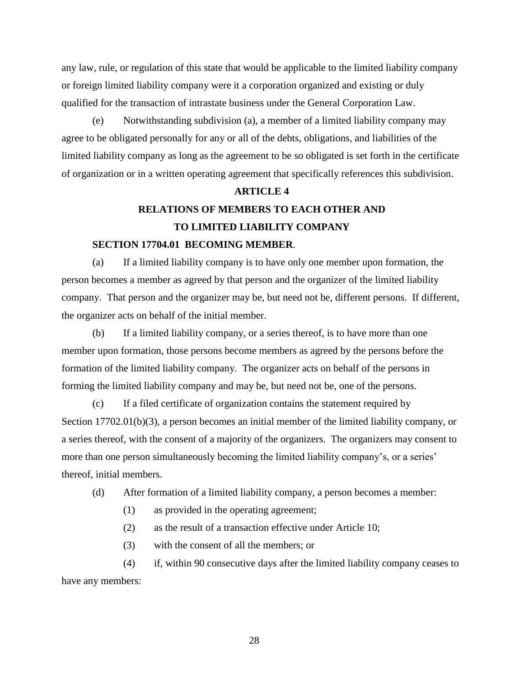any law, rule, or regulation of this state that would be applicable to the limited liability company or foreign limited liability company were it a corporation organized and existing or duly qualified for the transaction of intrastate business under the General Corporation Law.

(e) Notwithstanding subdivision (a), a member of a limited liability company may agree to be obligated personally for any or all of the debts, obligations, and liabilities of the limited liability company as long as the agreement to be so obligated is set forth in the certificate of organization or in a written operating agreement that specifically references this subdivision.

#### **ARTICLE 4**

# **RELATIONS OF MEMBERS TO EACH OTHER AND TO LIMITED LIABILITY COMPANY**

### **SECTION 17704.01 BECOMING MEMBER**.

(a) If a limited liability company is to have only one member upon formation, the person becomes a member as agreed by that person and the organizer of the limited liability company. That person and the organizer may be, but need not be, different persons. If different, the organizer acts on behalf of the initial member.

(b) If a limited liability company, or a series thereof, is to have more than one member upon formation, those persons become members as agreed by the persons before the formation of the limited liability company. The organizer acts on behalf of the persons in forming the limited liability company and may be, but need not be, one of the persons.

(c) If a filed certificate of organization contains the statement required by Section 17702.01(b)(3), a person becomes an initial member of the limited liability company, or a series thereof, with the consent of a majority of the organizers. The organizers may consent to more than one person simultaneously becoming the limited liability company's, or a series' thereof, initial members.

- (d) After formation of a limited liability company, a person becomes a member:
	- (1) as provided in the operating agreement;
	- (2) as the result of a transaction effective under Article 10;
	- (3) with the consent of all the members; or

(4) if, within 90 consecutive days after the limited liability company ceases to have any members: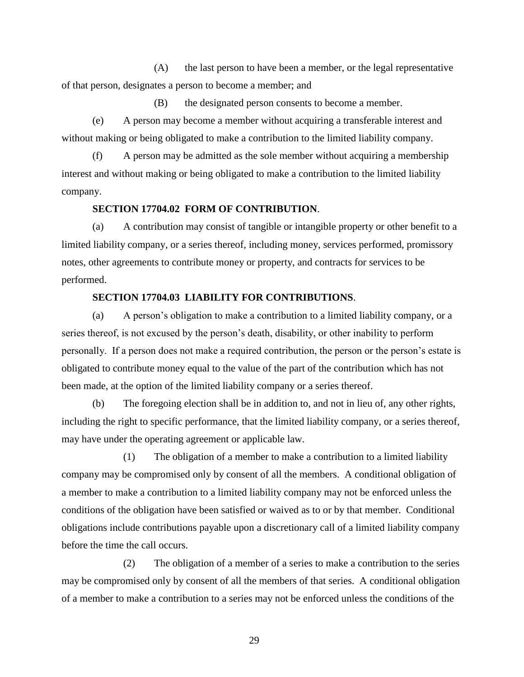(A) the last person to have been a member, or the legal representative of that person, designates a person to become a member; and

(B) the designated person consents to become a member.

(e) A person may become a member without acquiring a transferable interest and without making or being obligated to make a contribution to the limited liability company.

(f) A person may be admitted as the sole member without acquiring a membership interest and without making or being obligated to make a contribution to the limited liability company.

### **SECTION 17704.02 FORM OF CONTRIBUTION**.

(a) A contribution may consist of tangible or intangible property or other benefit to a limited liability company, or a series thereof, including money, services performed, promissory notes, other agreements to contribute money or property, and contracts for services to be performed.

### **SECTION 17704.03 LIABILITY FOR CONTRIBUTIONS**.

(a) A person's obligation to make a contribution to a limited liability company, or a series thereof, is not excused by the person's death, disability, or other inability to perform personally. If a person does not make a required contribution, the person or the person's estate is obligated to contribute money equal to the value of the part of the contribution which has not been made, at the option of the limited liability company or a series thereof.

(b) The foregoing election shall be in addition to, and not in lieu of, any other rights, including the right to specific performance, that the limited liability company, or a series thereof, may have under the operating agreement or applicable law.

(1) The obligation of a member to make a contribution to a limited liability company may be compromised only by consent of all the members. A conditional obligation of a member to make a contribution to a limited liability company may not be enforced unless the conditions of the obligation have been satisfied or waived as to or by that member. Conditional obligations include contributions payable upon a discretionary call of a limited liability company before the time the call occurs.

(2) The obligation of a member of a series to make a contribution to the series may be compromised only by consent of all the members of that series. A conditional obligation of a member to make a contribution to a series may not be enforced unless the conditions of the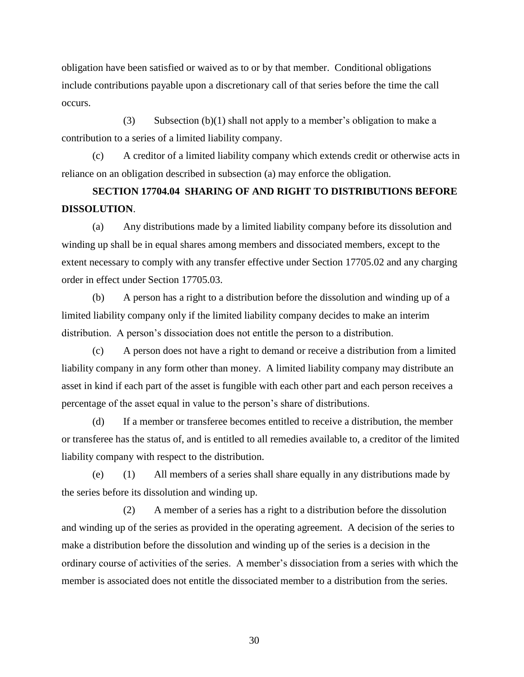obligation have been satisfied or waived as to or by that member. Conditional obligations include contributions payable upon a discretionary call of that series before the time the call occurs.

(3) Subsection  $(b)(1)$  shall not apply to a member's obligation to make a contribution to a series of a limited liability company.

(c) A creditor of a limited liability company which extends credit or otherwise acts in reliance on an obligation described in subsection (a) may enforce the obligation.

## **SECTION 17704.04 SHARING OF AND RIGHT TO DISTRIBUTIONS BEFORE DISSOLUTION**.

(a) Any distributions made by a limited liability company before its dissolution and winding up shall be in equal shares among members and dissociated members, except to the extent necessary to comply with any transfer effective under Section 17705.02 and any charging order in effect under Section 17705.03.

(b) A person has a right to a distribution before the dissolution and winding up of a limited liability company only if the limited liability company decides to make an interim distribution. A person's dissociation does not entitle the person to a distribution.

(c) A person does not have a right to demand or receive a distribution from a limited liability company in any form other than money. A limited liability company may distribute an asset in kind if each part of the asset is fungible with each other part and each person receives a percentage of the asset equal in value to the person's share of distributions.

(d) If a member or transferee becomes entitled to receive a distribution, the member or transferee has the status of, and is entitled to all remedies available to, a creditor of the limited liability company with respect to the distribution.

(e) (1) All members of a series shall share equally in any distributions made by the series before its dissolution and winding up.

(2) A member of a series has a right to a distribution before the dissolution and winding up of the series as provided in the operating agreement. A decision of the series to make a distribution before the dissolution and winding up of the series is a decision in the ordinary course of activities of the series. A member's dissociation from a series with which the member is associated does not entitle the dissociated member to a distribution from the series.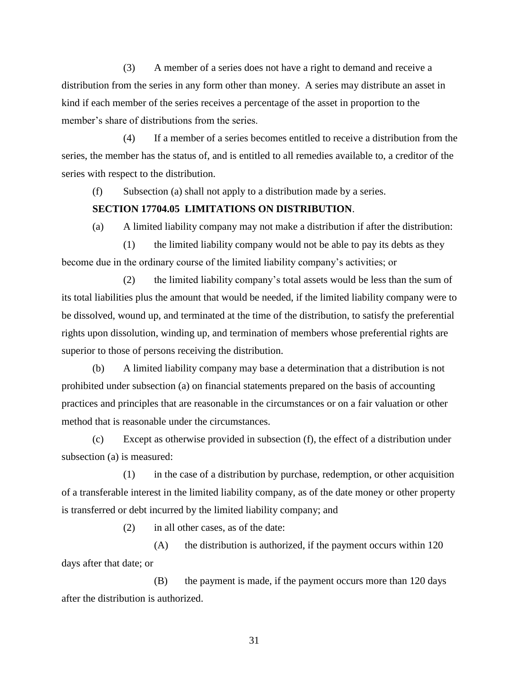(3) A member of a series does not have a right to demand and receive a distribution from the series in any form other than money. A series may distribute an asset in kind if each member of the series receives a percentage of the asset in proportion to the member's share of distributions from the series.

(4) If a member of a series becomes entitled to receive a distribution from the series, the member has the status of, and is entitled to all remedies available to, a creditor of the series with respect to the distribution.

(f) Subsection (a) shall not apply to a distribution made by a series.

### **SECTION 17704.05 LIMITATIONS ON DISTRIBUTION**.

(a) A limited liability company may not make a distribution if after the distribution:

(1) the limited liability company would not be able to pay its debts as they become due in the ordinary course of the limited liability company's activities; or

(2) the limited liability company's total assets would be less than the sum of its total liabilities plus the amount that would be needed, if the limited liability company were to be dissolved, wound up, and terminated at the time of the distribution, to satisfy the preferential rights upon dissolution, winding up, and termination of members whose preferential rights are superior to those of persons receiving the distribution.

(b) A limited liability company may base a determination that a distribution is not prohibited under subsection (a) on financial statements prepared on the basis of accounting practices and principles that are reasonable in the circumstances or on a fair valuation or other method that is reasonable under the circumstances.

(c) Except as otherwise provided in subsection (f), the effect of a distribution under subsection (a) is measured:

(1) in the case of a distribution by purchase, redemption, or other acquisition of a transferable interest in the limited liability company, as of the date money or other property is transferred or debt incurred by the limited liability company; and

(2) in all other cases, as of the date:

(A) the distribution is authorized, if the payment occurs within 120 days after that date; or

(B) the payment is made, if the payment occurs more than 120 days after the distribution is authorized.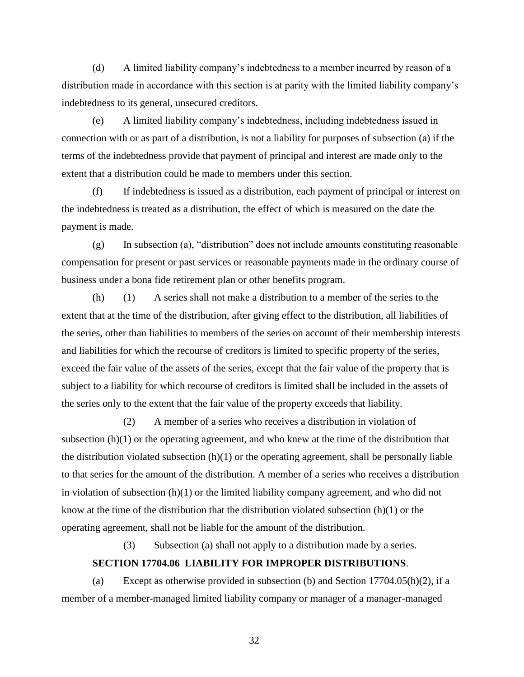(d) A limited liability company's indebtedness to a member incurred by reason of a distribution made in accordance with this section is at parity with the limited liability company's indebtedness to its general, unsecured creditors.

(e) A limited liability company's indebtedness, including indebtedness issued in connection with or as part of a distribution, is not a liability for purposes of subsection (a) if the terms of the indebtedness provide that payment of principal and interest are made only to the extent that a distribution could be made to members under this section.

(f) If indebtedness is issued as a distribution, each payment of principal or interest on the indebtedness is treated as a distribution, the effect of which is measured on the date the payment is made.

(g) In subsection (a), "distribution" does not include amounts constituting reasonable compensation for present or past services or reasonable payments made in the ordinary course of business under a bona fide retirement plan or other benefits program.

(h) (1) A series shall not make a distribution to a member of the series to the extent that at the time of the distribution, after giving effect to the distribution, all liabilities of the series, other than liabilities to members of the series on account of their membership interests and liabilities for which the recourse of creditors is limited to specific property of the series, exceed the fair value of the assets of the series, except that the fair value of the property that is subject to a liability for which recourse of creditors is limited shall be included in the assets of the series only to the extent that the fair value of the property exceeds that liability.

(2) A member of a series who receives a distribution in violation of subsection (h)(1) or the operating agreement, and who knew at the time of the distribution that the distribution violated subsection  $(h)(1)$  or the operating agreement, shall be personally liable to that series for the amount of the distribution. A member of a series who receives a distribution in violation of subsection (h)(1) or the limited liability company agreement, and who did not know at the time of the distribution that the distribution violated subsection (h)(1) or the operating agreement, shall not be liable for the amount of the distribution.

(3) Subsection (a) shall not apply to a distribution made by a series.

### **SECTION 17704.06 LIABILITY FOR IMPROPER DISTRIBUTIONS**.

(a) Except as otherwise provided in subsection (b) and Section 17704.05(h)(2), if a member of a member-managed limited liability company or manager of a manager-managed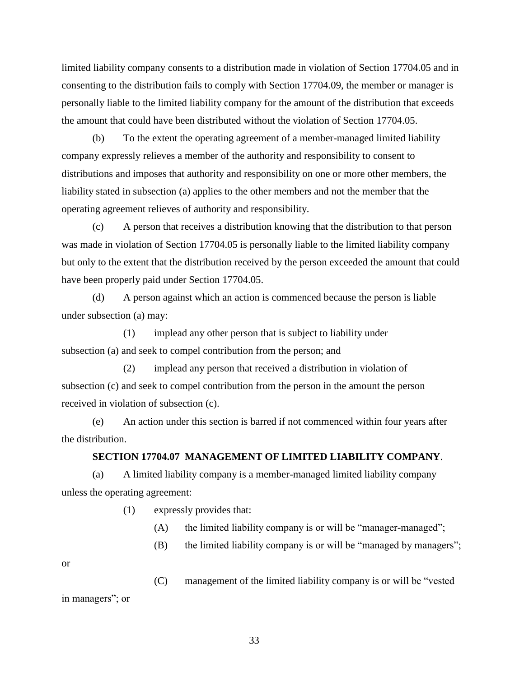limited liability company consents to a distribution made in violation of Section 17704.05 and in consenting to the distribution fails to comply with Section 17704.09, the member or manager is personally liable to the limited liability company for the amount of the distribution that exceeds the amount that could have been distributed without the violation of Section 17704.05.

(b) To the extent the operating agreement of a member-managed limited liability company expressly relieves a member of the authority and responsibility to consent to distributions and imposes that authority and responsibility on one or more other members, the liability stated in subsection (a) applies to the other members and not the member that the operating agreement relieves of authority and responsibility.

(c) A person that receives a distribution knowing that the distribution to that person was made in violation of Section 17704.05 is personally liable to the limited liability company but only to the extent that the distribution received by the person exceeded the amount that could have been properly paid under Section 17704.05.

(d) A person against which an action is commenced because the person is liable under subsection (a) may:

(1) implead any other person that is subject to liability under subsection (a) and seek to compel contribution from the person; and

(2) implead any person that received a distribution in violation of subsection (c) and seek to compel contribution from the person in the amount the person received in violation of subsection (c).

(e) An action under this section is barred if not commenced within four years after the distribution.

### **SECTION 17704.07 MANAGEMENT OF LIMITED LIABILITY COMPANY**.

(a) A limited liability company is a member-managed limited liability company unless the operating agreement:

- (1) expressly provides that:
	- (A) the limited liability company is or will be "manager-managed";
	- (B) the limited liability company is or will be "managed by managers";

or

(C) management of the limited liability company is or will be "vested

in managers"; or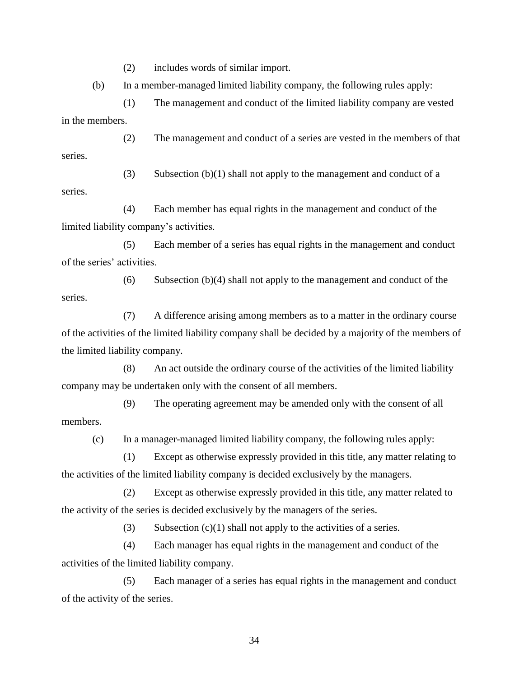(2) includes words of similar import.

(b) In a member-managed limited liability company, the following rules apply:

(1) The management and conduct of the limited liability company are vested in the members.

(2) The management and conduct of a series are vested in the members of that series.

(3) Subsection  $(b)(1)$  shall not apply to the management and conduct of a series.

(4) Each member has equal rights in the management and conduct of the limited liability company's activities.

(5) Each member of a series has equal rights in the management and conduct of the series' activities.

(6) Subsection (b)(4) shall not apply to the management and conduct of the series.

(7) A difference arising among members as to a matter in the ordinary course of the activities of the limited liability company shall be decided by a majority of the members of the limited liability company.

(8) An act outside the ordinary course of the activities of the limited liability company may be undertaken only with the consent of all members.

(9) The operating agreement may be amended only with the consent of all members.

(c) In a manager-managed limited liability company, the following rules apply:

(1) Except as otherwise expressly provided in this title, any matter relating to the activities of the limited liability company is decided exclusively by the managers.

(2) Except as otherwise expressly provided in this title, any matter related to the activity of the series is decided exclusively by the managers of the series.

(3) Subsection  $(c)(1)$  shall not apply to the activities of a series.

(4) Each manager has equal rights in the management and conduct of the activities of the limited liability company.

(5) Each manager of a series has equal rights in the management and conduct of the activity of the series.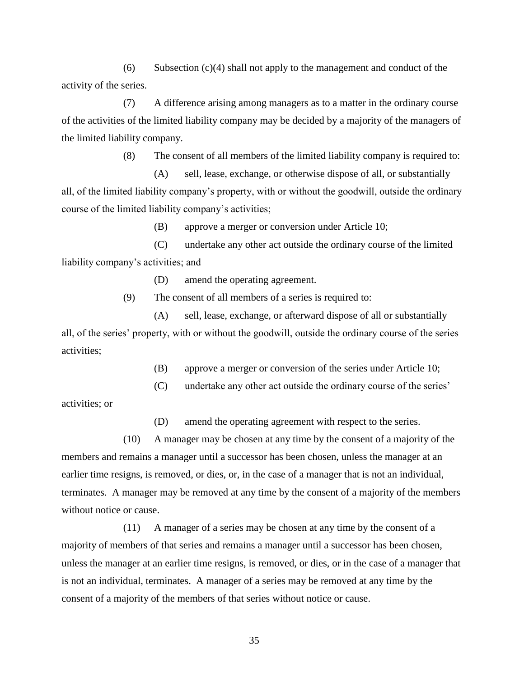(6) Subsection (c)(4) shall not apply to the management and conduct of the activity of the series.

(7) A difference arising among managers as to a matter in the ordinary course of the activities of the limited liability company may be decided by a majority of the managers of the limited liability company.

(8) The consent of all members of the limited liability company is required to:

(A) sell, lease, exchange, or otherwise dispose of all, or substantially all, of the limited liability company's property, with or without the goodwill, outside the ordinary course of the limited liability company's activities;

(B) approve a merger or conversion under Article 10;

(C) undertake any other act outside the ordinary course of the limited liability company's activities; and

(D) amend the operating agreement.

(9) The consent of all members of a series is required to:

(A) sell, lease, exchange, or afterward dispose of all or substantially all, of the series' property, with or without the goodwill, outside the ordinary course of the series activities;

(B) approve a merger or conversion of the series under Article 10;

(C) undertake any other act outside the ordinary course of the series'

activities; or

(D) amend the operating agreement with respect to the series.

(10) A manager may be chosen at any time by the consent of a majority of the members and remains a manager until a successor has been chosen, unless the manager at an earlier time resigns, is removed, or dies, or, in the case of a manager that is not an individual, terminates. A manager may be removed at any time by the consent of a majority of the members without notice or cause.

(11) A manager of a series may be chosen at any time by the consent of a majority of members of that series and remains a manager until a successor has been chosen, unless the manager at an earlier time resigns, is removed, or dies, or in the case of a manager that is not an individual, terminates. A manager of a series may be removed at any time by the consent of a majority of the members of that series without notice or cause.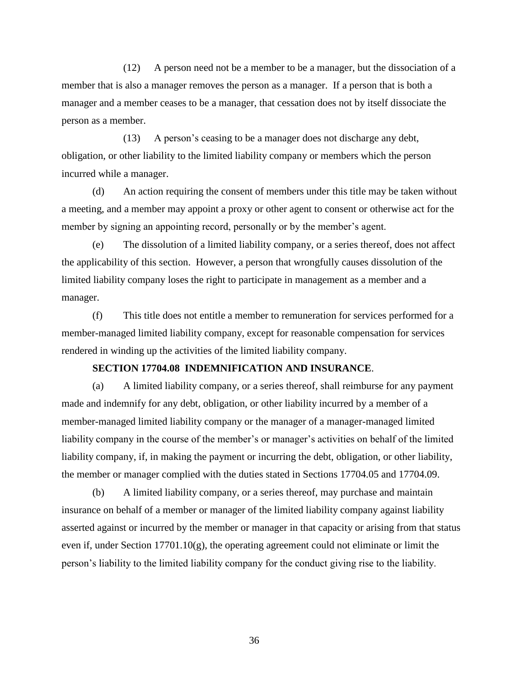(12) A person need not be a member to be a manager, but the dissociation of a member that is also a manager removes the person as a manager. If a person that is both a manager and a member ceases to be a manager, that cessation does not by itself dissociate the person as a member.

(13) A person's ceasing to be a manager does not discharge any debt, obligation, or other liability to the limited liability company or members which the person incurred while a manager.

(d) An action requiring the consent of members under this title may be taken without a meeting, and a member may appoint a proxy or other agent to consent or otherwise act for the member by signing an appointing record, personally or by the member's agent.

(e) The dissolution of a limited liability company, or a series thereof, does not affect the applicability of this section. However, a person that wrongfully causes dissolution of the limited liability company loses the right to participate in management as a member and a manager.

(f) This title does not entitle a member to remuneration for services performed for a member-managed limited liability company, except for reasonable compensation for services rendered in winding up the activities of the limited liability company.

#### **SECTION 17704.08 INDEMNIFICATION AND INSURANCE**.

(a) A limited liability company, or a series thereof, shall reimburse for any payment made and indemnify for any debt, obligation, or other liability incurred by a member of a member-managed limited liability company or the manager of a manager-managed limited liability company in the course of the member's or manager's activities on behalf of the limited liability company, if, in making the payment or incurring the debt, obligation, or other liability, the member or manager complied with the duties stated in Sections 17704.05 and 17704.09.

(b) A limited liability company, or a series thereof, may purchase and maintain insurance on behalf of a member or manager of the limited liability company against liability asserted against or incurred by the member or manager in that capacity or arising from that status even if, under Section 17701.10(g), the operating agreement could not eliminate or limit the person's liability to the limited liability company for the conduct giving rise to the liability.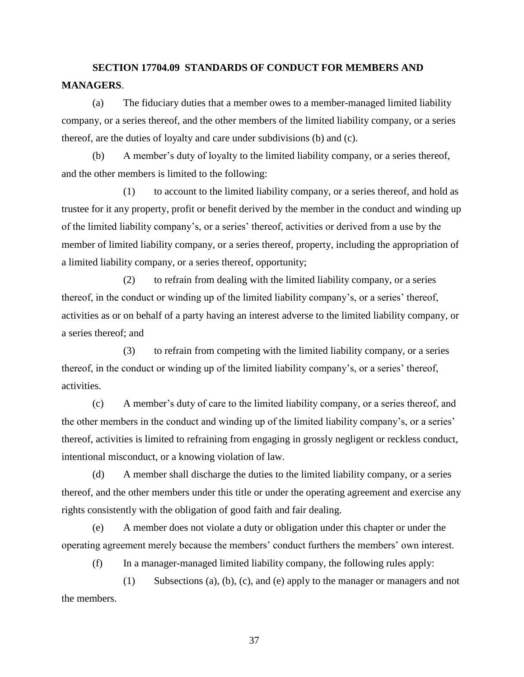# **SECTION 17704.09 STANDARDS OF CONDUCT FOR MEMBERS AND MANAGERS**.

(a) The fiduciary duties that a member owes to a member-managed limited liability company, or a series thereof, and the other members of the limited liability company, or a series thereof, are the duties of loyalty and care under subdivisions (b) and (c).

(b) A member's duty of loyalty to the limited liability company, or a series thereof, and the other members is limited to the following:

(1) to account to the limited liability company, or a series thereof, and hold as trustee for it any property, profit or benefit derived by the member in the conduct and winding up of the limited liability company's, or a series' thereof, activities or derived from a use by the member of limited liability company, or a series thereof, property, including the appropriation of a limited liability company, or a series thereof, opportunity;

(2) to refrain from dealing with the limited liability company, or a series thereof, in the conduct or winding up of the limited liability company's, or a series' thereof, activities as or on behalf of a party having an interest adverse to the limited liability company, or a series thereof; and

(3) to refrain from competing with the limited liability company, or a series thereof, in the conduct or winding up of the limited liability company's, or a series' thereof, activities.

(c) A member's duty of care to the limited liability company, or a series thereof, and the other members in the conduct and winding up of the limited liability company's, or a series' thereof, activities is limited to refraining from engaging in grossly negligent or reckless conduct, intentional misconduct, or a knowing violation of law.

(d) A member shall discharge the duties to the limited liability company, or a series thereof, and the other members under this title or under the operating agreement and exercise any rights consistently with the obligation of good faith and fair dealing.

(e) A member does not violate a duty or obligation under this chapter or under the operating agreement merely because the members' conduct furthers the members' own interest.

(f) In a manager-managed limited liability company, the following rules apply:

(1) Subsections (a), (b), (c), and (e) apply to the manager or managers and not the members.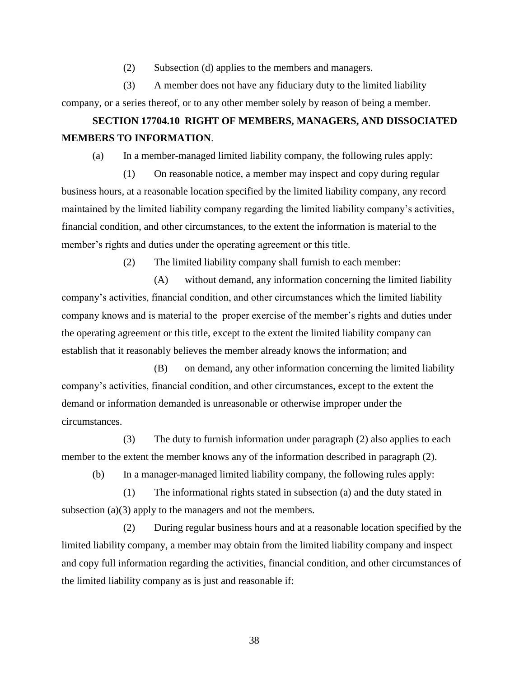(2) Subsection (d) applies to the members and managers.

(3) A member does not have any fiduciary duty to the limited liability company, or a series thereof, or to any other member solely by reason of being a member.

# **SECTION 17704.10 RIGHT OF MEMBERS, MANAGERS, AND DISSOCIATED MEMBERS TO INFORMATION**.

(a) In a member-managed limited liability company, the following rules apply:

(1) On reasonable notice, a member may inspect and copy during regular business hours, at a reasonable location specified by the limited liability company, any record maintained by the limited liability company regarding the limited liability company's activities, financial condition, and other circumstances, to the extent the information is material to the member's rights and duties under the operating agreement or this title.

(2) The limited liability company shall furnish to each member:

(A) without demand, any information concerning the limited liability company's activities, financial condition, and other circumstances which the limited liability company knows and is material to the proper exercise of the member's rights and duties under the operating agreement or this title, except to the extent the limited liability company can establish that it reasonably believes the member already knows the information; and

(B) on demand, any other information concerning the limited liability company's activities, financial condition, and other circumstances, except to the extent the demand or information demanded is unreasonable or otherwise improper under the circumstances.

(3) The duty to furnish information under paragraph (2) also applies to each member to the extent the member knows any of the information described in paragraph (2).

(b) In a manager-managed limited liability company, the following rules apply:

(1) The informational rights stated in subsection (a) and the duty stated in subsection (a)(3) apply to the managers and not the members.

(2) During regular business hours and at a reasonable location specified by the limited liability company, a member may obtain from the limited liability company and inspect and copy full information regarding the activities, financial condition, and other circumstances of the limited liability company as is just and reasonable if: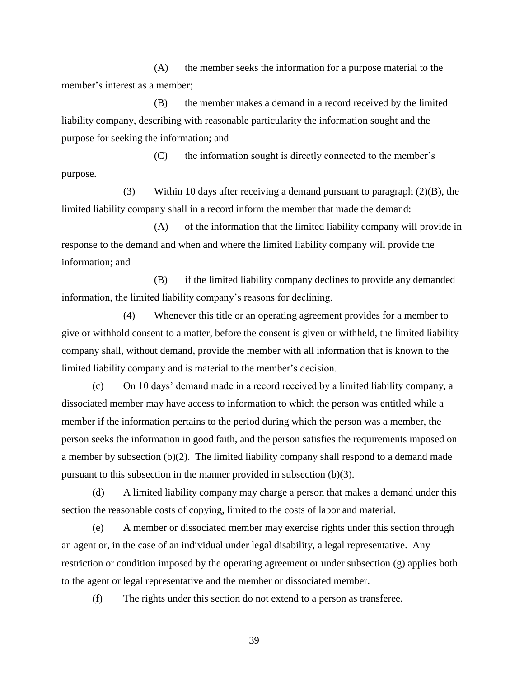(A) the member seeks the information for a purpose material to the member's interest as a member;

(B) the member makes a demand in a record received by the limited liability company, describing with reasonable particularity the information sought and the purpose for seeking the information; and

(C) the information sought is directly connected to the member's purpose.

(3) Within 10 days after receiving a demand pursuant to paragraph  $(2)(B)$ , the limited liability company shall in a record inform the member that made the demand:

(A) of the information that the limited liability company will provide in response to the demand and when and where the limited liability company will provide the information; and

(B) if the limited liability company declines to provide any demanded information, the limited liability company's reasons for declining.

(4) Whenever this title or an operating agreement provides for a member to give or withhold consent to a matter, before the consent is given or withheld, the limited liability company shall, without demand, provide the member with all information that is known to the limited liability company and is material to the member's decision.

(c) On 10 days' demand made in a record received by a limited liability company, a dissociated member may have access to information to which the person was entitled while a member if the information pertains to the period during which the person was a member, the person seeks the information in good faith, and the person satisfies the requirements imposed on a member by subsection  $(b)(2)$ . The limited liability company shall respond to a demand made pursuant to this subsection in the manner provided in subsection (b)(3).

(d) A limited liability company may charge a person that makes a demand under this section the reasonable costs of copying, limited to the costs of labor and material.

(e) A member or dissociated member may exercise rights under this section through an agent or, in the case of an individual under legal disability, a legal representative. Any restriction or condition imposed by the operating agreement or under subsection (g) applies both to the agent or legal representative and the member or dissociated member.

(f) The rights under this section do not extend to a person as transferee.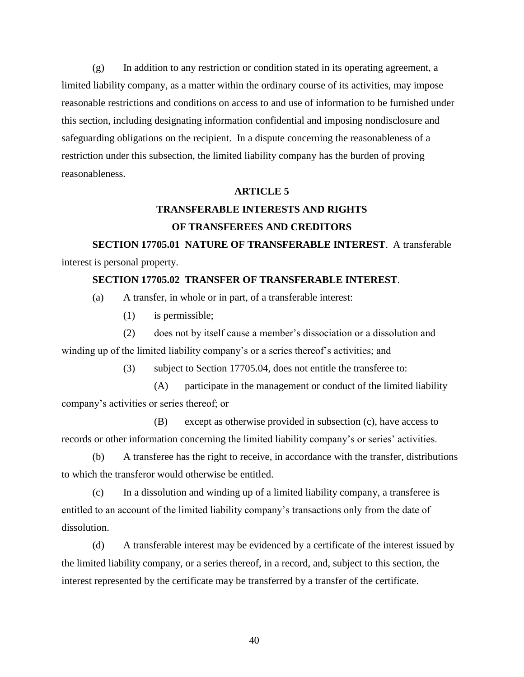(g) In addition to any restriction or condition stated in its operating agreement, a limited liability company, as a matter within the ordinary course of its activities, may impose reasonable restrictions and conditions on access to and use of information to be furnished under this section, including designating information confidential and imposing nondisclosure and safeguarding obligations on the recipient. In a dispute concerning the reasonableness of a restriction under this subsection, the limited liability company has the burden of proving reasonableness.

#### **ARTICLE 5**

## **TRANSFERABLE INTERESTS AND RIGHTS OF TRANSFEREES AND CREDITORS**

**SECTION 17705.01 NATURE OF TRANSFERABLE INTEREST**. A transferable interest is personal property.

### **SECTION 17705.02 TRANSFER OF TRANSFERABLE INTEREST**.

(a) A transfer, in whole or in part, of a transferable interest:

(1) is permissible;

(2) does not by itself cause a member's dissociation or a dissolution and winding up of the limited liability company's or a series thereof's activities; and

(3) subject to Section 17705.04, does not entitle the transferee to:

(A) participate in the management or conduct of the limited liability company's activities or series thereof; or

(B) except as otherwise provided in subsection (c), have access to records or other information concerning the limited liability company's or series' activities.

(b) A transferee has the right to receive, in accordance with the transfer, distributions to which the transferor would otherwise be entitled.

(c) In a dissolution and winding up of a limited liability company, a transferee is entitled to an account of the limited liability company's transactions only from the date of dissolution.

(d) A transferable interest may be evidenced by a certificate of the interest issued by the limited liability company, or a series thereof, in a record, and, subject to this section, the interest represented by the certificate may be transferred by a transfer of the certificate.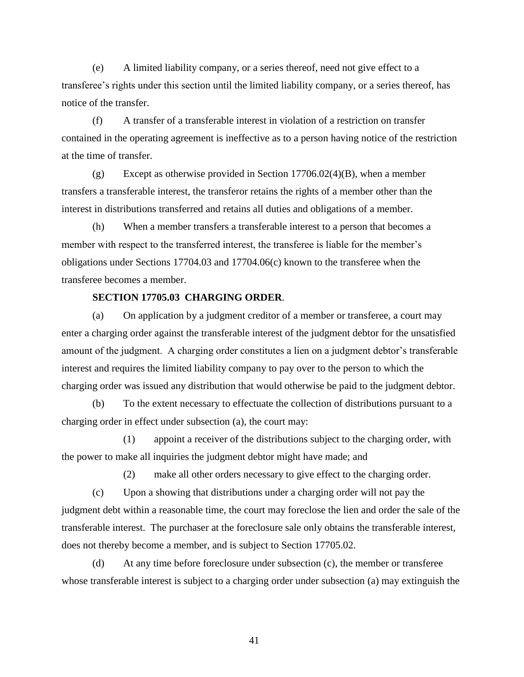(e) A limited liability company, or a series thereof, need not give effect to a transferee's rights under this section until the limited liability company, or a series thereof, has notice of the transfer.

(f) A transfer of a transferable interest in violation of a restriction on transfer contained in the operating agreement is ineffective as to a person having notice of the restriction at the time of transfer.

(g) Except as otherwise provided in Section 17706.02(4)(B), when a member transfers a transferable interest, the transferor retains the rights of a member other than the interest in distributions transferred and retains all duties and obligations of a member.

(h) When a member transfers a transferable interest to a person that becomes a member with respect to the transferred interest, the transferee is liable for the member's obligations under Sections 17704.03 and 17704.06(c) known to the transferee when the transferee becomes a member.

### **SECTION 17705.03 CHARGING ORDER**.

(a) On application by a judgment creditor of a member or transferee, a court may enter a charging order against the transferable interest of the judgment debtor for the unsatisfied amount of the judgment. A charging order constitutes a lien on a judgment debtor's transferable interest and requires the limited liability company to pay over to the person to which the charging order was issued any distribution that would otherwise be paid to the judgment debtor.

(b) To the extent necessary to effectuate the collection of distributions pursuant to a charging order in effect under subsection (a), the court may:

(1) appoint a receiver of the distributions subject to the charging order, with the power to make all inquiries the judgment debtor might have made; and

(2) make all other orders necessary to give effect to the charging order.

(c) Upon a showing that distributions under a charging order will not pay the judgment debt within a reasonable time, the court may foreclose the lien and order the sale of the transferable interest. The purchaser at the foreclosure sale only obtains the transferable interest, does not thereby become a member, and is subject to Section 17705.02.

(d) At any time before foreclosure under subsection (c), the member or transferee whose transferable interest is subject to a charging order under subsection (a) may extinguish the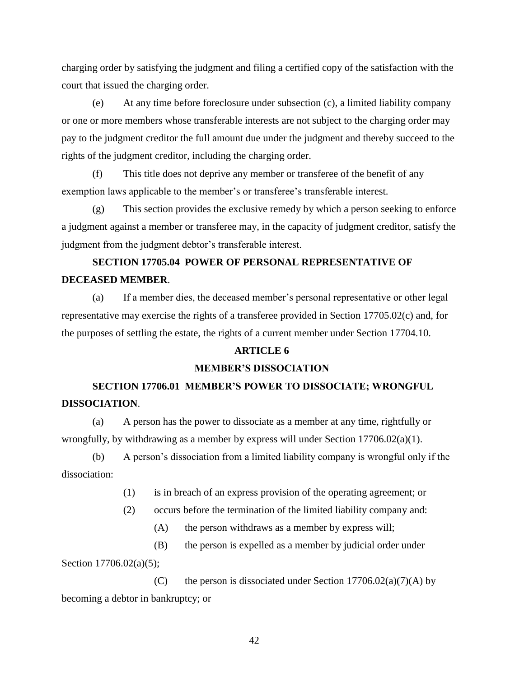charging order by satisfying the judgment and filing a certified copy of the satisfaction with the court that issued the charging order.

(e) At any time before foreclosure under subsection (c), a limited liability company or one or more members whose transferable interests are not subject to the charging order may pay to the judgment creditor the full amount due under the judgment and thereby succeed to the rights of the judgment creditor, including the charging order.

(f) This title does not deprive any member or transferee of the benefit of any exemption laws applicable to the member's or transferee's transferable interest.

(g) This section provides the exclusive remedy by which a person seeking to enforce a judgment against a member or transferee may, in the capacity of judgment creditor, satisfy the judgment from the judgment debtor's transferable interest.

# **SECTION 17705.04 POWER OF PERSONAL REPRESENTATIVE OF DECEASED MEMBER**.

(a) If a member dies, the deceased member's personal representative or other legal representative may exercise the rights of a transferee provided in Section 17705.02(c) and, for the purposes of settling the estate, the rights of a current member under Section 17704.10.

### **ARTICLE 6**

### **MEMBER'S DISSOCIATION**

## **SECTION 17706.01 MEMBER'S POWER TO DISSOCIATE; WRONGFUL DISSOCIATION**.

(a) A person has the power to dissociate as a member at any time, rightfully or wrongfully, by withdrawing as a member by express will under Section 17706.02(a)(1).

(b) A person's dissociation from a limited liability company is wrongful only if the dissociation:

(1) is in breach of an express provision of the operating agreement; or

(2) occurs before the termination of the limited liability company and:

(A) the person withdraws as a member by express will;

(B) the person is expelled as a member by judicial order under Section 17706.02(a)(5);

(C) the person is dissociated under Section  $17706.02(a)(7)(A)$  by becoming a debtor in bankruptcy; or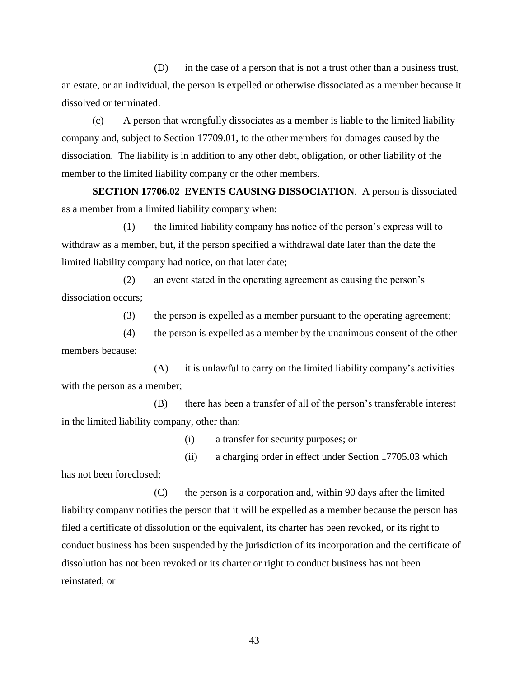(D) in the case of a person that is not a trust other than a business trust, an estate, or an individual, the person is expelled or otherwise dissociated as a member because it dissolved or terminated.

(c) A person that wrongfully dissociates as a member is liable to the limited liability company and, subject to Section 17709.01, to the other members for damages caused by the dissociation. The liability is in addition to any other debt, obligation, or other liability of the member to the limited liability company or the other members.

**SECTION 17706.02 EVENTS CAUSING DISSOCIATION**. A person is dissociated as a member from a limited liability company when:

(1) the limited liability company has notice of the person's express will to withdraw as a member, but, if the person specified a withdrawal date later than the date the limited liability company had notice, on that later date;

(2) an event stated in the operating agreement as causing the person's dissociation occurs;

(3) the person is expelled as a member pursuant to the operating agreement;

(4) the person is expelled as a member by the unanimous consent of the other members because:

 $(A)$  it is unlawful to carry on the limited liability company's activities with the person as a member;

(B) there has been a transfer of all of the person's transferable interest in the limited liability company, other than:

(i) a transfer for security purposes; or

(ii) a charging order in effect under Section 17705.03 which

has not been foreclosed;

(C) the person is a corporation and, within 90 days after the limited liability company notifies the person that it will be expelled as a member because the person has filed a certificate of dissolution or the equivalent, its charter has been revoked, or its right to conduct business has been suspended by the jurisdiction of its incorporation and the certificate of dissolution has not been revoked or its charter or right to conduct business has not been reinstated; or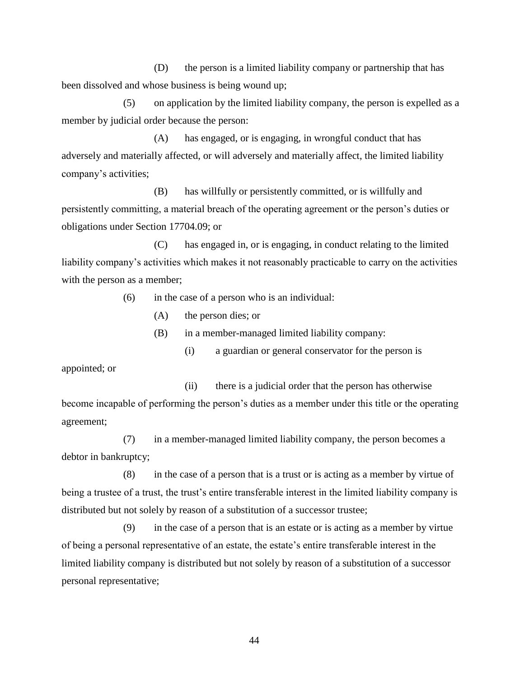(D) the person is a limited liability company or partnership that has been dissolved and whose business is being wound up;

(5) on application by the limited liability company, the person is expelled as a member by judicial order because the person:

(A) has engaged, or is engaging, in wrongful conduct that has adversely and materially affected, or will adversely and materially affect, the limited liability company's activities;

(B) has willfully or persistently committed, or is willfully and persistently committing, a material breach of the operating agreement or the person's duties or obligations under Section 17704.09; or

(C) has engaged in, or is engaging, in conduct relating to the limited liability company's activities which makes it not reasonably practicable to carry on the activities with the person as a member;

(6) in the case of a person who is an individual:

(A) the person dies; or

(B) in a member-managed limited liability company:

(i) a guardian or general conservator for the person is

appointed; or

(ii) there is a judicial order that the person has otherwise

become incapable of performing the person's duties as a member under this title or the operating agreement;

(7) in a member-managed limited liability company, the person becomes a debtor in bankruptcy;

(8) in the case of a person that is a trust or is acting as a member by virtue of being a trustee of a trust, the trust's entire transferable interest in the limited liability company is distributed but not solely by reason of a substitution of a successor trustee;

(9) in the case of a person that is an estate or is acting as a member by virtue of being a personal representative of an estate, the estate's entire transferable interest in the limited liability company is distributed but not solely by reason of a substitution of a successor personal representative;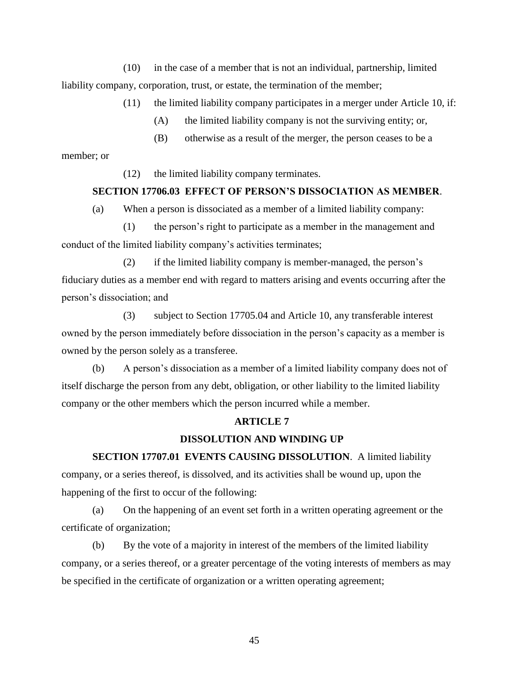(10) in the case of a member that is not an individual, partnership, limited liability company, corporation, trust, or estate, the termination of the member;

(11) the limited liability company participates in a merger under Article 10, if:

- (A) the limited liability company is not the surviving entity; or,
- (B) otherwise as a result of the merger, the person ceases to be a

member; or

(12) the limited liability company terminates.

#### **SECTION 17706.03 EFFECT OF PERSON'S DISSOCIATION AS MEMBER**.

(a) When a person is dissociated as a member of a limited liability company:

(1) the person's right to participate as a member in the management and conduct of the limited liability company's activities terminates;

(2) if the limited liability company is member-managed, the person's fiduciary duties as a member end with regard to matters arising and events occurring after the person's dissociation; and

(3) subject to Section 17705.04 and Article 10, any transferable interest owned by the person immediately before dissociation in the person's capacity as a member is owned by the person solely as a transferee.

(b) A person's dissociation as a member of a limited liability company does not of itself discharge the person from any debt, obligation, or other liability to the limited liability company or the other members which the person incurred while a member.

#### **ARTICLE 7**

### **DISSOLUTION AND WINDING UP**

**SECTION 17707.01 EVENTS CAUSING DISSOLUTION**. A limited liability company, or a series thereof, is dissolved, and its activities shall be wound up, upon the happening of the first to occur of the following:

(a) On the happening of an event set forth in a written operating agreement or the certificate of organization;

(b) By the vote of a majority in interest of the members of the limited liability company, or a series thereof, or a greater percentage of the voting interests of members as may be specified in the certificate of organization or a written operating agreement;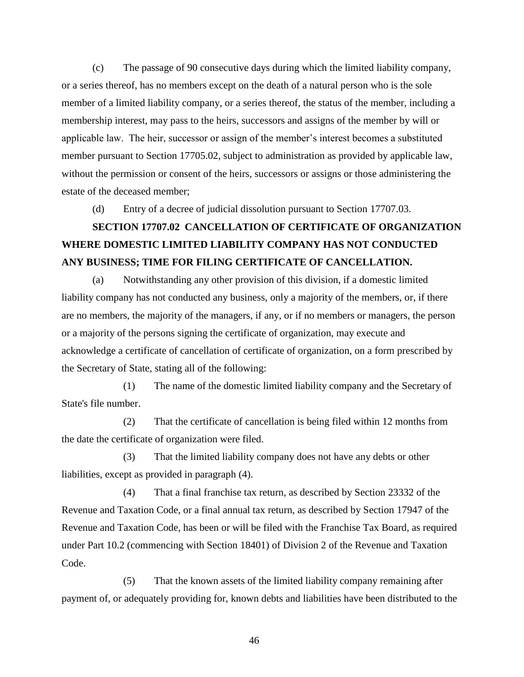(c) The passage of 90 consecutive days during which the limited liability company, or a series thereof, has no members except on the death of a natural person who is the sole member of a limited liability company, or a series thereof, the status of the member, including a membership interest, may pass to the heirs, successors and assigns of the member by will or applicable law. The heir, successor or assign of the member's interest becomes a substituted member pursuant to Section 17705.02, subject to administration as provided by applicable law, without the permission or consent of the heirs, successors or assigns or those administering the estate of the deceased member;

(d) Entry of a decree of judicial dissolution pursuant to Section 17707.03.

# **SECTION 17707.02 CANCELLATION OF CERTIFICATE OF ORGANIZATION WHERE DOMESTIC LIMITED LIABILITY COMPANY HAS NOT CONDUCTED ANY BUSINESS; TIME FOR FILING CERTIFICATE OF CANCELLATION.**

(a) Notwithstanding any other provision of this division, if a domestic limited liability company has not conducted any business, only a majority of the members, or, if there are no members, the majority of the managers, if any, or if no members or managers, the person or a majority of the persons signing the certificate of organization, may execute and acknowledge a certificate of cancellation of certificate of organization, on a form prescribed by the Secretary of State, stating all of the following:

(1) The name of the domestic limited liability company and the Secretary of State's file number.

(2) That the certificate of cancellation is being filed within 12 months from the date the certificate of organization were filed.

(3) That the limited liability company does not have any debts or other liabilities, except as provided in paragraph (4).

(4) That a final franchise tax return, as described by Section 23332 of the Revenue and Taxation Code, or a final annual tax return, as described by Section 17947 of the Revenue and Taxation Code, has been or will be filed with the Franchise Tax Board, as required under Part 10.2 (commencing with Section 18401) of Division 2 of the Revenue and Taxation Code.

(5) That the known assets of the limited liability company remaining after payment of, or adequately providing for, known debts and liabilities have been distributed to the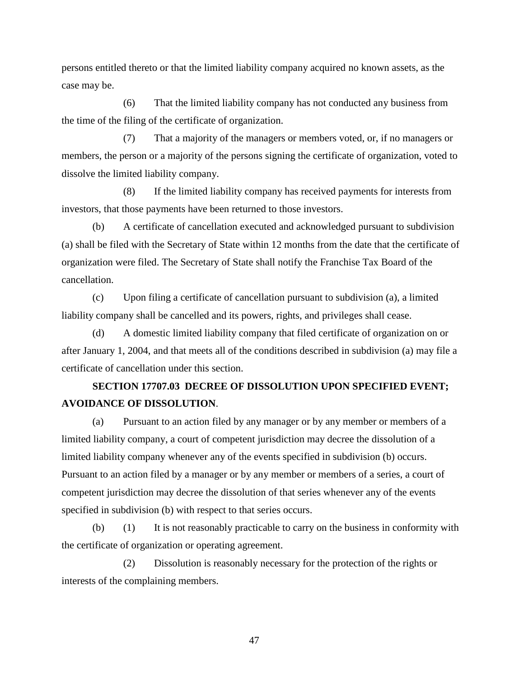persons entitled thereto or that the limited liability company acquired no known assets, as the case may be.

(6) That the limited liability company has not conducted any business from the time of the filing of the certificate of organization.

(7) That a majority of the managers or members voted, or, if no managers or members, the person or a majority of the persons signing the certificate of organization, voted to dissolve the limited liability company.

(8) If the limited liability company has received payments for interests from investors, that those payments have been returned to those investors.

(b) A certificate of cancellation executed and acknowledged pursuant to subdivision (a) shall be filed with the Secretary of State within 12 months from the date that the certificate of organization were filed. The Secretary of State shall notify the Franchise Tax Board of the cancellation.

(c) Upon filing a certificate of cancellation pursuant to subdivision (a), a limited liability company shall be cancelled and its powers, rights, and privileges shall cease.

(d) A domestic limited liability company that filed certificate of organization on or after January 1, 2004, and that meets all of the conditions described in subdivision (a) may file a certificate of cancellation under this section.

## **SECTION 17707.03 DECREE OF DISSOLUTION UPON SPECIFIED EVENT; AVOIDANCE OF DISSOLUTION**.

(a) Pursuant to an action filed by any manager or by any member or members of a limited liability company, a court of competent jurisdiction may decree the dissolution of a limited liability company whenever any of the events specified in subdivision (b) occurs. Pursuant to an action filed by a manager or by any member or members of a series, a court of competent jurisdiction may decree the dissolution of that series whenever any of the events specified in subdivision (b) with respect to that series occurs.

(b) (1) It is not reasonably practicable to carry on the business in conformity with the certificate of organization or operating agreement.

(2) Dissolution is reasonably necessary for the protection of the rights or interests of the complaining members.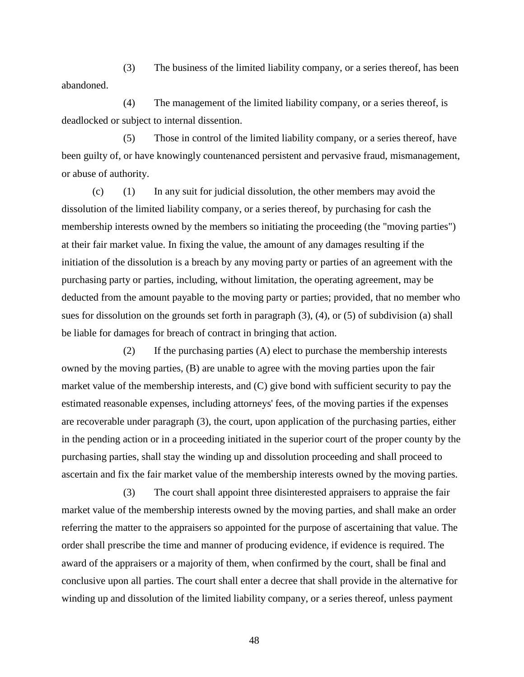(3) The business of the limited liability company, or a series thereof, has been abandoned.

(4) The management of the limited liability company, or a series thereof, is deadlocked or subject to internal dissention.

(5) Those in control of the limited liability company, or a series thereof, have been guilty of, or have knowingly countenanced persistent and pervasive fraud, mismanagement, or abuse of authority.

(c) (1) In any suit for judicial dissolution, the other members may avoid the dissolution of the limited liability company, or a series thereof, by purchasing for cash the membership interests owned by the members so initiating the proceeding (the "moving parties") at their fair market value. In fixing the value, the amount of any damages resulting if the initiation of the dissolution is a breach by any moving party or parties of an agreement with the purchasing party or parties, including, without limitation, the operating agreement, may be deducted from the amount payable to the moving party or parties; provided, that no member who sues for dissolution on the grounds set forth in paragraph (3), (4), or (5) of subdivision (a) shall be liable for damages for breach of contract in bringing that action.

(2) If the purchasing parties (A) elect to purchase the membership interests owned by the moving parties, (B) are unable to agree with the moving parties upon the fair market value of the membership interests, and (C) give bond with sufficient security to pay the estimated reasonable expenses, including attorneys' fees, of the moving parties if the expenses are recoverable under paragraph (3), the court, upon application of the purchasing parties, either in the pending action or in a proceeding initiated in the superior court of the proper county by the purchasing parties, shall stay the winding up and dissolution proceeding and shall proceed to ascertain and fix the fair market value of the membership interests owned by the moving parties.

(3) The court shall appoint three disinterested appraisers to appraise the fair market value of the membership interests owned by the moving parties, and shall make an order referring the matter to the appraisers so appointed for the purpose of ascertaining that value. The order shall prescribe the time and manner of producing evidence, if evidence is required. The award of the appraisers or a majority of them, when confirmed by the court, shall be final and conclusive upon all parties. The court shall enter a decree that shall provide in the alternative for winding up and dissolution of the limited liability company, or a series thereof, unless payment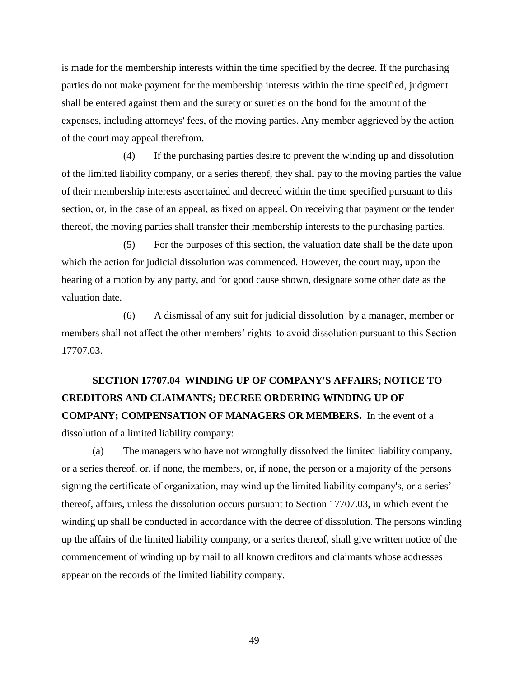is made for the membership interests within the time specified by the decree. If the purchasing parties do not make payment for the membership interests within the time specified, judgment shall be entered against them and the surety or sureties on the bond for the amount of the expenses, including attorneys' fees, of the moving parties. Any member aggrieved by the action of the court may appeal therefrom.

(4) If the purchasing parties desire to prevent the winding up and dissolution of the limited liability company, or a series thereof, they shall pay to the moving parties the value of their membership interests ascertained and decreed within the time specified pursuant to this section, or, in the case of an appeal, as fixed on appeal. On receiving that payment or the tender thereof, the moving parties shall transfer their membership interests to the purchasing parties.

(5) For the purposes of this section, the valuation date shall be the date upon which the action for judicial dissolution was commenced. However, the court may, upon the hearing of a motion by any party, and for good cause shown, designate some other date as the valuation date.

(6) A dismissal of any suit for judicial dissolution by a manager, member or members shall not affect the other members' rights to avoid dissolution pursuant to this Section 17707.03.

# **SECTION 17707.04 WINDING UP OF COMPANY'S AFFAIRS; NOTICE TO CREDITORS AND CLAIMANTS; DECREE ORDERING WINDING UP OF COMPANY; COMPENSATION OF MANAGERS OR MEMBERS.** In the event of a dissolution of a limited liability company:

(a) The managers who have not wrongfully dissolved the limited liability company, or a series thereof, or, if none, the members, or, if none, the person or a majority of the persons signing the certificate of organization, may wind up the limited liability company's, or a series' thereof, affairs, unless the dissolution occurs pursuant to Section 17707.03, in which event the winding up shall be conducted in accordance with the decree of dissolution. The persons winding up the affairs of the limited liability company, or a series thereof, shall give written notice of the commencement of winding up by mail to all known creditors and claimants whose addresses appear on the records of the limited liability company.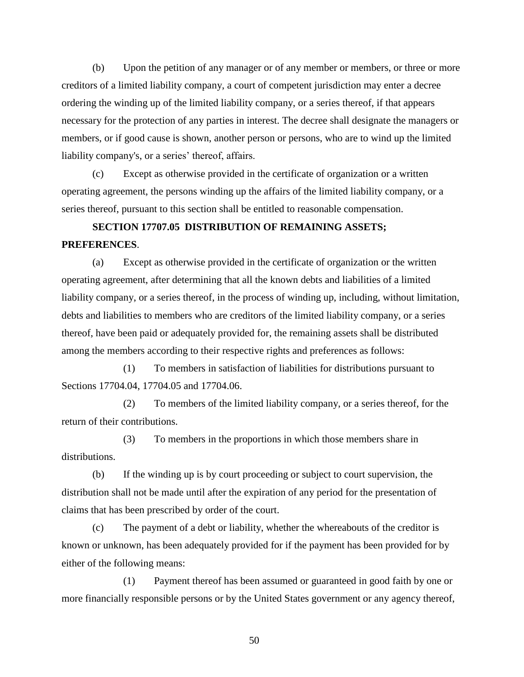(b) Upon the petition of any manager or of any member or members, or three or more creditors of a limited liability company, a court of competent jurisdiction may enter a decree ordering the winding up of the limited liability company, or a series thereof, if that appears necessary for the protection of any parties in interest. The decree shall designate the managers or members, or if good cause is shown, another person or persons, who are to wind up the limited liability company's, or a series' thereof, affairs.

(c) Except as otherwise provided in the certificate of organization or a written operating agreement, the persons winding up the affairs of the limited liability company, or a series thereof, pursuant to this section shall be entitled to reasonable compensation.

## **SECTION 17707.05 DISTRIBUTION OF REMAINING ASSETS; PREFERENCES**.

(a) Except as otherwise provided in the certificate of organization or the written operating agreement, after determining that all the known debts and liabilities of a limited liability company, or a series thereof, in the process of winding up, including, without limitation, debts and liabilities to members who are creditors of the limited liability company, or a series thereof, have been paid or adequately provided for, the remaining assets shall be distributed among the members according to their respective rights and preferences as follows:

(1) To members in satisfaction of liabilities for distributions pursuant to Sections 17704.04, 17704.05 and 17704.06.

(2) To members of the limited liability company, or a series thereof, for the return of their contributions.

(3) To members in the proportions in which those members share in distributions.

(b) If the winding up is by court proceeding or subject to court supervision, the distribution shall not be made until after the expiration of any period for the presentation of claims that has been prescribed by order of the court.

(c) The payment of a debt or liability, whether the whereabouts of the creditor is known or unknown, has been adequately provided for if the payment has been provided for by either of the following means:

(1) Payment thereof has been assumed or guaranteed in good faith by one or more financially responsible persons or by the United States government or any agency thereof,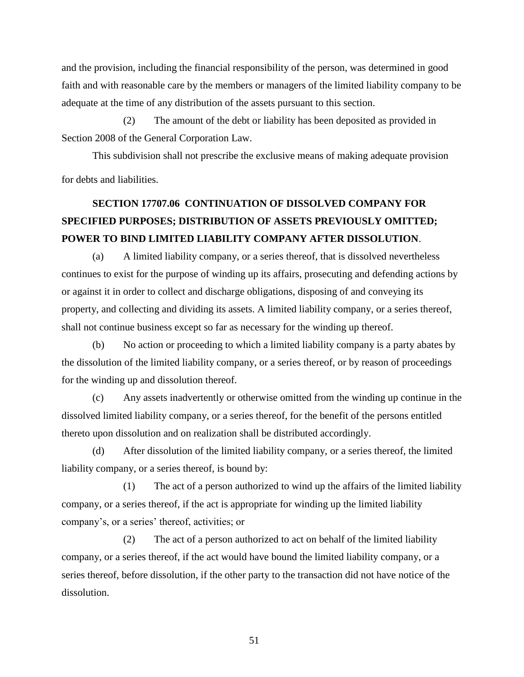and the provision, including the financial responsibility of the person, was determined in good faith and with reasonable care by the members or managers of the limited liability company to be adequate at the time of any distribution of the assets pursuant to this section.

(2) The amount of the debt or liability has been deposited as provided in Section 2008 of the General Corporation Law.

This subdivision shall not prescribe the exclusive means of making adequate provision for debts and liabilities.

# **SECTION 17707.06 CONTINUATION OF DISSOLVED COMPANY FOR SPECIFIED PURPOSES; DISTRIBUTION OF ASSETS PREVIOUSLY OMITTED; POWER TO BIND LIMITED LIABILITY COMPANY AFTER DISSOLUTION**.

(a) A limited liability company, or a series thereof, that is dissolved nevertheless continues to exist for the purpose of winding up its affairs, prosecuting and defending actions by or against it in order to collect and discharge obligations, disposing of and conveying its property, and collecting and dividing its assets. A limited liability company, or a series thereof, shall not continue business except so far as necessary for the winding up thereof.

(b) No action or proceeding to which a limited liability company is a party abates by the dissolution of the limited liability company, or a series thereof, or by reason of proceedings for the winding up and dissolution thereof.

(c) Any assets inadvertently or otherwise omitted from the winding up continue in the dissolved limited liability company, or a series thereof, for the benefit of the persons entitled thereto upon dissolution and on realization shall be distributed accordingly.

(d) After dissolution of the limited liability company, or a series thereof, the limited liability company, or a series thereof, is bound by:

(1) The act of a person authorized to wind up the affairs of the limited liability company, or a series thereof, if the act is appropriate for winding up the limited liability company's, or a series' thereof, activities; or

(2) The act of a person authorized to act on behalf of the limited liability company, or a series thereof, if the act would have bound the limited liability company, or a series thereof, before dissolution, if the other party to the transaction did not have notice of the dissolution.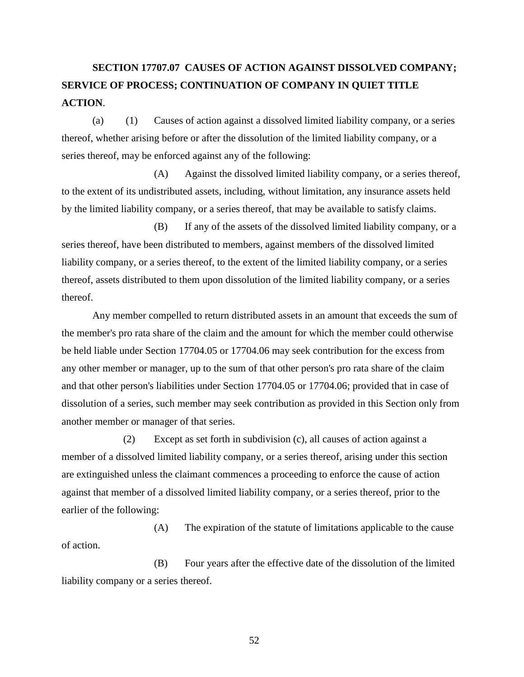# **SECTION 17707.07 CAUSES OF ACTION AGAINST DISSOLVED COMPANY; SERVICE OF PROCESS; CONTINUATION OF COMPANY IN QUIET TITLE ACTION**.

(a) (1) Causes of action against a dissolved limited liability company, or a series thereof, whether arising before or after the dissolution of the limited liability company, or a series thereof, may be enforced against any of the following:

(A) Against the dissolved limited liability company, or a series thereof, to the extent of its undistributed assets, including, without limitation, any insurance assets held by the limited liability company, or a series thereof, that may be available to satisfy claims.

(B) If any of the assets of the dissolved limited liability company, or a series thereof, have been distributed to members, against members of the dissolved limited liability company, or a series thereof, to the extent of the limited liability company, or a series thereof, assets distributed to them upon dissolution of the limited liability company, or a series thereof.

Any member compelled to return distributed assets in an amount that exceeds the sum of the member's pro rata share of the claim and the amount for which the member could otherwise be held liable under Section 17704.05 or 17704.06 may seek contribution for the excess from any other member or manager, up to the sum of that other person's pro rata share of the claim and that other person's liabilities under Section 17704.05 or 17704.06; provided that in case of dissolution of a series, such member may seek contribution as provided in this Section only from another member or manager of that series.

(2) Except as set forth in subdivision (c), all causes of action against a member of a dissolved limited liability company, or a series thereof, arising under this section are extinguished unless the claimant commences a proceeding to enforce the cause of action against that member of a dissolved limited liability company, or a series thereof, prior to the earlier of the following:

(A) The expiration of the statute of limitations applicable to the cause of action.

(B) Four years after the effective date of the dissolution of the limited liability company or a series thereof.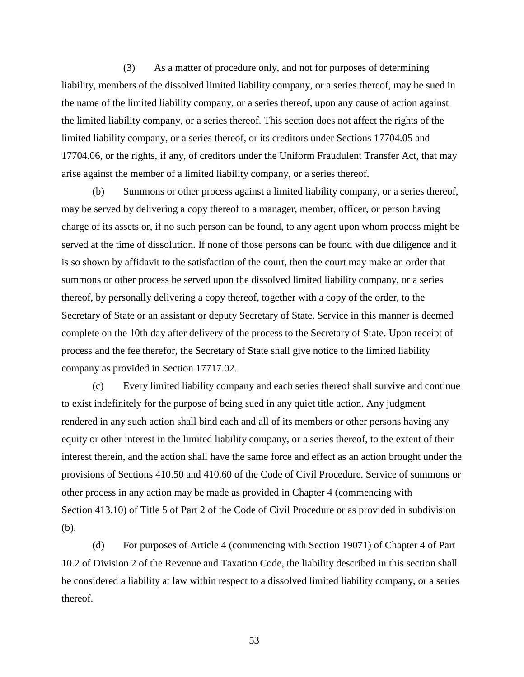(3) As a matter of procedure only, and not for purposes of determining liability, members of the dissolved limited liability company, or a series thereof, may be sued in the name of the limited liability company, or a series thereof, upon any cause of action against the limited liability company, or a series thereof. This section does not affect the rights of the limited liability company, or a series thereof, or its creditors under Sections 17704.05 and 17704.06, or the rights, if any, of creditors under the Uniform Fraudulent Transfer Act, that may arise against the member of a limited liability company, or a series thereof.

(b) Summons or other process against a limited liability company, or a series thereof, may be served by delivering a copy thereof to a manager, member, officer, or person having charge of its assets or, if no such person can be found, to any agent upon whom process might be served at the time of dissolution. If none of those persons can be found with due diligence and it is so shown by affidavit to the satisfaction of the court, then the court may make an order that summons or other process be served upon the dissolved limited liability company, or a series thereof, by personally delivering a copy thereof, together with a copy of the order, to the Secretary of State or an assistant or deputy Secretary of State. Service in this manner is deemed complete on the 10th day after delivery of the process to the Secretary of State. Upon receipt of process and the fee therefor, the Secretary of State shall give notice to the limited liability company as provided in Section 17717.02.

(c) Every limited liability company and each series thereof shall survive and continue to exist indefinitely for the purpose of being sued in any quiet title action. Any judgment rendered in any such action shall bind each and all of its members or other persons having any equity or other interest in the limited liability company, or a series thereof, to the extent of their interest therein, and the action shall have the same force and effect as an action brought under the provisions of Sections 410.50 and 410.60 of the Code of Civil Procedure. Service of summons or other process in any action may be made as provided in Chapter 4 (commencing with Section 413.10) of Title 5 of Part 2 of the Code of Civil Procedure or as provided in subdivision (b).

(d) For purposes of Article 4 (commencing with Section 19071) of Chapter 4 of Part 10.2 of Division 2 of the Revenue and Taxation Code, the liability described in this section shall be considered a liability at law within respect to a dissolved limited liability company, or a series thereof.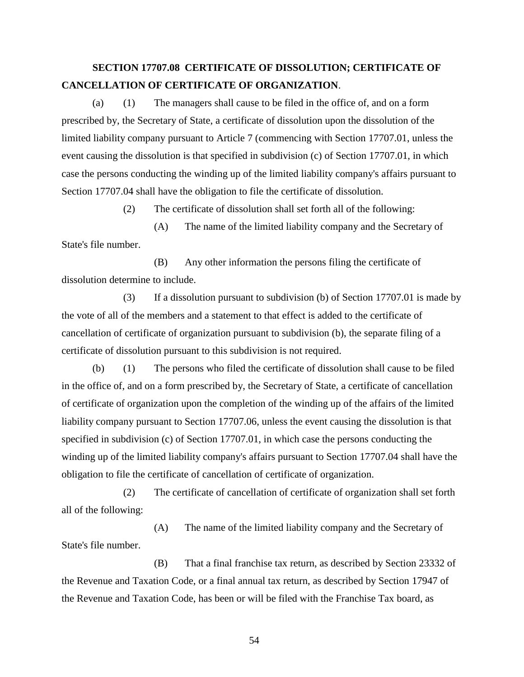## **SECTION 17707.08 CERTIFICATE OF DISSOLUTION; CERTIFICATE OF CANCELLATION OF CERTIFICATE OF ORGANIZATION**.

(a) (1) The managers shall cause to be filed in the office of, and on a form prescribed by, the Secretary of State, a certificate of dissolution upon the dissolution of the limited liability company pursuant to Article 7 (commencing with Section 17707.01, unless the event causing the dissolution is that specified in subdivision (c) of Section 17707.01, in which case the persons conducting the winding up of the limited liability company's affairs pursuant to Section 17707.04 shall have the obligation to file the certificate of dissolution.

(2) The certificate of dissolution shall set forth all of the following:

(A) The name of the limited liability company and the Secretary of State's file number.

(B) Any other information the persons filing the certificate of dissolution determine to include.

(3) If a dissolution pursuant to subdivision (b) of Section 17707.01 is made by the vote of all of the members and a statement to that effect is added to the certificate of cancellation of certificate of organization pursuant to subdivision (b), the separate filing of a certificate of dissolution pursuant to this subdivision is not required.

(b) (1) The persons who filed the certificate of dissolution shall cause to be filed in the office of, and on a form prescribed by, the Secretary of State, a certificate of cancellation of certificate of organization upon the completion of the winding up of the affairs of the limited liability company pursuant to Section 17707.06, unless the event causing the dissolution is that specified in subdivision (c) of Section 17707.01, in which case the persons conducting the winding up of the limited liability company's affairs pursuant to Section 17707.04 shall have the obligation to file the certificate of cancellation of certificate of organization.

(2) The certificate of cancellation of certificate of organization shall set forth all of the following:

(A) The name of the limited liability company and the Secretary of State's file number.

(B) That a final franchise tax return, as described by Section 23332 of the Revenue and Taxation Code, or a final annual tax return, as described by Section 17947 of the Revenue and Taxation Code, has been or will be filed with the Franchise Tax board, as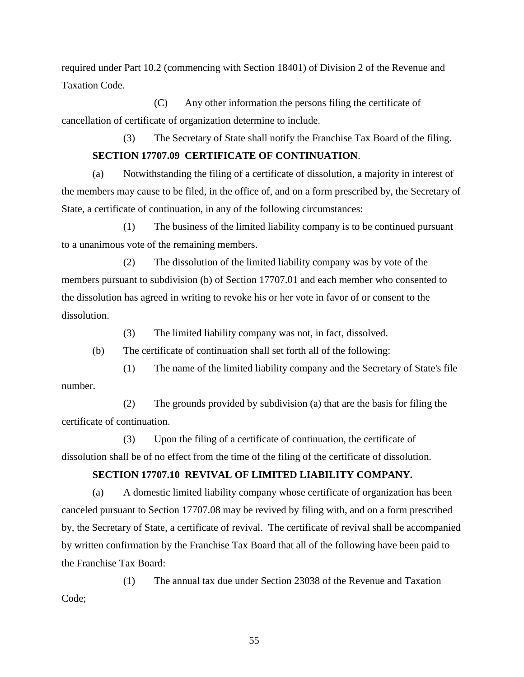required under Part 10.2 (commencing with Section 18401) of Division 2 of the Revenue and Taxation Code.

(C) Any other information the persons filing the certificate of cancellation of certificate of organization determine to include.

(3) The Secretary of State shall notify the Franchise Tax Board of the filing.

### **SECTION 17707.09 CERTIFICATE OF CONTINUATION**.

(a) Notwithstanding the filing of a certificate of dissolution, a majority in interest of the members may cause to be filed, in the office of, and on a form prescribed by, the Secretary of State, a certificate of continuation, in any of the following circumstances:

(1) The business of the limited liability company is to be continued pursuant to a unanimous vote of the remaining members.

(2) The dissolution of the limited liability company was by vote of the members pursuant to subdivision (b) of Section 17707.01 and each member who consented to the dissolution has agreed in writing to revoke his or her vote in favor of or consent to the dissolution.

(3) The limited liability company was not, in fact, dissolved.

(b) The certificate of continuation shall set forth all of the following:

(1) The name of the limited liability company and the Secretary of State's file number.

(2) The grounds provided by subdivision (a) that are the basis for filing the certificate of continuation.

(3) Upon the filing of a certificate of continuation, the certificate of dissolution shall be of no effect from the time of the filing of the certificate of dissolution.

### **SECTION 17707.10 REVIVAL OF LIMITED LIABILITY COMPANY.**

(a) A domestic limited liability company whose certificate of organization has been canceled pursuant to Section 17707.08 may be revived by filing with, and on a form prescribed by, the Secretary of State, a certificate of revival. The certificate of revival shall be accompanied by written confirmation by the Franchise Tax Board that all of the following have been paid to the Franchise Tax Board:

(1) The annual tax due under Section 23038 of the Revenue and Taxation Code;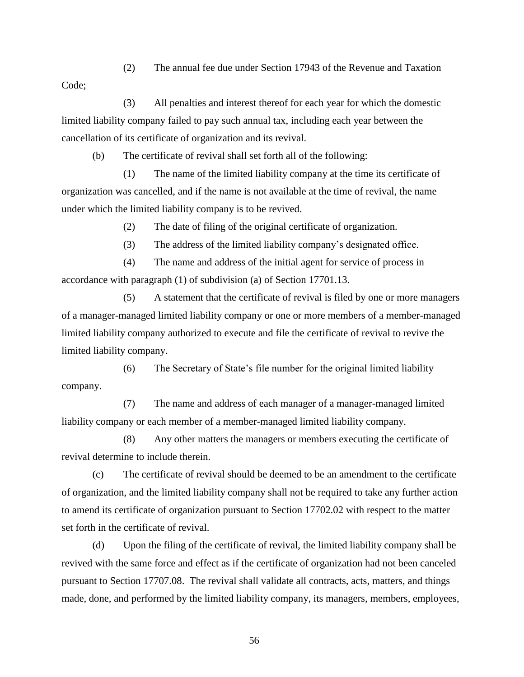(2) The annual fee due under Section 17943 of the Revenue and Taxation Code;

(3) All penalties and interest thereof for each year for which the domestic limited liability company failed to pay such annual tax, including each year between the cancellation of its certificate of organization and its revival.

(b) The certificate of revival shall set forth all of the following:

(1) The name of the limited liability company at the time its certificate of organization was cancelled, and if the name is not available at the time of revival, the name under which the limited liability company is to be revived.

(2) The date of filing of the original certificate of organization.

(3) The address of the limited liability company's designated office.

(4) The name and address of the initial agent for service of process in accordance with paragraph (1) of subdivision (a) of Section 17701.13.

(5) A statement that the certificate of revival is filed by one or more managers of a manager-managed limited liability company or one or more members of a member-managed limited liability company authorized to execute and file the certificate of revival to revive the limited liability company.

(6) The Secretary of State's file number for the original limited liability company.

(7) The name and address of each manager of a manager-managed limited liability company or each member of a member-managed limited liability company.

(8) Any other matters the managers or members executing the certificate of revival determine to include therein.

(c) The certificate of revival should be deemed to be an amendment to the certificate of organization, and the limited liability company shall not be required to take any further action to amend its certificate of organization pursuant to Section 17702.02 with respect to the matter set forth in the certificate of revival.

(d) Upon the filing of the certificate of revival, the limited liability company shall be revived with the same force and effect as if the certificate of organization had not been canceled pursuant to Section 17707.08. The revival shall validate all contracts, acts, matters, and things made, done, and performed by the limited liability company, its managers, members, employees,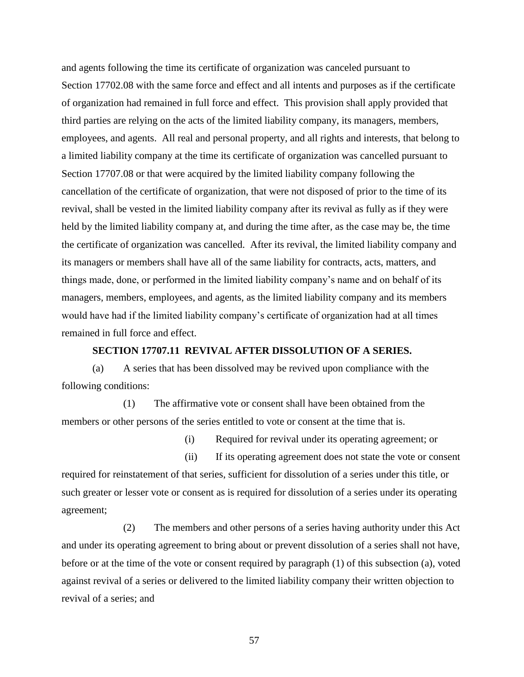and agents following the time its certificate of organization was canceled pursuant to Section 17702.08 with the same force and effect and all intents and purposes as if the certificate of organization had remained in full force and effect. This provision shall apply provided that third parties are relying on the acts of the limited liability company, its managers, members, employees, and agents. All real and personal property, and all rights and interests, that belong to a limited liability company at the time its certificate of organization was cancelled pursuant to Section 17707.08 or that were acquired by the limited liability company following the cancellation of the certificate of organization, that were not disposed of prior to the time of its revival, shall be vested in the limited liability company after its revival as fully as if they were held by the limited liability company at, and during the time after, as the case may be, the time the certificate of organization was cancelled. After its revival, the limited liability company and its managers or members shall have all of the same liability for contracts, acts, matters, and things made, done, or performed in the limited liability company's name and on behalf of its managers, members, employees, and agents, as the limited liability company and its members would have had if the limited liability company's certificate of organization had at all times remained in full force and effect.

## **SECTION 17707.11 REVIVAL AFTER DISSOLUTION OF A SERIES.**

(a) A series that has been dissolved may be revived upon compliance with the following conditions:

(1) The affirmative vote or consent shall have been obtained from the members or other persons of the series entitled to vote or consent at the time that is.

(i) Required for revival under its operating agreement; or

(ii) If its operating agreement does not state the vote or consent required for reinstatement of that series, sufficient for dissolution of a series under this title, or such greater or lesser vote or consent as is required for dissolution of a series under its operating agreement;

(2) The members and other persons of a series having authority under this Act and under its operating agreement to bring about or prevent dissolution of a series shall not have, before or at the time of the vote or consent required by paragraph (1) of this subsection (a), voted against revival of a series or delivered to the limited liability company their written objection to revival of a series; and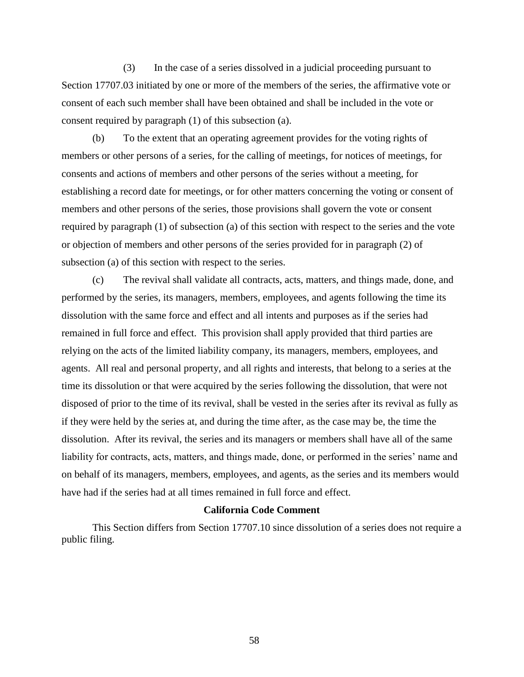(3) In the case of a series dissolved in a judicial proceeding pursuant to Section 17707.03 initiated by one or more of the members of the series, the affirmative vote or consent of each such member shall have been obtained and shall be included in the vote or consent required by paragraph (1) of this subsection (a).

(b) To the extent that an operating agreement provides for the voting rights of members or other persons of a series, for the calling of meetings, for notices of meetings, for consents and actions of members and other persons of the series without a meeting, for establishing a record date for meetings, or for other matters concerning the voting or consent of members and other persons of the series, those provisions shall govern the vote or consent required by paragraph (1) of subsection (a) of this section with respect to the series and the vote or objection of members and other persons of the series provided for in paragraph (2) of subsection (a) of this section with respect to the series.

(c) The revival shall validate all contracts, acts, matters, and things made, done, and performed by the series, its managers, members, employees, and agents following the time its dissolution with the same force and effect and all intents and purposes as if the series had remained in full force and effect. This provision shall apply provided that third parties are relying on the acts of the limited liability company, its managers, members, employees, and agents. All real and personal property, and all rights and interests, that belong to a series at the time its dissolution or that were acquired by the series following the dissolution, that were not disposed of prior to the time of its revival, shall be vested in the series after its revival as fully as if they were held by the series at, and during the time after, as the case may be, the time the dissolution. After its revival, the series and its managers or members shall have all of the same liability for contracts, acts, matters, and things made, done, or performed in the series' name and on behalf of its managers, members, employees, and agents, as the series and its members would have had if the series had at all times remained in full force and effect.

## **California Code Comment**

This Section differs from Section 17707.10 since dissolution of a series does not require a public filing.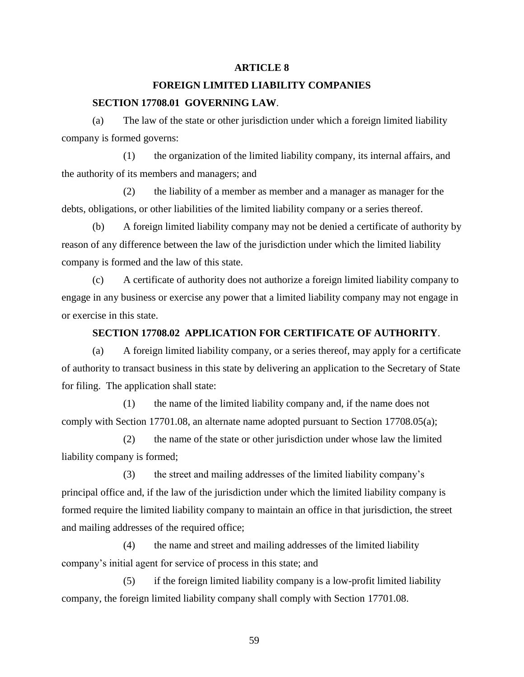#### **ARTICLE 8**

#### **FOREIGN LIMITED LIABILITY COMPANIES**

#### **SECTION 17708.01 GOVERNING LAW**.

(a) The law of the state or other jurisdiction under which a foreign limited liability company is formed governs:

(1) the organization of the limited liability company, its internal affairs, and the authority of its members and managers; and

(2) the liability of a member as member and a manager as manager for the debts, obligations, or other liabilities of the limited liability company or a series thereof.

(b) A foreign limited liability company may not be denied a certificate of authority by reason of any difference between the law of the jurisdiction under which the limited liability company is formed and the law of this state.

(c) A certificate of authority does not authorize a foreign limited liability company to engage in any business or exercise any power that a limited liability company may not engage in or exercise in this state.

#### **SECTION 17708.02 APPLICATION FOR CERTIFICATE OF AUTHORITY**.

(a) A foreign limited liability company, or a series thereof, may apply for a certificate of authority to transact business in this state by delivering an application to the Secretary of State for filing. The application shall state:

(1) the name of the limited liability company and, if the name does not comply with Section 17701.08, an alternate name adopted pursuant to Section 17708.05(a);

(2) the name of the state or other jurisdiction under whose law the limited liability company is formed;

(3) the street and mailing addresses of the limited liability company's principal office and, if the law of the jurisdiction under which the limited liability company is formed require the limited liability company to maintain an office in that jurisdiction, the street and mailing addresses of the required office;

(4) the name and street and mailing addresses of the limited liability company's initial agent for service of process in this state; and

(5) if the foreign limited liability company is a low-profit limited liability company, the foreign limited liability company shall comply with Section 17701.08.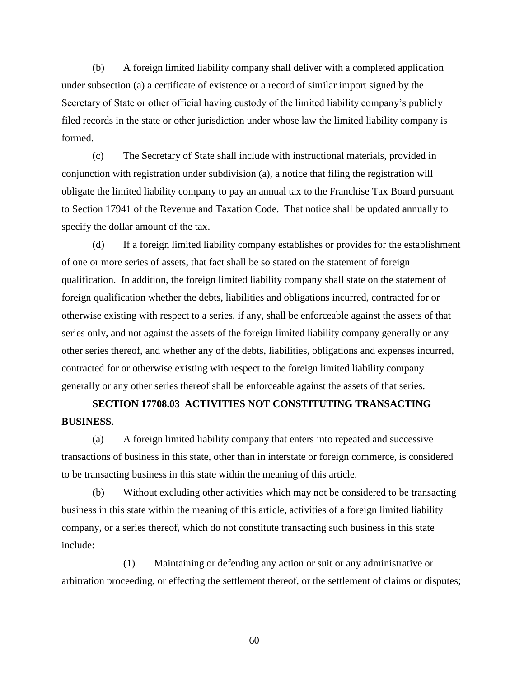(b) A foreign limited liability company shall deliver with a completed application under subsection (a) a certificate of existence or a record of similar import signed by the Secretary of State or other official having custody of the limited liability company's publicly filed records in the state or other jurisdiction under whose law the limited liability company is formed.

(c) The Secretary of State shall include with instructional materials, provided in conjunction with registration under subdivision (a), a notice that filing the registration will obligate the limited liability company to pay an annual tax to the Franchise Tax Board pursuant to Section 17941 of the Revenue and Taxation Code. That notice shall be updated annually to specify the dollar amount of the tax.

(d) If a foreign limited liability company establishes or provides for the establishment of one or more series of assets, that fact shall be so stated on the statement of foreign qualification. In addition, the foreign limited liability company shall state on the statement of foreign qualification whether the debts, liabilities and obligations incurred, contracted for or otherwise existing with respect to a series, if any, shall be enforceable against the assets of that series only, and not against the assets of the foreign limited liability company generally or any other series thereof, and whether any of the debts, liabilities, obligations and expenses incurred, contracted for or otherwise existing with respect to the foreign limited liability company generally or any other series thereof shall be enforceable against the assets of that series.

# **SECTION 17708.03 ACTIVITIES NOT CONSTITUTING TRANSACTING BUSINESS**.

(a) A foreign limited liability company that enters into repeated and successive transactions of business in this state, other than in interstate or foreign commerce, is considered to be transacting business in this state within the meaning of this article.

(b) Without excluding other activities which may not be considered to be transacting business in this state within the meaning of this article, activities of a foreign limited liability company, or a series thereof, which do not constitute transacting such business in this state include:

(1) Maintaining or defending any action or suit or any administrative or arbitration proceeding, or effecting the settlement thereof, or the settlement of claims or disputes;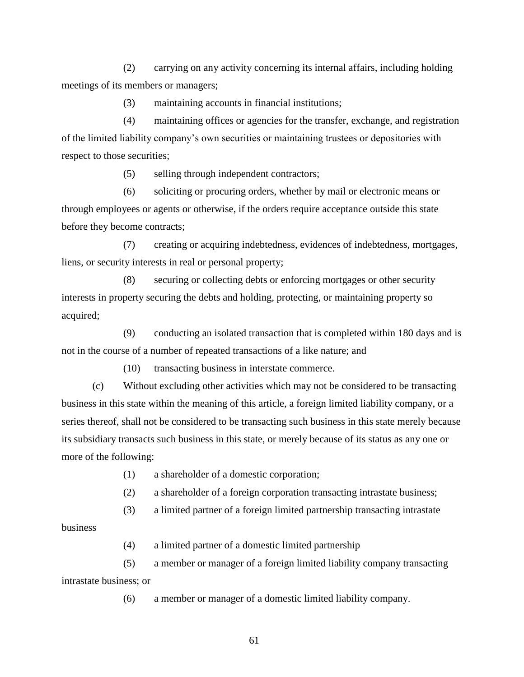(2) carrying on any activity concerning its internal affairs, including holding meetings of its members or managers;

(3) maintaining accounts in financial institutions;

(4) maintaining offices or agencies for the transfer, exchange, and registration of the limited liability company's own securities or maintaining trustees or depositories with respect to those securities;

(5) selling through independent contractors;

(6) soliciting or procuring orders, whether by mail or electronic means or through employees or agents or otherwise, if the orders require acceptance outside this state before they become contracts;

(7) creating or acquiring indebtedness, evidences of indebtedness, mortgages, liens, or security interests in real or personal property;

(8) securing or collecting debts or enforcing mortgages or other security interests in property securing the debts and holding, protecting, or maintaining property so acquired;

(9) conducting an isolated transaction that is completed within 180 days and is not in the course of a number of repeated transactions of a like nature; and

(10) transacting business in interstate commerce.

(c) Without excluding other activities which may not be considered to be transacting business in this state within the meaning of this article, a foreign limited liability company, or a series thereof, shall not be considered to be transacting such business in this state merely because its subsidiary transacts such business in this state, or merely because of its status as any one or more of the following:

(1) a shareholder of a domestic corporation;

(2) a shareholder of a foreign corporation transacting intrastate business;

(3) a limited partner of a foreign limited partnership transacting intrastate

business

(4) a limited partner of a domestic limited partnership

(5) a member or manager of a foreign limited liability company transacting intrastate business; or

(6) a member or manager of a domestic limited liability company.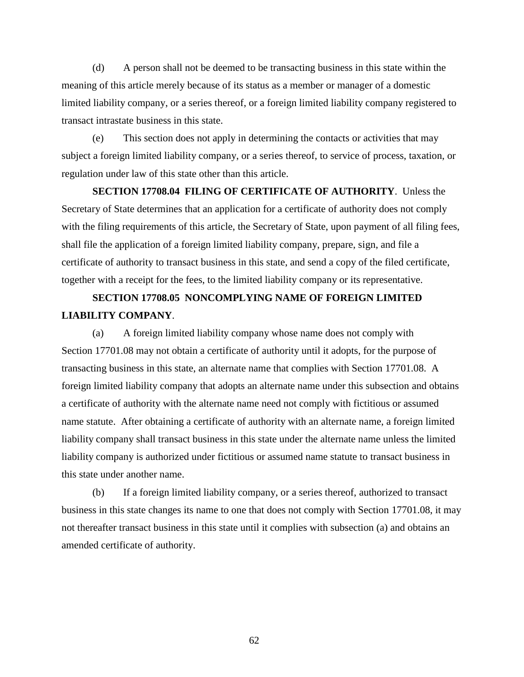(d) A person shall not be deemed to be transacting business in this state within the meaning of this article merely because of its status as a member or manager of a domestic limited liability company, or a series thereof, or a foreign limited liability company registered to transact intrastate business in this state.

(e) This section does not apply in determining the contacts or activities that may subject a foreign limited liability company, or a series thereof, to service of process, taxation, or regulation under law of this state other than this article.

**SECTION 17708.04 FILING OF CERTIFICATE OF AUTHORITY**. Unless the Secretary of State determines that an application for a certificate of authority does not comply with the filing requirements of this article, the Secretary of State, upon payment of all filing fees, shall file the application of a foreign limited liability company, prepare, sign, and file a certificate of authority to transact business in this state, and send a copy of the filed certificate, together with a receipt for the fees, to the limited liability company or its representative.

# **SECTION 17708.05 NONCOMPLYING NAME OF FOREIGN LIMITED LIABILITY COMPANY**.

(a) A foreign limited liability company whose name does not comply with Section 17701.08 may not obtain a certificate of authority until it adopts, for the purpose of transacting business in this state, an alternate name that complies with Section 17701.08. A foreign limited liability company that adopts an alternate name under this subsection and obtains a certificate of authority with the alternate name need not comply with fictitious or assumed name statute. After obtaining a certificate of authority with an alternate name, a foreign limited liability company shall transact business in this state under the alternate name unless the limited liability company is authorized under fictitious or assumed name statute to transact business in this state under another name.

(b) If a foreign limited liability company, or a series thereof, authorized to transact business in this state changes its name to one that does not comply with Section 17701.08, it may not thereafter transact business in this state until it complies with subsection (a) and obtains an amended certificate of authority.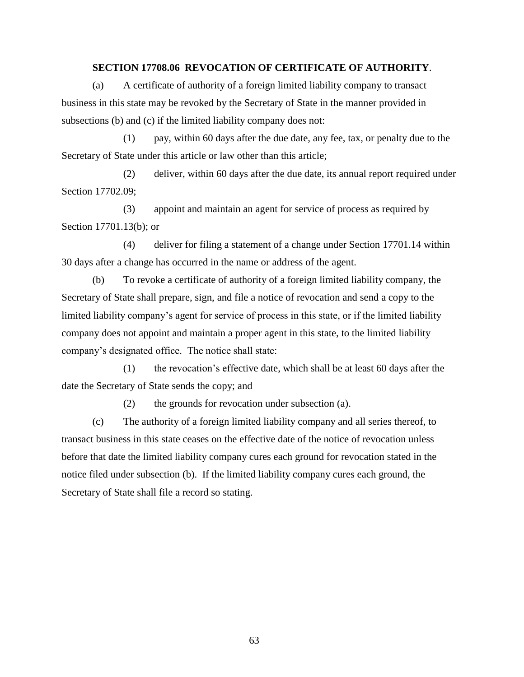### **SECTION 17708.06 REVOCATION OF CERTIFICATE OF AUTHORITY**.

(a) A certificate of authority of a foreign limited liability company to transact business in this state may be revoked by the Secretary of State in the manner provided in subsections (b) and (c) if the limited liability company does not:

(1) pay, within 60 days after the due date, any fee, tax, or penalty due to the Secretary of State under this article or law other than this article;

(2) deliver, within 60 days after the due date, its annual report required under Section 17702.09;

(3) appoint and maintain an agent for service of process as required by Section 17701.13(b); or

(4) deliver for filing a statement of a change under Section 17701.14 within 30 days after a change has occurred in the name or address of the agent.

(b) To revoke a certificate of authority of a foreign limited liability company, the Secretary of State shall prepare, sign, and file a notice of revocation and send a copy to the limited liability company's agent for service of process in this state, or if the limited liability company does not appoint and maintain a proper agent in this state, to the limited liability company's designated office. The notice shall state:

(1) the revocation's effective date, which shall be at least 60 days after the date the Secretary of State sends the copy; and

(2) the grounds for revocation under subsection (a).

(c) The authority of a foreign limited liability company and all series thereof, to transact business in this state ceases on the effective date of the notice of revocation unless before that date the limited liability company cures each ground for revocation stated in the notice filed under subsection (b). If the limited liability company cures each ground, the Secretary of State shall file a record so stating.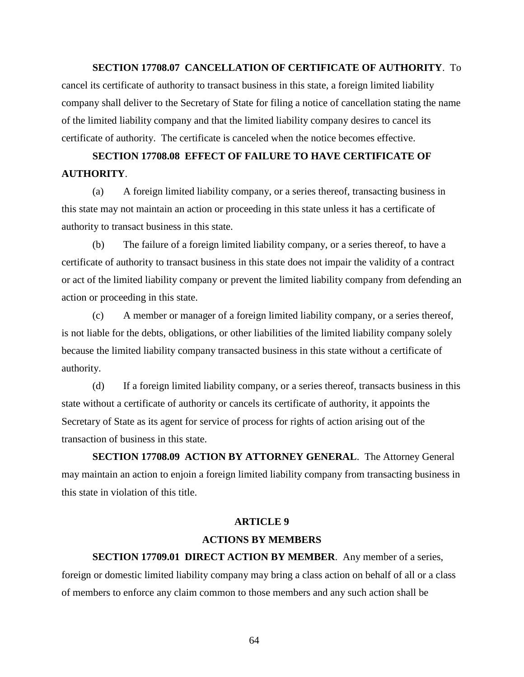### **SECTION 17708.07 CANCELLATION OF CERTIFICATE OF AUTHORITY**. To

cancel its certificate of authority to transact business in this state, a foreign limited liability company shall deliver to the Secretary of State for filing a notice of cancellation stating the name of the limited liability company and that the limited liability company desires to cancel its certificate of authority. The certificate is canceled when the notice becomes effective.

# **SECTION 17708.08 EFFECT OF FAILURE TO HAVE CERTIFICATE OF AUTHORITY**.

(a) A foreign limited liability company, or a series thereof, transacting business in this state may not maintain an action or proceeding in this state unless it has a certificate of authority to transact business in this state.

(b) The failure of a foreign limited liability company, or a series thereof, to have a certificate of authority to transact business in this state does not impair the validity of a contract or act of the limited liability company or prevent the limited liability company from defending an action or proceeding in this state.

(c) A member or manager of a foreign limited liability company, or a series thereof, is not liable for the debts, obligations, or other liabilities of the limited liability company solely because the limited liability company transacted business in this state without a certificate of authority.

(d) If a foreign limited liability company, or a series thereof, transacts business in this state without a certificate of authority or cancels its certificate of authority, it appoints the Secretary of State as its agent for service of process for rights of action arising out of the transaction of business in this state.

**SECTION 17708.09 ACTION BY ATTORNEY GENERAL**. The Attorney General may maintain an action to enjoin a foreign limited liability company from transacting business in this state in violation of this title.

#### **ARTICLE 9**

#### **ACTIONS BY MEMBERS**

**SECTION 17709.01 DIRECT ACTION BY MEMBER**. Any member of a series, foreign or domestic limited liability company may bring a class action on behalf of all or a class of members to enforce any claim common to those members and any such action shall be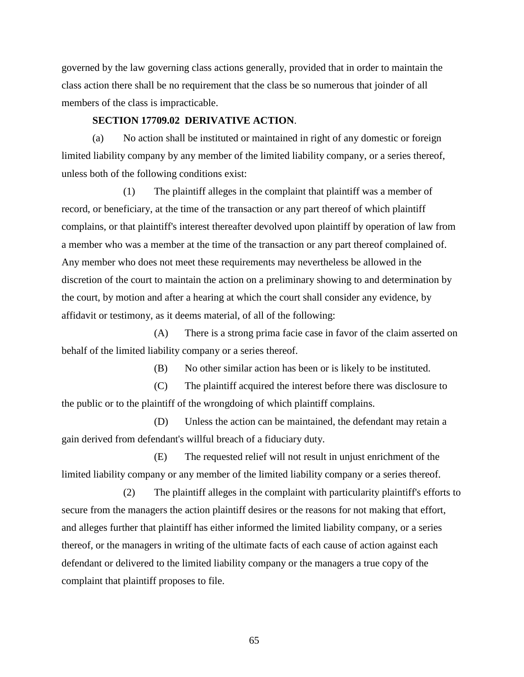governed by the law governing class actions generally, provided that in order to maintain the class action there shall be no requirement that the class be so numerous that joinder of all members of the class is impracticable.

#### **SECTION 17709.02 DERIVATIVE ACTION**.

(a) No action shall be instituted or maintained in right of any domestic or foreign limited liability company by any member of the limited liability company, or a series thereof, unless both of the following conditions exist:

(1) The plaintiff alleges in the complaint that plaintiff was a member of record, or beneficiary, at the time of the transaction or any part thereof of which plaintiff complains, or that plaintiff's interest thereafter devolved upon plaintiff by operation of law from a member who was a member at the time of the transaction or any part thereof complained of. Any member who does not meet these requirements may nevertheless be allowed in the discretion of the court to maintain the action on a preliminary showing to and determination by the court, by motion and after a hearing at which the court shall consider any evidence, by affidavit or testimony, as it deems material, of all of the following:

(A) There is a strong prima facie case in favor of the claim asserted on behalf of the limited liability company or a series thereof.

(B) No other similar action has been or is likely to be instituted.

(C) The plaintiff acquired the interest before there was disclosure to the public or to the plaintiff of the wrongdoing of which plaintiff complains.

(D) Unless the action can be maintained, the defendant may retain a gain derived from defendant's willful breach of a fiduciary duty.

(E) The requested relief will not result in unjust enrichment of the limited liability company or any member of the limited liability company or a series thereof.

(2) The plaintiff alleges in the complaint with particularity plaintiff's efforts to secure from the managers the action plaintiff desires or the reasons for not making that effort, and alleges further that plaintiff has either informed the limited liability company, or a series thereof, or the managers in writing of the ultimate facts of each cause of action against each defendant or delivered to the limited liability company or the managers a true copy of the complaint that plaintiff proposes to file.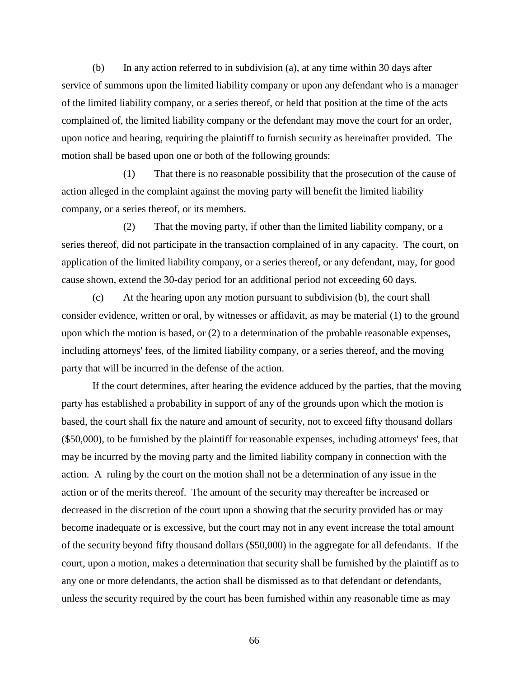(b) In any action referred to in subdivision (a), at any time within 30 days after service of summons upon the limited liability company or upon any defendant who is a manager of the limited liability company, or a series thereof, or held that position at the time of the acts complained of, the limited liability company or the defendant may move the court for an order, upon notice and hearing, requiring the plaintiff to furnish security as hereinafter provided. The motion shall be based upon one or both of the following grounds:

(1) That there is no reasonable possibility that the prosecution of the cause of action alleged in the complaint against the moving party will benefit the limited liability company, or a series thereof, or its members.

(2) That the moving party, if other than the limited liability company, or a series thereof, did not participate in the transaction complained of in any capacity. The court, on application of the limited liability company, or a series thereof, or any defendant, may, for good cause shown, extend the 30-day period for an additional period not exceeding 60 days.

(c) At the hearing upon any motion pursuant to subdivision (b), the court shall consider evidence, written or oral, by witnesses or affidavit, as may be material (1) to the ground upon which the motion is based, or (2) to a determination of the probable reasonable expenses, including attorneys' fees, of the limited liability company, or a series thereof, and the moving party that will be incurred in the defense of the action.

If the court determines, after hearing the evidence adduced by the parties, that the moving party has established a probability in support of any of the grounds upon which the motion is based, the court shall fix the nature and amount of security, not to exceed fifty thousand dollars (\$50,000), to be furnished by the plaintiff for reasonable expenses, including attorneys' fees, that may be incurred by the moving party and the limited liability company in connection with the action. A ruling by the court on the motion shall not be a determination of any issue in the action or of the merits thereof. The amount of the security may thereafter be increased or decreased in the discretion of the court upon a showing that the security provided has or may become inadequate or is excessive, but the court may not in any event increase the total amount of the security beyond fifty thousand dollars (\$50,000) in the aggregate for all defendants. If the court, upon a motion, makes a determination that security shall be furnished by the plaintiff as to any one or more defendants, the action shall be dismissed as to that defendant or defendants, unless the security required by the court has been furnished within any reasonable time as may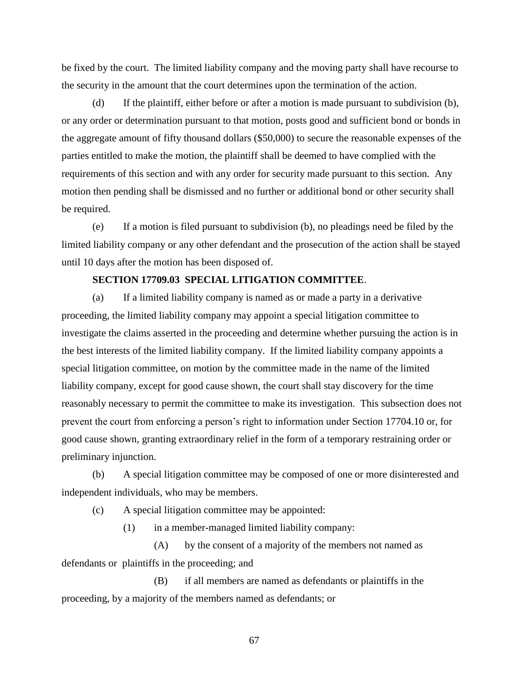be fixed by the court. The limited liability company and the moving party shall have recourse to the security in the amount that the court determines upon the termination of the action.

(d) If the plaintiff, either before or after a motion is made pursuant to subdivision (b), or any order or determination pursuant to that motion, posts good and sufficient bond or bonds in the aggregate amount of fifty thousand dollars (\$50,000) to secure the reasonable expenses of the parties entitled to make the motion, the plaintiff shall be deemed to have complied with the requirements of this section and with any order for security made pursuant to this section. Any motion then pending shall be dismissed and no further or additional bond or other security shall be required.

(e) If a motion is filed pursuant to subdivision (b), no pleadings need be filed by the limited liability company or any other defendant and the prosecution of the action shall be stayed until 10 days after the motion has been disposed of.

#### **SECTION 17709.03 SPECIAL LITIGATION COMMITTEE**.

(a) If a limited liability company is named as or made a party in a derivative proceeding, the limited liability company may appoint a special litigation committee to investigate the claims asserted in the proceeding and determine whether pursuing the action is in the best interests of the limited liability company. If the limited liability company appoints a special litigation committee, on motion by the committee made in the name of the limited liability company, except for good cause shown, the court shall stay discovery for the time reasonably necessary to permit the committee to make its investigation. This subsection does not prevent the court from enforcing a person's right to information under Section 17704.10 or, for good cause shown, granting extraordinary relief in the form of a temporary restraining order or preliminary injunction.

(b) A special litigation committee may be composed of one or more disinterested and independent individuals, who may be members.

(c) A special litigation committee may be appointed:

(1) in a member-managed limited liability company:

(A) by the consent of a majority of the members not named as defendants or plaintiffs in the proceeding; and

(B) if all members are named as defendants or plaintiffs in the proceeding, by a majority of the members named as defendants; or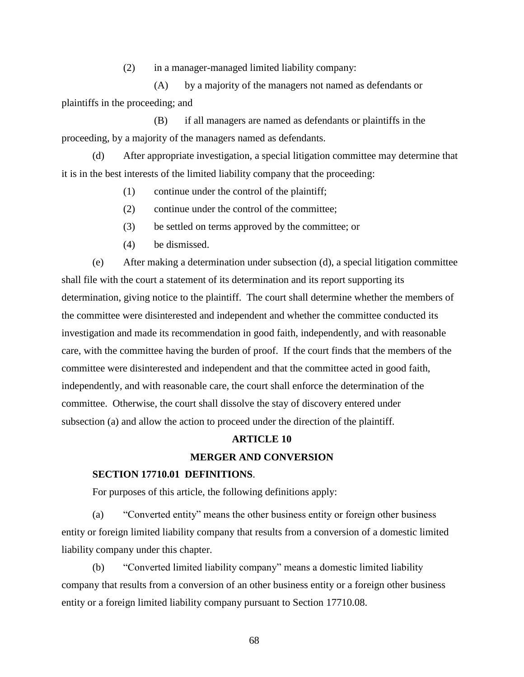(2) in a manager-managed limited liability company:

(A) by a majority of the managers not named as defendants or plaintiffs in the proceeding; and

(B) if all managers are named as defendants or plaintiffs in the proceeding, by a majority of the managers named as defendants.

(d) After appropriate investigation, a special litigation committee may determine that it is in the best interests of the limited liability company that the proceeding:

- (1) continue under the control of the plaintiff;
- (2) continue under the control of the committee;
- (3) be settled on terms approved by the committee; or
- (4) be dismissed.

(e) After making a determination under subsection (d), a special litigation committee shall file with the court a statement of its determination and its report supporting its determination, giving notice to the plaintiff. The court shall determine whether the members of the committee were disinterested and independent and whether the committee conducted its investigation and made its recommendation in good faith, independently, and with reasonable care, with the committee having the burden of proof. If the court finds that the members of the committee were disinterested and independent and that the committee acted in good faith, independently, and with reasonable care, the court shall enforce the determination of the committee. Otherwise, the court shall dissolve the stay of discovery entered under subsection (a) and allow the action to proceed under the direction of the plaintiff.

## **ARTICLE 10**

## **MERGER AND CONVERSION**

#### **SECTION 17710.01 DEFINITIONS**.

For purposes of this article, the following definitions apply:

(a) "Converted entity" means the other business entity or foreign other business entity or foreign limited liability company that results from a conversion of a domestic limited liability company under this chapter.

(b) "Converted limited liability company" means a domestic limited liability company that results from a conversion of an other business entity or a foreign other business entity or a foreign limited liability company pursuant to Section 17710.08.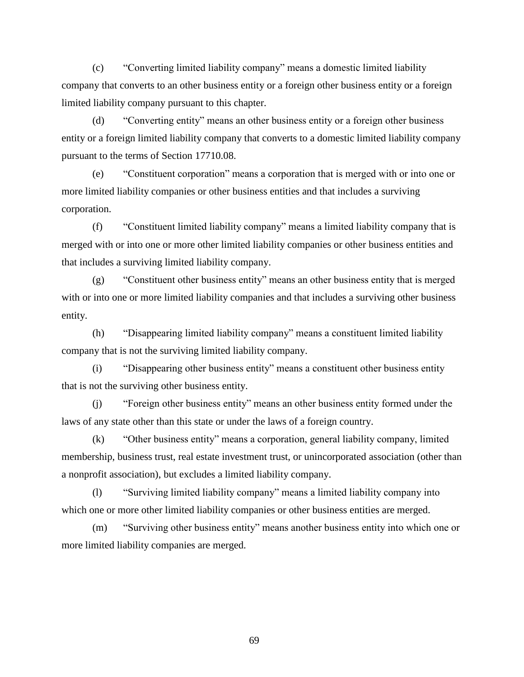(c) "Converting limited liability company" means a domestic limited liability company that converts to an other business entity or a foreign other business entity or a foreign limited liability company pursuant to this chapter.

(d) "Converting entity" means an other business entity or a foreign other business entity or a foreign limited liability company that converts to a domestic limited liability company pursuant to the terms of Section 17710.08.

(e) "Constituent corporation" means a corporation that is merged with or into one or more limited liability companies or other business entities and that includes a surviving corporation.

(f) "Constituent limited liability company" means a limited liability company that is merged with or into one or more other limited liability companies or other business entities and that includes a surviving limited liability company.

(g) "Constituent other business entity" means an other business entity that is merged with or into one or more limited liability companies and that includes a surviving other business entity.

(h) "Disappearing limited liability company" means a constituent limited liability company that is not the surviving limited liability company.

(i) "Disappearing other business entity" means a constituent other business entity that is not the surviving other business entity.

(j) "Foreign other business entity" means an other business entity formed under the laws of any state other than this state or under the laws of a foreign country.

(k) "Other business entity" means a corporation, general liability company, limited membership, business trust, real estate investment trust, or unincorporated association (other than a nonprofit association), but excludes a limited liability company.

(l) "Surviving limited liability company" means a limited liability company into which one or more other limited liability companies or other business entities are merged.

(m) "Surviving other business entity" means another business entity into which one or more limited liability companies are merged.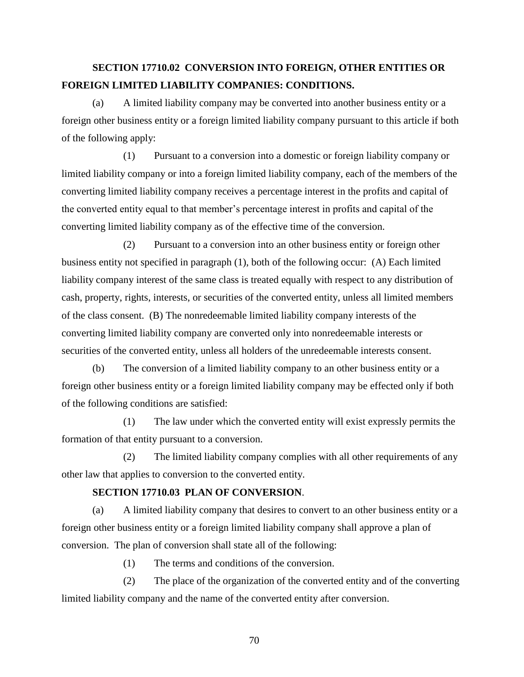## **SECTION 17710.02 CONVERSION INTO FOREIGN, OTHER ENTITIES OR FOREIGN LIMITED LIABILITY COMPANIES: CONDITIONS.**

(a) A limited liability company may be converted into another business entity or a foreign other business entity or a foreign limited liability company pursuant to this article if both of the following apply:

(1) Pursuant to a conversion into a domestic or foreign liability company or limited liability company or into a foreign limited liability company, each of the members of the converting limited liability company receives a percentage interest in the profits and capital of the converted entity equal to that member's percentage interest in profits and capital of the converting limited liability company as of the effective time of the conversion.

(2) Pursuant to a conversion into an other business entity or foreign other business entity not specified in paragraph (1), both of the following occur: (A) Each limited liability company interest of the same class is treated equally with respect to any distribution of cash, property, rights, interests, or securities of the converted entity, unless all limited members of the class consent. (B) The nonredeemable limited liability company interests of the converting limited liability company are converted only into nonredeemable interests or securities of the converted entity, unless all holders of the unredeemable interests consent.

(b) The conversion of a limited liability company to an other business entity or a foreign other business entity or a foreign limited liability company may be effected only if both of the following conditions are satisfied:

(1) The law under which the converted entity will exist expressly permits the formation of that entity pursuant to a conversion.

(2) The limited liability company complies with all other requirements of any other law that applies to conversion to the converted entity.

#### **SECTION 17710.03 PLAN OF CONVERSION**.

(a) A limited liability company that desires to convert to an other business entity or a foreign other business entity or a foreign limited liability company shall approve a plan of conversion. The plan of conversion shall state all of the following:

(1) The terms and conditions of the conversion.

(2) The place of the organization of the converted entity and of the converting limited liability company and the name of the converted entity after conversion.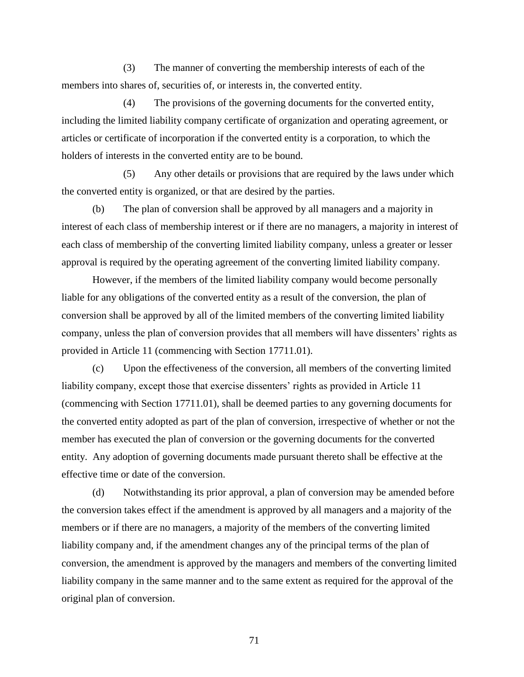(3) The manner of converting the membership interests of each of the members into shares of, securities of, or interests in, the converted entity.

(4) The provisions of the governing documents for the converted entity, including the limited liability company certificate of organization and operating agreement, or articles or certificate of incorporation if the converted entity is a corporation, to which the holders of interests in the converted entity are to be bound.

(5) Any other details or provisions that are required by the laws under which the converted entity is organized, or that are desired by the parties.

(b) The plan of conversion shall be approved by all managers and a majority in interest of each class of membership interest or if there are no managers, a majority in interest of each class of membership of the converting limited liability company, unless a greater or lesser approval is required by the operating agreement of the converting limited liability company.

However, if the members of the limited liability company would become personally liable for any obligations of the converted entity as a result of the conversion, the plan of conversion shall be approved by all of the limited members of the converting limited liability company, unless the plan of conversion provides that all members will have dissenters' rights as provided in Article 11 (commencing with Section 17711.01).

(c) Upon the effectiveness of the conversion, all members of the converting limited liability company, except those that exercise dissenters' rights as provided in Article 11 (commencing with Section 17711.01), shall be deemed parties to any governing documents for the converted entity adopted as part of the plan of conversion, irrespective of whether or not the member has executed the plan of conversion or the governing documents for the converted entity. Any adoption of governing documents made pursuant thereto shall be effective at the effective time or date of the conversion.

(d) Notwithstanding its prior approval, a plan of conversion may be amended before the conversion takes effect if the amendment is approved by all managers and a majority of the members or if there are no managers, a majority of the members of the converting limited liability company and, if the amendment changes any of the principal terms of the plan of conversion, the amendment is approved by the managers and members of the converting limited liability company in the same manner and to the same extent as required for the approval of the original plan of conversion.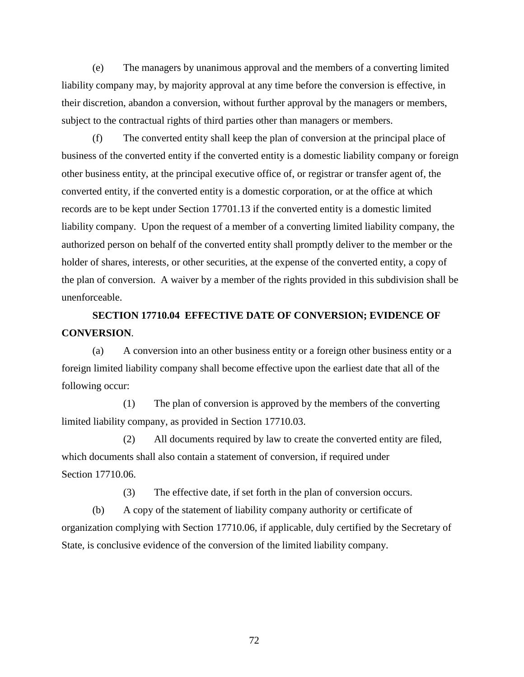(e) The managers by unanimous approval and the members of a converting limited liability company may, by majority approval at any time before the conversion is effective, in their discretion, abandon a conversion, without further approval by the managers or members, subject to the contractual rights of third parties other than managers or members.

(f) The converted entity shall keep the plan of conversion at the principal place of business of the converted entity if the converted entity is a domestic liability company or foreign other business entity, at the principal executive office of, or registrar or transfer agent of, the converted entity, if the converted entity is a domestic corporation, or at the office at which records are to be kept under Section 17701.13 if the converted entity is a domestic limited liability company. Upon the request of a member of a converting limited liability company, the authorized person on behalf of the converted entity shall promptly deliver to the member or the holder of shares, interests, or other securities, at the expense of the converted entity, a copy of the plan of conversion. A waiver by a member of the rights provided in this subdivision shall be unenforceable.

**SECTION 17710.04 EFFECTIVE DATE OF CONVERSION; EVIDENCE OF CONVERSION**.

(a) A conversion into an other business entity or a foreign other business entity or a foreign limited liability company shall become effective upon the earliest date that all of the following occur:

(1) The plan of conversion is approved by the members of the converting limited liability company, as provided in Section 17710.03.

(2) All documents required by law to create the converted entity are filed, which documents shall also contain a statement of conversion, if required under Section 17710.06.

(3) The effective date, if set forth in the plan of conversion occurs.

(b) A copy of the statement of liability company authority or certificate of organization complying with Section 17710.06, if applicable, duly certified by the Secretary of State, is conclusive evidence of the conversion of the limited liability company.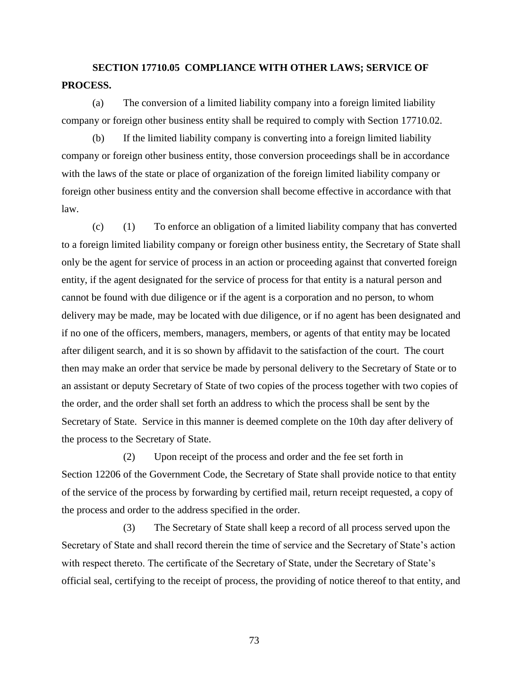## **SECTION 17710.05 COMPLIANCE WITH OTHER LAWS; SERVICE OF PROCESS.**

(a) The conversion of a limited liability company into a foreign limited liability company or foreign other business entity shall be required to comply with Section 17710.02.

(b) If the limited liability company is converting into a foreign limited liability company or foreign other business entity, those conversion proceedings shall be in accordance with the laws of the state or place of organization of the foreign limited liability company or foreign other business entity and the conversion shall become effective in accordance with that law.

(c) (1) To enforce an obligation of a limited liability company that has converted to a foreign limited liability company or foreign other business entity, the Secretary of State shall only be the agent for service of process in an action or proceeding against that converted foreign entity, if the agent designated for the service of process for that entity is a natural person and cannot be found with due diligence or if the agent is a corporation and no person, to whom delivery may be made, may be located with due diligence, or if no agent has been designated and if no one of the officers, members, managers, members, or agents of that entity may be located after diligent search, and it is so shown by affidavit to the satisfaction of the court. The court then may make an order that service be made by personal delivery to the Secretary of State or to an assistant or deputy Secretary of State of two copies of the process together with two copies of the order, and the order shall set forth an address to which the process shall be sent by the Secretary of State. Service in this manner is deemed complete on the 10th day after delivery of the process to the Secretary of State.

(2) Upon receipt of the process and order and the fee set forth in Section 12206 of the Government Code, the Secretary of State shall provide notice to that entity of the service of the process by forwarding by certified mail, return receipt requested, a copy of the process and order to the address specified in the order.

(3) The Secretary of State shall keep a record of all process served upon the Secretary of State and shall record therein the time of service and the Secretary of State's action with respect thereto. The certificate of the Secretary of State, under the Secretary of State's official seal, certifying to the receipt of process, the providing of notice thereof to that entity, and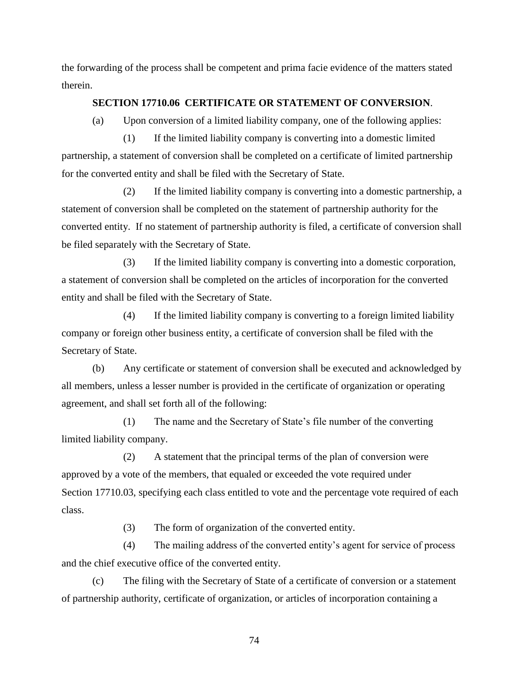the forwarding of the process shall be competent and prima facie evidence of the matters stated therein.

## **SECTION 17710.06 CERTIFICATE OR STATEMENT OF CONVERSION**.

(a) Upon conversion of a limited liability company, one of the following applies:

(1) If the limited liability company is converting into a domestic limited partnership, a statement of conversion shall be completed on a certificate of limited partnership for the converted entity and shall be filed with the Secretary of State.

(2) If the limited liability company is converting into a domestic partnership, a statement of conversion shall be completed on the statement of partnership authority for the converted entity. If no statement of partnership authority is filed, a certificate of conversion shall be filed separately with the Secretary of State.

(3) If the limited liability company is converting into a domestic corporation, a statement of conversion shall be completed on the articles of incorporation for the converted entity and shall be filed with the Secretary of State.

(4) If the limited liability company is converting to a foreign limited liability company or foreign other business entity, a certificate of conversion shall be filed with the Secretary of State.

(b) Any certificate or statement of conversion shall be executed and acknowledged by all members, unless a lesser number is provided in the certificate of organization or operating agreement, and shall set forth all of the following:

(1) The name and the Secretary of State's file number of the converting limited liability company.

(2) A statement that the principal terms of the plan of conversion were approved by a vote of the members, that equaled or exceeded the vote required under Section 17710.03, specifying each class entitled to vote and the percentage vote required of each class.

(3) The form of organization of the converted entity.

(4) The mailing address of the converted entity's agent for service of process and the chief executive office of the converted entity.

(c) The filing with the Secretary of State of a certificate of conversion or a statement of partnership authority, certificate of organization, or articles of incorporation containing a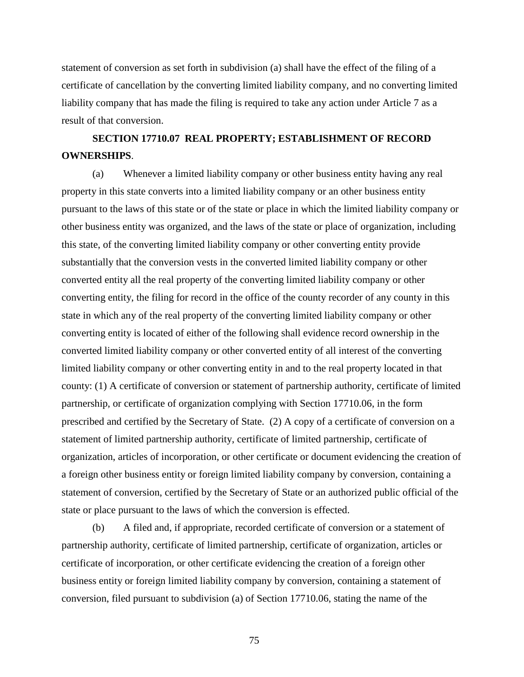statement of conversion as set forth in subdivision (a) shall have the effect of the filing of a certificate of cancellation by the converting limited liability company, and no converting limited liability company that has made the filing is required to take any action under Article 7 as a result of that conversion.

# **SECTION 17710.07 REAL PROPERTY; ESTABLISHMENT OF RECORD OWNERSHIPS**.

(a) Whenever a limited liability company or other business entity having any real property in this state converts into a limited liability company or an other business entity pursuant to the laws of this state or of the state or place in which the limited liability company or other business entity was organized, and the laws of the state or place of organization, including this state, of the converting limited liability company or other converting entity provide substantially that the conversion vests in the converted limited liability company or other converted entity all the real property of the converting limited liability company or other converting entity, the filing for record in the office of the county recorder of any county in this state in which any of the real property of the converting limited liability company or other converting entity is located of either of the following shall evidence record ownership in the converted limited liability company or other converted entity of all interest of the converting limited liability company or other converting entity in and to the real property located in that county: (1) A certificate of conversion or statement of partnership authority, certificate of limited partnership, or certificate of organization complying with Section 17710.06, in the form prescribed and certified by the Secretary of State. (2) A copy of a certificate of conversion on a statement of limited partnership authority, certificate of limited partnership, certificate of organization, articles of incorporation, or other certificate or document evidencing the creation of a foreign other business entity or foreign limited liability company by conversion, containing a statement of conversion, certified by the Secretary of State or an authorized public official of the state or place pursuant to the laws of which the conversion is effected.

(b) A filed and, if appropriate, recorded certificate of conversion or a statement of partnership authority, certificate of limited partnership, certificate of organization, articles or certificate of incorporation, or other certificate evidencing the creation of a foreign other business entity or foreign limited liability company by conversion, containing a statement of conversion, filed pursuant to subdivision (a) of Section 17710.06, stating the name of the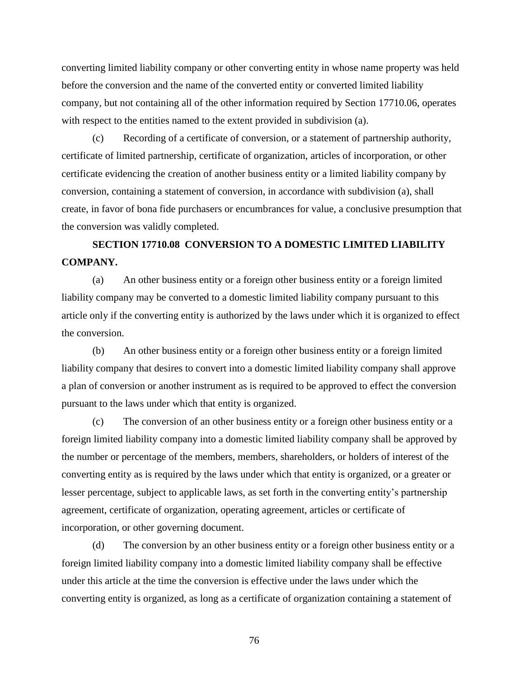converting limited liability company or other converting entity in whose name property was held before the conversion and the name of the converted entity or converted limited liability company, but not containing all of the other information required by Section 17710.06, operates with respect to the entities named to the extent provided in subdivision (a).

(c) Recording of a certificate of conversion, or a statement of partnership authority, certificate of limited partnership, certificate of organization, articles of incorporation, or other certificate evidencing the creation of another business entity or a limited liability company by conversion, containing a statement of conversion, in accordance with subdivision (a), shall create, in favor of bona fide purchasers or encumbrances for value, a conclusive presumption that the conversion was validly completed.

## **SECTION 17710.08 CONVERSION TO A DOMESTIC LIMITED LIABILITY COMPANY.**

(a) An other business entity or a foreign other business entity or a foreign limited liability company may be converted to a domestic limited liability company pursuant to this article only if the converting entity is authorized by the laws under which it is organized to effect the conversion.

(b) An other business entity or a foreign other business entity or a foreign limited liability company that desires to convert into a domestic limited liability company shall approve a plan of conversion or another instrument as is required to be approved to effect the conversion pursuant to the laws under which that entity is organized.

(c) The conversion of an other business entity or a foreign other business entity or a foreign limited liability company into a domestic limited liability company shall be approved by the number or percentage of the members, members, shareholders, or holders of interest of the converting entity as is required by the laws under which that entity is organized, or a greater or lesser percentage, subject to applicable laws, as set forth in the converting entity's partnership agreement, certificate of organization, operating agreement, articles or certificate of incorporation, or other governing document.

(d) The conversion by an other business entity or a foreign other business entity or a foreign limited liability company into a domestic limited liability company shall be effective under this article at the time the conversion is effective under the laws under which the converting entity is organized, as long as a certificate of organization containing a statement of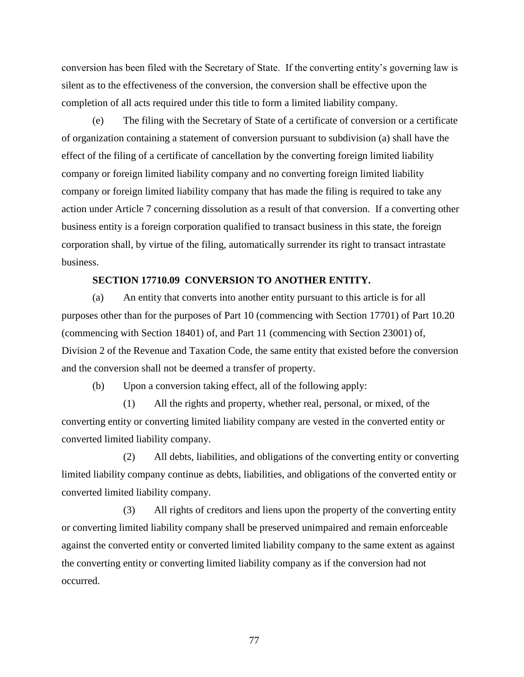conversion has been filed with the Secretary of State. If the converting entity's governing law is silent as to the effectiveness of the conversion, the conversion shall be effective upon the completion of all acts required under this title to form a limited liability company.

(e) The filing with the Secretary of State of a certificate of conversion or a certificate of organization containing a statement of conversion pursuant to subdivision (a) shall have the effect of the filing of a certificate of cancellation by the converting foreign limited liability company or foreign limited liability company and no converting foreign limited liability company or foreign limited liability company that has made the filing is required to take any action under Article 7 concerning dissolution as a result of that conversion. If a converting other business entity is a foreign corporation qualified to transact business in this state, the foreign corporation shall, by virtue of the filing, automatically surrender its right to transact intrastate business.

### **SECTION 17710.09 CONVERSION TO ANOTHER ENTITY.**

(a) An entity that converts into another entity pursuant to this article is for all purposes other than for the purposes of Part 10 (commencing with Section 17701) of Part 10.20 (commencing with Section 18401) of, and Part 11 (commencing with Section 23001) of, Division 2 of the Revenue and Taxation Code, the same entity that existed before the conversion and the conversion shall not be deemed a transfer of property.

(b) Upon a conversion taking effect, all of the following apply:

(1) All the rights and property, whether real, personal, or mixed, of the converting entity or converting limited liability company are vested in the converted entity or converted limited liability company.

(2) All debts, liabilities, and obligations of the converting entity or converting limited liability company continue as debts, liabilities, and obligations of the converted entity or converted limited liability company.

(3) All rights of creditors and liens upon the property of the converting entity or converting limited liability company shall be preserved unimpaired and remain enforceable against the converted entity or converted limited liability company to the same extent as against the converting entity or converting limited liability company as if the conversion had not occurred.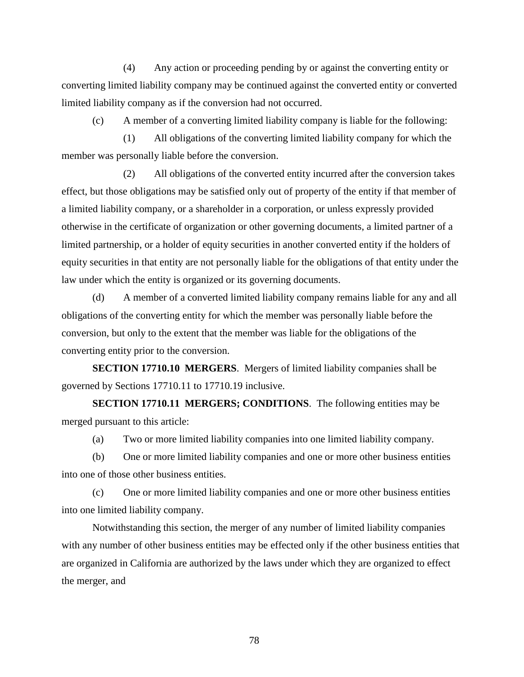(4) Any action or proceeding pending by or against the converting entity or converting limited liability company may be continued against the converted entity or converted limited liability company as if the conversion had not occurred.

(c) A member of a converting limited liability company is liable for the following:

(1) All obligations of the converting limited liability company for which the member was personally liable before the conversion.

(2) All obligations of the converted entity incurred after the conversion takes effect, but those obligations may be satisfied only out of property of the entity if that member of a limited liability company, or a shareholder in a corporation, or unless expressly provided otherwise in the certificate of organization or other governing documents, a limited partner of a limited partnership, or a holder of equity securities in another converted entity if the holders of equity securities in that entity are not personally liable for the obligations of that entity under the law under which the entity is organized or its governing documents.

(d) A member of a converted limited liability company remains liable for any and all obligations of the converting entity for which the member was personally liable before the conversion, but only to the extent that the member was liable for the obligations of the converting entity prior to the conversion.

**SECTION 17710.10 MERGERS**. Mergers of limited liability companies shall be governed by Sections 17710.11 to 17710.19 inclusive.

**SECTION 17710.11 MERGERS; CONDITIONS**. The following entities may be merged pursuant to this article:

(a) Two or more limited liability companies into one limited liability company.

(b) One or more limited liability companies and one or more other business entities into one of those other business entities.

(c) One or more limited liability companies and one or more other business entities into one limited liability company.

Notwithstanding this section, the merger of any number of limited liability companies with any number of other business entities may be effected only if the other business entities that are organized in California are authorized by the laws under which they are organized to effect the merger, and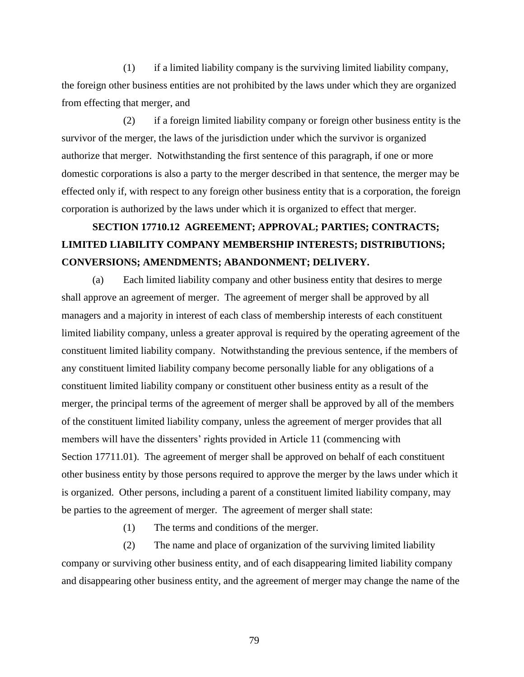(1) if a limited liability company is the surviving limited liability company, the foreign other business entities are not prohibited by the laws under which they are organized from effecting that merger, and

(2) if a foreign limited liability company or foreign other business entity is the survivor of the merger, the laws of the jurisdiction under which the survivor is organized authorize that merger. Notwithstanding the first sentence of this paragraph, if one or more domestic corporations is also a party to the merger described in that sentence, the merger may be effected only if, with respect to any foreign other business entity that is a corporation, the foreign corporation is authorized by the laws under which it is organized to effect that merger.

# **SECTION 17710.12 AGREEMENT; APPROVAL; PARTIES; CONTRACTS; LIMITED LIABILITY COMPANY MEMBERSHIP INTERESTS; DISTRIBUTIONS; CONVERSIONS; AMENDMENTS; ABANDONMENT; DELIVERY.**

(a) Each limited liability company and other business entity that desires to merge shall approve an agreement of merger. The agreement of merger shall be approved by all managers and a majority in interest of each class of membership interests of each constituent limited liability company, unless a greater approval is required by the operating agreement of the constituent limited liability company. Notwithstanding the previous sentence, if the members of any constituent limited liability company become personally liable for any obligations of a constituent limited liability company or constituent other business entity as a result of the merger, the principal terms of the agreement of merger shall be approved by all of the members of the constituent limited liability company, unless the agreement of merger provides that all members will have the dissenters' rights provided in Article 11 (commencing with Section 17711.01). The agreement of merger shall be approved on behalf of each constituent other business entity by those persons required to approve the merger by the laws under which it is organized. Other persons, including a parent of a constituent limited liability company, may be parties to the agreement of merger. The agreement of merger shall state:

(1) The terms and conditions of the merger.

(2) The name and place of organization of the surviving limited liability company or surviving other business entity, and of each disappearing limited liability company and disappearing other business entity, and the agreement of merger may change the name of the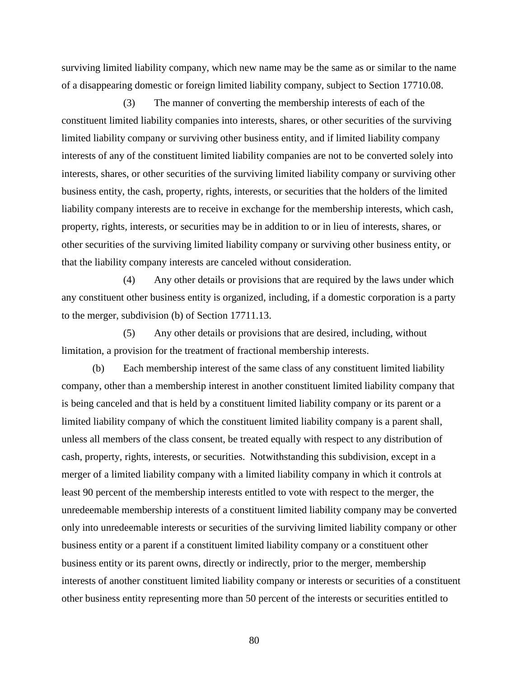surviving limited liability company, which new name may be the same as or similar to the name of a disappearing domestic or foreign limited liability company, subject to Section 17710.08.

(3) The manner of converting the membership interests of each of the constituent limited liability companies into interests, shares, or other securities of the surviving limited liability company or surviving other business entity, and if limited liability company interests of any of the constituent limited liability companies are not to be converted solely into interests, shares, or other securities of the surviving limited liability company or surviving other business entity, the cash, property, rights, interests, or securities that the holders of the limited liability company interests are to receive in exchange for the membership interests, which cash, property, rights, interests, or securities may be in addition to or in lieu of interests, shares, or other securities of the surviving limited liability company or surviving other business entity, or that the liability company interests are canceled without consideration.

(4) Any other details or provisions that are required by the laws under which any constituent other business entity is organized, including, if a domestic corporation is a party to the merger, subdivision (b) of Section 17711.13.

(5) Any other details or provisions that are desired, including, without limitation, a provision for the treatment of fractional membership interests.

(b) Each membership interest of the same class of any constituent limited liability company, other than a membership interest in another constituent limited liability company that is being canceled and that is held by a constituent limited liability company or its parent or a limited liability company of which the constituent limited liability company is a parent shall, unless all members of the class consent, be treated equally with respect to any distribution of cash, property, rights, interests, or securities. Notwithstanding this subdivision, except in a merger of a limited liability company with a limited liability company in which it controls at least 90 percent of the membership interests entitled to vote with respect to the merger, the unredeemable membership interests of a constituent limited liability company may be converted only into unredeemable interests or securities of the surviving limited liability company or other business entity or a parent if a constituent limited liability company or a constituent other business entity or its parent owns, directly or indirectly, prior to the merger, membership interests of another constituent limited liability company or interests or securities of a constituent other business entity representing more than 50 percent of the interests or securities entitled to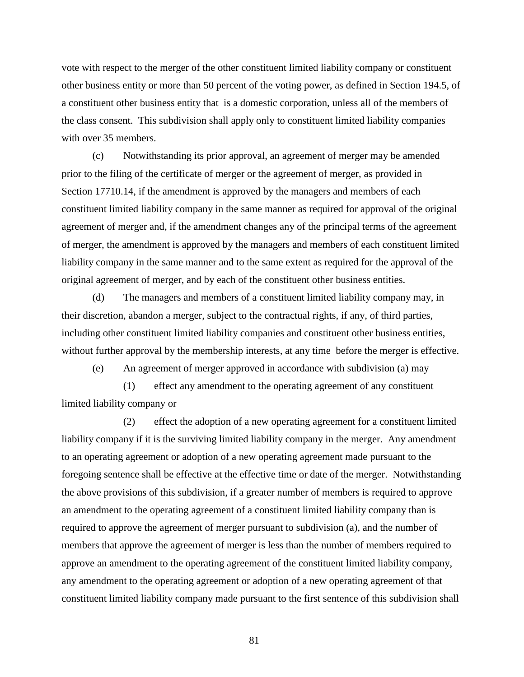vote with respect to the merger of the other constituent limited liability company or constituent other business entity or more than 50 percent of the voting power, as defined in Section 194.5, of a constituent other business entity that is a domestic corporation, unless all of the members of the class consent. This subdivision shall apply only to constituent limited liability companies with over 35 members.

(c) Notwithstanding its prior approval, an agreement of merger may be amended prior to the filing of the certificate of merger or the agreement of merger, as provided in Section 17710.14, if the amendment is approved by the managers and members of each constituent limited liability company in the same manner as required for approval of the original agreement of merger and, if the amendment changes any of the principal terms of the agreement of merger, the amendment is approved by the managers and members of each constituent limited liability company in the same manner and to the same extent as required for the approval of the original agreement of merger, and by each of the constituent other business entities.

(d) The managers and members of a constituent limited liability company may, in their discretion, abandon a merger, subject to the contractual rights, if any, of third parties, including other constituent limited liability companies and constituent other business entities, without further approval by the membership interests, at any time before the merger is effective.

(e) An agreement of merger approved in accordance with subdivision (a) may

(1) effect any amendment to the operating agreement of any constituent limited liability company or

(2) effect the adoption of a new operating agreement for a constituent limited liability company if it is the surviving limited liability company in the merger. Any amendment to an operating agreement or adoption of a new operating agreement made pursuant to the foregoing sentence shall be effective at the effective time or date of the merger. Notwithstanding the above provisions of this subdivision, if a greater number of members is required to approve an amendment to the operating agreement of a constituent limited liability company than is required to approve the agreement of merger pursuant to subdivision (a), and the number of members that approve the agreement of merger is less than the number of members required to approve an amendment to the operating agreement of the constituent limited liability company, any amendment to the operating agreement or adoption of a new operating agreement of that constituent limited liability company made pursuant to the first sentence of this subdivision shall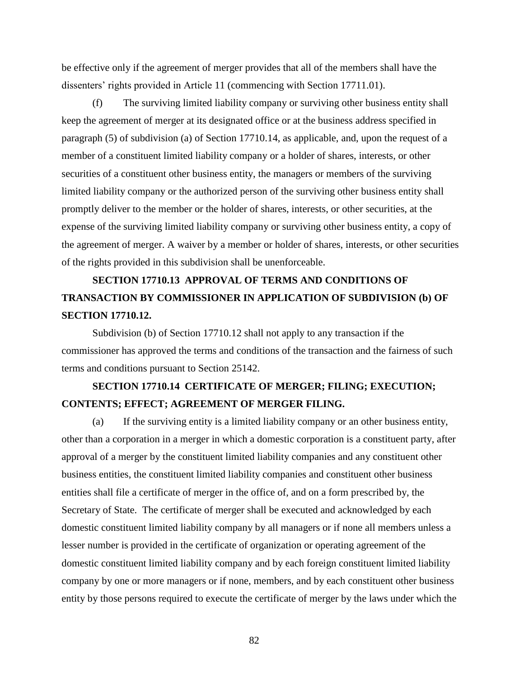be effective only if the agreement of merger provides that all of the members shall have the dissenters' rights provided in Article 11 (commencing with Section 17711.01).

(f) The surviving limited liability company or surviving other business entity shall keep the agreement of merger at its designated office or at the business address specified in paragraph (5) of subdivision (a) of Section 17710.14, as applicable, and, upon the request of a member of a constituent limited liability company or a holder of shares, interests, or other securities of a constituent other business entity, the managers or members of the surviving limited liability company or the authorized person of the surviving other business entity shall promptly deliver to the member or the holder of shares, interests, or other securities, at the expense of the surviving limited liability company or surviving other business entity, a copy of the agreement of merger. A waiver by a member or holder of shares, interests, or other securities of the rights provided in this subdivision shall be unenforceable.

# **SECTION 17710.13 APPROVAL OF TERMS AND CONDITIONS OF TRANSACTION BY COMMISSIONER IN APPLICATION OF SUBDIVISION (b) OF SECTION 17710.12.**

Subdivision (b) of Section 17710.12 shall not apply to any transaction if the commissioner has approved the terms and conditions of the transaction and the fairness of such terms and conditions pursuant to Section 25142.

## **SECTION 17710.14 CERTIFICATE OF MERGER; FILING; EXECUTION; CONTENTS; EFFECT; AGREEMENT OF MERGER FILING.**

(a) If the surviving entity is a limited liability company or an other business entity, other than a corporation in a merger in which a domestic corporation is a constituent party, after approval of a merger by the constituent limited liability companies and any constituent other business entities, the constituent limited liability companies and constituent other business entities shall file a certificate of merger in the office of, and on a form prescribed by, the Secretary of State. The certificate of merger shall be executed and acknowledged by each domestic constituent limited liability company by all managers or if none all members unless a lesser number is provided in the certificate of organization or operating agreement of the domestic constituent limited liability company and by each foreign constituent limited liability company by one or more managers or if none, members, and by each constituent other business entity by those persons required to execute the certificate of merger by the laws under which the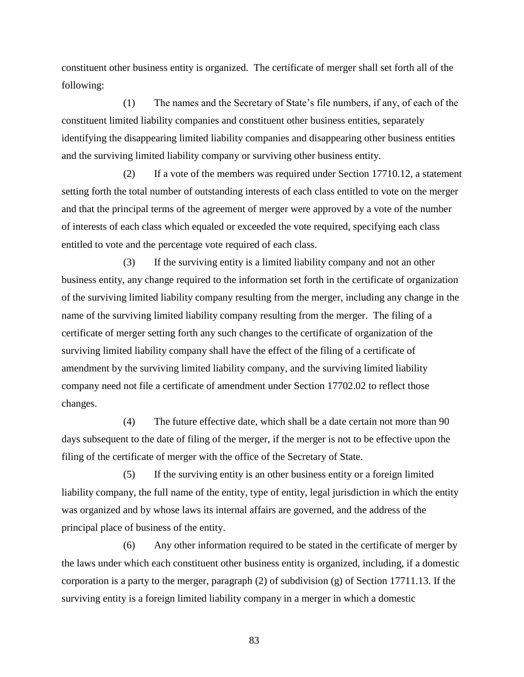constituent other business entity is organized. The certificate of merger shall set forth all of the following:

(1) The names and the Secretary of State's file numbers, if any, of each of the constituent limited liability companies and constituent other business entities, separately identifying the disappearing limited liability companies and disappearing other business entities and the surviving limited liability company or surviving other business entity.

(2) If a vote of the members was required under Section 17710.12, a statement setting forth the total number of outstanding interests of each class entitled to vote on the merger and that the principal terms of the agreement of merger were approved by a vote of the number of interests of each class which equaled or exceeded the vote required, specifying each class entitled to vote and the percentage vote required of each class.

(3) If the surviving entity is a limited liability company and not an other business entity, any change required to the information set forth in the certificate of organization of the surviving limited liability company resulting from the merger, including any change in the name of the surviving limited liability company resulting from the merger. The filing of a certificate of merger setting forth any such changes to the certificate of organization of the surviving limited liability company shall have the effect of the filing of a certificate of amendment by the surviving limited liability company, and the surviving limited liability company need not file a certificate of amendment under Section 17702.02 to reflect those changes.

(4) The future effective date, which shall be a date certain not more than 90 days subsequent to the date of filing of the merger, if the merger is not to be effective upon the filing of the certificate of merger with the office of the Secretary of State.

(5) If the surviving entity is an other business entity or a foreign limited liability company, the full name of the entity, type of entity, legal jurisdiction in which the entity was organized and by whose laws its internal affairs are governed, and the address of the principal place of business of the entity.

(6) Any other information required to be stated in the certificate of merger by the laws under which each constituent other business entity is organized, including, if a domestic corporation is a party to the merger, paragraph (2) of subdivision (g) of Section 17711.13. If the surviving entity is a foreign limited liability company in a merger in which a domestic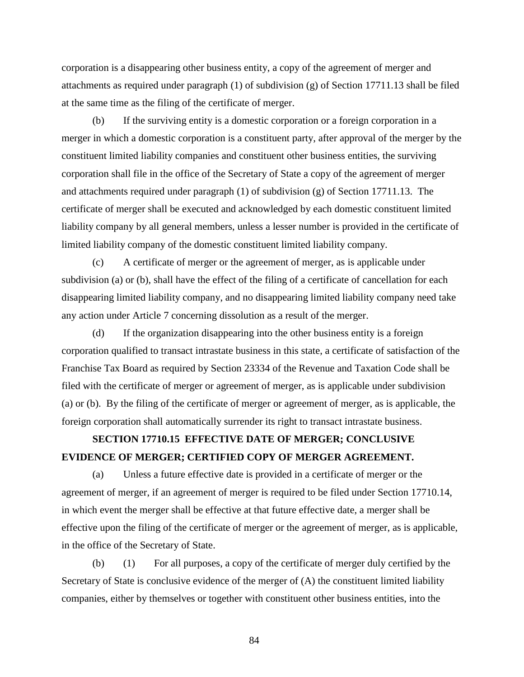corporation is a disappearing other business entity, a copy of the agreement of merger and attachments as required under paragraph (1) of subdivision (g) of Section 17711.13 shall be filed at the same time as the filing of the certificate of merger.

(b) If the surviving entity is a domestic corporation or a foreign corporation in a merger in which a domestic corporation is a constituent party, after approval of the merger by the constituent limited liability companies and constituent other business entities, the surviving corporation shall file in the office of the Secretary of State a copy of the agreement of merger and attachments required under paragraph (1) of subdivision (g) of Section 17711.13. The certificate of merger shall be executed and acknowledged by each domestic constituent limited liability company by all general members, unless a lesser number is provided in the certificate of limited liability company of the domestic constituent limited liability company.

(c) A certificate of merger or the agreement of merger, as is applicable under subdivision (a) or (b), shall have the effect of the filing of a certificate of cancellation for each disappearing limited liability company, and no disappearing limited liability company need take any action under Article 7 concerning dissolution as a result of the merger.

(d) If the organization disappearing into the other business entity is a foreign corporation qualified to transact intrastate business in this state, a certificate of satisfaction of the Franchise Tax Board as required by Section 23334 of the Revenue and Taxation Code shall be filed with the certificate of merger or agreement of merger, as is applicable under subdivision (a) or (b). By the filing of the certificate of merger or agreement of merger, as is applicable, the foreign corporation shall automatically surrender its right to transact intrastate business.

# **SECTION 17710.15 EFFECTIVE DATE OF MERGER; CONCLUSIVE EVIDENCE OF MERGER; CERTIFIED COPY OF MERGER AGREEMENT.**

(a) Unless a future effective date is provided in a certificate of merger or the agreement of merger, if an agreement of merger is required to be filed under Section 17710.14, in which event the merger shall be effective at that future effective date, a merger shall be effective upon the filing of the certificate of merger or the agreement of merger, as is applicable, in the office of the Secretary of State.

(b) (1) For all purposes, a copy of the certificate of merger duly certified by the Secretary of State is conclusive evidence of the merger of (A) the constituent limited liability companies, either by themselves or together with constituent other business entities, into the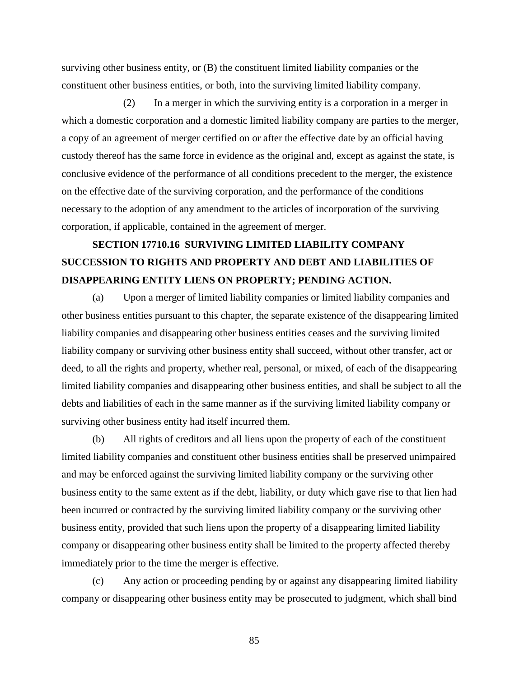surviving other business entity, or (B) the constituent limited liability companies or the constituent other business entities, or both, into the surviving limited liability company.

(2) In a merger in which the surviving entity is a corporation in a merger in which a domestic corporation and a domestic limited liability company are parties to the merger, a copy of an agreement of merger certified on or after the effective date by an official having custody thereof has the same force in evidence as the original and, except as against the state, is conclusive evidence of the performance of all conditions precedent to the merger, the existence on the effective date of the surviving corporation, and the performance of the conditions necessary to the adoption of any amendment to the articles of incorporation of the surviving corporation, if applicable, contained in the agreement of merger.

# **SECTION 17710.16 SURVIVING LIMITED LIABILITY COMPANY SUCCESSION TO RIGHTS AND PROPERTY AND DEBT AND LIABILITIES OF DISAPPEARING ENTITY LIENS ON PROPERTY; PENDING ACTION.**

(a) Upon a merger of limited liability companies or limited liability companies and other business entities pursuant to this chapter, the separate existence of the disappearing limited liability companies and disappearing other business entities ceases and the surviving limited liability company or surviving other business entity shall succeed, without other transfer, act or deed, to all the rights and property, whether real, personal, or mixed, of each of the disappearing limited liability companies and disappearing other business entities, and shall be subject to all the debts and liabilities of each in the same manner as if the surviving limited liability company or surviving other business entity had itself incurred them.

(b) All rights of creditors and all liens upon the property of each of the constituent limited liability companies and constituent other business entities shall be preserved unimpaired and may be enforced against the surviving limited liability company or the surviving other business entity to the same extent as if the debt, liability, or duty which gave rise to that lien had been incurred or contracted by the surviving limited liability company or the surviving other business entity, provided that such liens upon the property of a disappearing limited liability company or disappearing other business entity shall be limited to the property affected thereby immediately prior to the time the merger is effective.

(c) Any action or proceeding pending by or against any disappearing limited liability company or disappearing other business entity may be prosecuted to judgment, which shall bind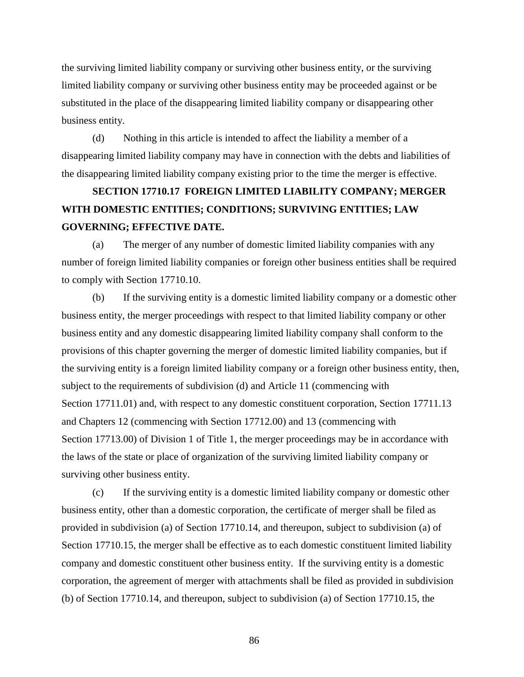the surviving limited liability company or surviving other business entity, or the surviving limited liability company or surviving other business entity may be proceeded against or be substituted in the place of the disappearing limited liability company or disappearing other business entity.

(d) Nothing in this article is intended to affect the liability a member of a disappearing limited liability company may have in connection with the debts and liabilities of the disappearing limited liability company existing prior to the time the merger is effective.

# **SECTION 17710.17 FOREIGN LIMITED LIABILITY COMPANY; MERGER WITH DOMESTIC ENTITIES; CONDITIONS; SURVIVING ENTITIES; LAW GOVERNING; EFFECTIVE DATE.**

(a) The merger of any number of domestic limited liability companies with any number of foreign limited liability companies or foreign other business entities shall be required to comply with Section 17710.10.

(b) If the surviving entity is a domestic limited liability company or a domestic other business entity, the merger proceedings with respect to that limited liability company or other business entity and any domestic disappearing limited liability company shall conform to the provisions of this chapter governing the merger of domestic limited liability companies, but if the surviving entity is a foreign limited liability company or a foreign other business entity, then, subject to the requirements of subdivision (d) and Article 11 (commencing with Section 17711.01) and, with respect to any domestic constituent corporation, Section 17711.13 and Chapters 12 (commencing with Section 17712.00) and 13 (commencing with Section 17713.00) of Division 1 of Title 1, the merger proceedings may be in accordance with the laws of the state or place of organization of the surviving limited liability company or surviving other business entity.

(c) If the surviving entity is a domestic limited liability company or domestic other business entity, other than a domestic corporation, the certificate of merger shall be filed as provided in subdivision (a) of Section 17710.14, and thereupon, subject to subdivision (a) of Section 17710.15, the merger shall be effective as to each domestic constituent limited liability company and domestic constituent other business entity. If the surviving entity is a domestic corporation, the agreement of merger with attachments shall be filed as provided in subdivision (b) of Section 17710.14, and thereupon, subject to subdivision (a) of Section 17710.15, the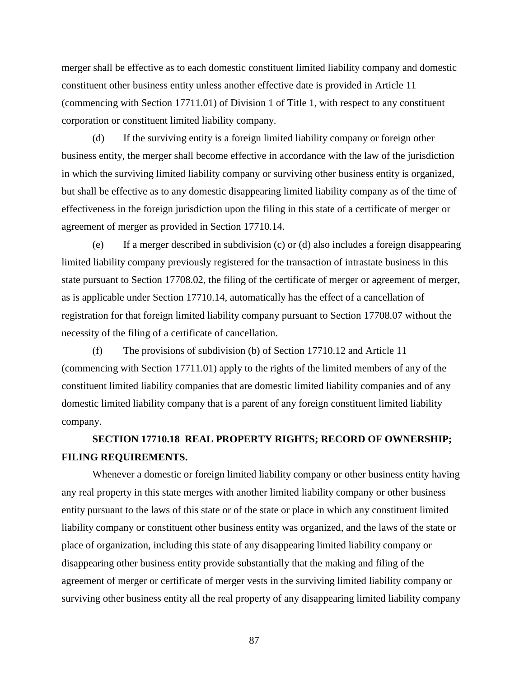merger shall be effective as to each domestic constituent limited liability company and domestic constituent other business entity unless another effective date is provided in Article 11 (commencing with Section 17711.01) of Division 1 of Title 1, with respect to any constituent corporation or constituent limited liability company.

(d) If the surviving entity is a foreign limited liability company or foreign other business entity, the merger shall become effective in accordance with the law of the jurisdiction in which the surviving limited liability company or surviving other business entity is organized, but shall be effective as to any domestic disappearing limited liability company as of the time of effectiveness in the foreign jurisdiction upon the filing in this state of a certificate of merger or agreement of merger as provided in Section 17710.14.

(e) If a merger described in subdivision (c) or (d) also includes a foreign disappearing limited liability company previously registered for the transaction of intrastate business in this state pursuant to Section 17708.02, the filing of the certificate of merger or agreement of merger, as is applicable under Section 17710.14, automatically has the effect of a cancellation of registration for that foreign limited liability company pursuant to Section 17708.07 without the necessity of the filing of a certificate of cancellation.

(f) The provisions of subdivision (b) of Section 17710.12 and Article 11 (commencing with Section 17711.01) apply to the rights of the limited members of any of the constituent limited liability companies that are domestic limited liability companies and of any domestic limited liability company that is a parent of any foreign constituent limited liability company.

## **SECTION 17710.18 REAL PROPERTY RIGHTS; RECORD OF OWNERSHIP; FILING REQUIREMENTS.**

Whenever a domestic or foreign limited liability company or other business entity having any real property in this state merges with another limited liability company or other business entity pursuant to the laws of this state or of the state or place in which any constituent limited liability company or constituent other business entity was organized, and the laws of the state or place of organization, including this state of any disappearing limited liability company or disappearing other business entity provide substantially that the making and filing of the agreement of merger or certificate of merger vests in the surviving limited liability company or surviving other business entity all the real property of any disappearing limited liability company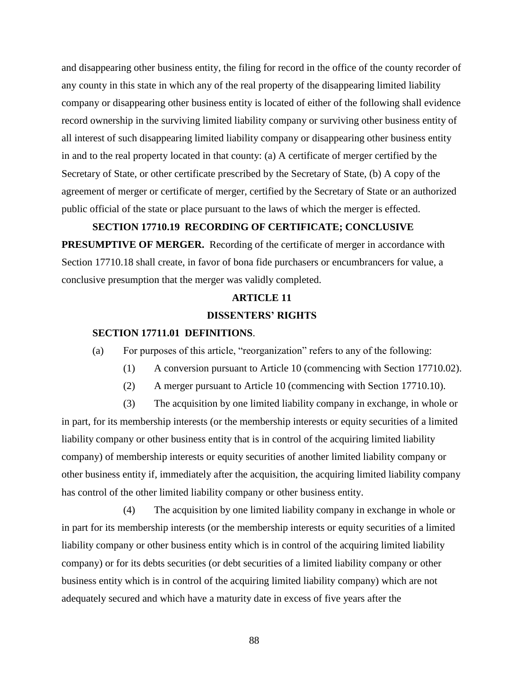and disappearing other business entity, the filing for record in the office of the county recorder of any county in this state in which any of the real property of the disappearing limited liability company or disappearing other business entity is located of either of the following shall evidence record ownership in the surviving limited liability company or surviving other business entity of all interest of such disappearing limited liability company or disappearing other business entity in and to the real property located in that county: (a) A certificate of merger certified by the Secretary of State, or other certificate prescribed by the Secretary of State, (b) A copy of the agreement of merger or certificate of merger, certified by the Secretary of State or an authorized public official of the state or place pursuant to the laws of which the merger is effected.

## **SECTION 17710.19 RECORDING OF CERTIFICATE; CONCLUSIVE**

**PRESUMPTIVE OF MERGER.** Recording of the certificate of merger in accordance with Section 17710.18 shall create, in favor of bona fide purchasers or encumbrancers for value, a conclusive presumption that the merger was validly completed.

# **ARTICLE 11**

## **DISSENTERS' RIGHTS**

#### **SECTION 17711.01 DEFINITIONS**.

(a) For purposes of this article, "reorganization" refers to any of the following:

- (1) A conversion pursuant to Article 10 (commencing with Section 17710.02).
- (2) A merger pursuant to Article 10 (commencing with Section 17710.10).

(3) The acquisition by one limited liability company in exchange, in whole or in part, for its membership interests (or the membership interests or equity securities of a limited liability company or other business entity that is in control of the acquiring limited liability company) of membership interests or equity securities of another limited liability company or other business entity if, immediately after the acquisition, the acquiring limited liability company has control of the other limited liability company or other business entity.

(4) The acquisition by one limited liability company in exchange in whole or in part for its membership interests (or the membership interests or equity securities of a limited liability company or other business entity which is in control of the acquiring limited liability company) or for its debts securities (or debt securities of a limited liability company or other business entity which is in control of the acquiring limited liability company) which are not adequately secured and which have a maturity date in excess of five years after the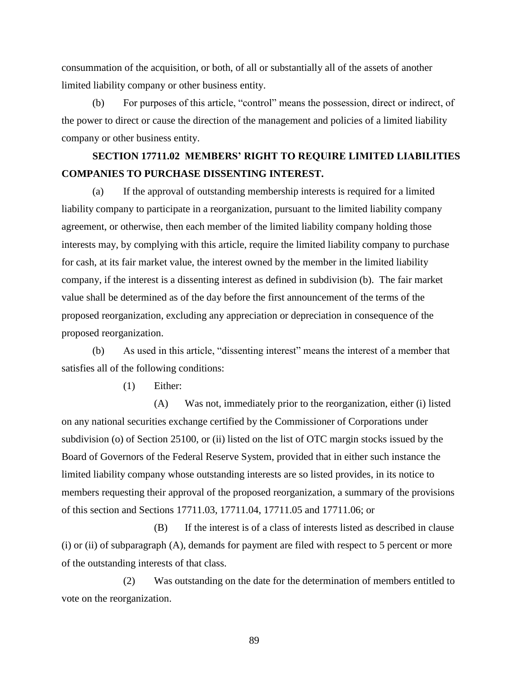consummation of the acquisition, or both, of all or substantially all of the assets of another limited liability company or other business entity.

(b) For purposes of this article, "control" means the possession, direct or indirect, of the power to direct or cause the direction of the management and policies of a limited liability company or other business entity.

# **SECTION 17711.02 MEMBERS' RIGHT TO REQUIRE LIMITED LIABILITIES COMPANIES TO PURCHASE DISSENTING INTEREST.**

(a) If the approval of outstanding membership interests is required for a limited liability company to participate in a reorganization, pursuant to the limited liability company agreement, or otherwise, then each member of the limited liability company holding those interests may, by complying with this article, require the limited liability company to purchase for cash, at its fair market value, the interest owned by the member in the limited liability company, if the interest is a dissenting interest as defined in subdivision (b). The fair market value shall be determined as of the day before the first announcement of the terms of the proposed reorganization, excluding any appreciation or depreciation in consequence of the proposed reorganization.

(b) As used in this article, "dissenting interest" means the interest of a member that satisfies all of the following conditions:

(1) Either:

(A) Was not, immediately prior to the reorganization, either (i) listed on any national securities exchange certified by the Commissioner of Corporations under subdivision (o) of Section 25100, or (ii) listed on the list of OTC margin stocks issued by the Board of Governors of the Federal Reserve System, provided that in either such instance the limited liability company whose outstanding interests are so listed provides, in its notice to members requesting their approval of the proposed reorganization, a summary of the provisions of this section and Sections 17711.03, 17711.04, 17711.05 and 17711.06; or

(B) If the interest is of a class of interests listed as described in clause (i) or (ii) of subparagraph (A), demands for payment are filed with respect to 5 percent or more of the outstanding interests of that class.

(2) Was outstanding on the date for the determination of members entitled to vote on the reorganization.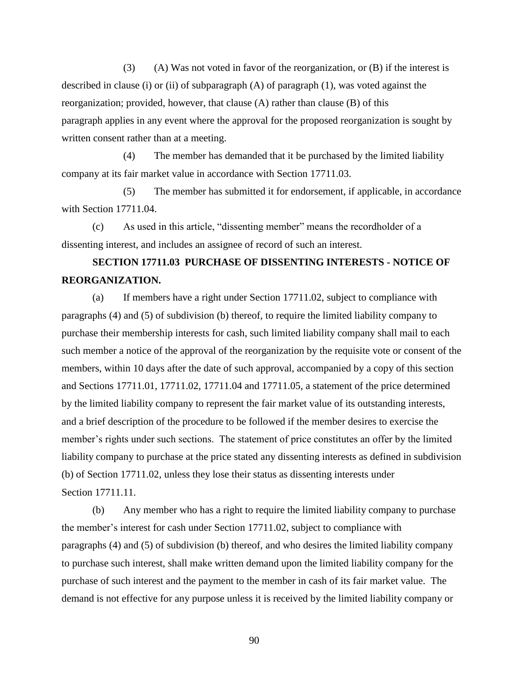(3) (A) Was not voted in favor of the reorganization, or (B) if the interest is described in clause (i) or (ii) of subparagraph (A) of paragraph (1), was voted against the reorganization; provided, however, that clause (A) rather than clause (B) of this paragraph applies in any event where the approval for the proposed reorganization is sought by written consent rather than at a meeting.

(4) The member has demanded that it be purchased by the limited liability company at its fair market value in accordance with Section 17711.03.

(5) The member has submitted it for endorsement, if applicable, in accordance with Section 17711.04.

(c) As used in this article, "dissenting member" means the recordholder of a dissenting interest, and includes an assignee of record of such an interest.

## **SECTION 17711.03 PURCHASE OF DISSENTING INTERESTS - NOTICE OF REORGANIZATION.**

(a) If members have a right under Section 17711.02, subject to compliance with paragraphs (4) and (5) of subdivision (b) thereof, to require the limited liability company to purchase their membership interests for cash, such limited liability company shall mail to each such member a notice of the approval of the reorganization by the requisite vote or consent of the members, within 10 days after the date of such approval, accompanied by a copy of this section and Sections 17711.01, 17711.02, 17711.04 and 17711.05, a statement of the price determined by the limited liability company to represent the fair market value of its outstanding interests, and a brief description of the procedure to be followed if the member desires to exercise the member's rights under such sections. The statement of price constitutes an offer by the limited liability company to purchase at the price stated any dissenting interests as defined in subdivision (b) of Section 17711.02, unless they lose their status as dissenting interests under Section 17711.11.

(b) Any member who has a right to require the limited liability company to purchase the member's interest for cash under Section 17711.02, subject to compliance with paragraphs (4) and (5) of subdivision (b) thereof, and who desires the limited liability company to purchase such interest, shall make written demand upon the limited liability company for the purchase of such interest and the payment to the member in cash of its fair market value. The demand is not effective for any purpose unless it is received by the limited liability company or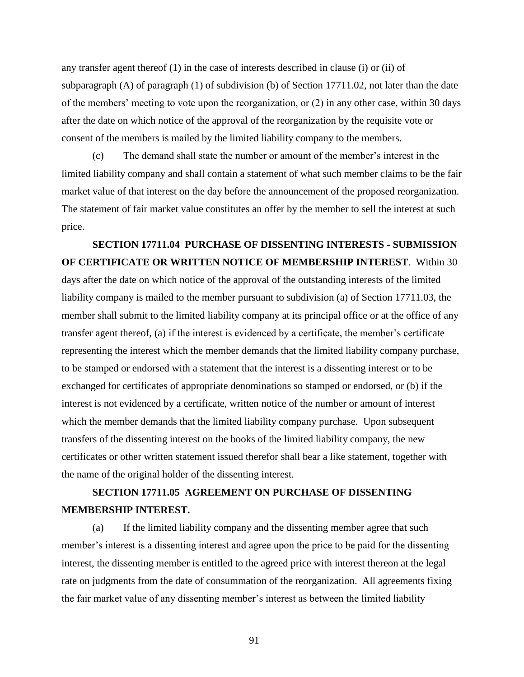any transfer agent thereof (1) in the case of interests described in clause (i) or (ii) of subparagraph (A) of paragraph (1) of subdivision (b) of Section 17711.02, not later than the date of the members' meeting to vote upon the reorganization, or (2) in any other case, within 30 days after the date on which notice of the approval of the reorganization by the requisite vote or consent of the members is mailed by the limited liability company to the members.

(c) The demand shall state the number or amount of the member's interest in the limited liability company and shall contain a statement of what such member claims to be the fair market value of that interest on the day before the announcement of the proposed reorganization. The statement of fair market value constitutes an offer by the member to sell the interest at such price.

# **SECTION 17711.04 PURCHASE OF DISSENTING INTERESTS - SUBMISSION OF CERTIFICATE OR WRITTEN NOTICE OF MEMBERSHIP INTEREST**. Within 30

days after the date on which notice of the approval of the outstanding interests of the limited liability company is mailed to the member pursuant to subdivision (a) of Section 17711.03, the member shall submit to the limited liability company at its principal office or at the office of any transfer agent thereof, (a) if the interest is evidenced by a certificate, the member's certificate representing the interest which the member demands that the limited liability company purchase, to be stamped or endorsed with a statement that the interest is a dissenting interest or to be exchanged for certificates of appropriate denominations so stamped or endorsed, or (b) if the interest is not evidenced by a certificate, written notice of the number or amount of interest which the member demands that the limited liability company purchase. Upon subsequent transfers of the dissenting interest on the books of the limited liability company, the new certificates or other written statement issued therefor shall bear a like statement, together with the name of the original holder of the dissenting interest.

## **SECTION 17711.05 AGREEMENT ON PURCHASE OF DISSENTING MEMBERSHIP INTEREST.**

(a) If the limited liability company and the dissenting member agree that such member's interest is a dissenting interest and agree upon the price to be paid for the dissenting interest, the dissenting member is entitled to the agreed price with interest thereon at the legal rate on judgments from the date of consummation of the reorganization. All agreements fixing the fair market value of any dissenting member's interest as between the limited liability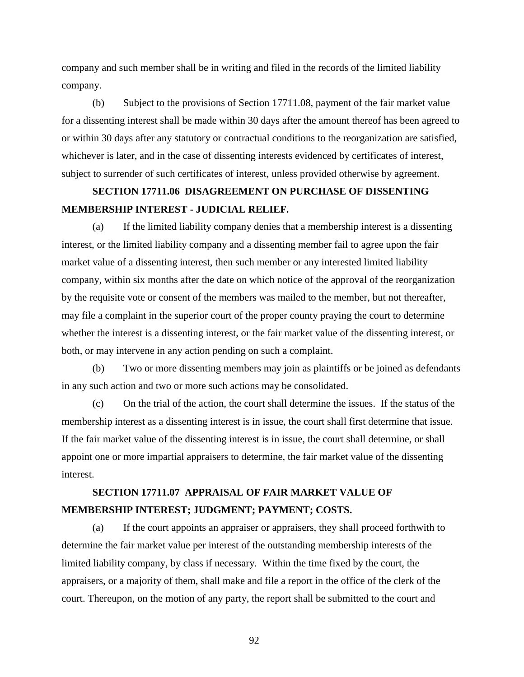company and such member shall be in writing and filed in the records of the limited liability company.

(b) Subject to the provisions of Section 17711.08, payment of the fair market value for a dissenting interest shall be made within 30 days after the amount thereof has been agreed to or within 30 days after any statutory or contractual conditions to the reorganization are satisfied, whichever is later, and in the case of dissenting interests evidenced by certificates of interest, subject to surrender of such certificates of interest, unless provided otherwise by agreement.

## **SECTION 17711.06 DISAGREEMENT ON PURCHASE OF DISSENTING MEMBERSHIP INTEREST - JUDICIAL RELIEF.**

(a) If the limited liability company denies that a membership interest is a dissenting interest, or the limited liability company and a dissenting member fail to agree upon the fair market value of a dissenting interest, then such member or any interested limited liability company, within six months after the date on which notice of the approval of the reorganization by the requisite vote or consent of the members was mailed to the member, but not thereafter, may file a complaint in the superior court of the proper county praying the court to determine whether the interest is a dissenting interest, or the fair market value of the dissenting interest, or both, or may intervene in any action pending on such a complaint.

(b) Two or more dissenting members may join as plaintiffs or be joined as defendants in any such action and two or more such actions may be consolidated.

(c) On the trial of the action, the court shall determine the issues. If the status of the membership interest as a dissenting interest is in issue, the court shall first determine that issue. If the fair market value of the dissenting interest is in issue, the court shall determine, or shall appoint one or more impartial appraisers to determine, the fair market value of the dissenting interest.

## **SECTION 17711.07 APPRAISAL OF FAIR MARKET VALUE OF MEMBERSHIP INTEREST; JUDGMENT; PAYMENT; COSTS.**

(a) If the court appoints an appraiser or appraisers, they shall proceed forthwith to determine the fair market value per interest of the outstanding membership interests of the limited liability company, by class if necessary. Within the time fixed by the court, the appraisers, or a majority of them, shall make and file a report in the office of the clerk of the court. Thereupon, on the motion of any party, the report shall be submitted to the court and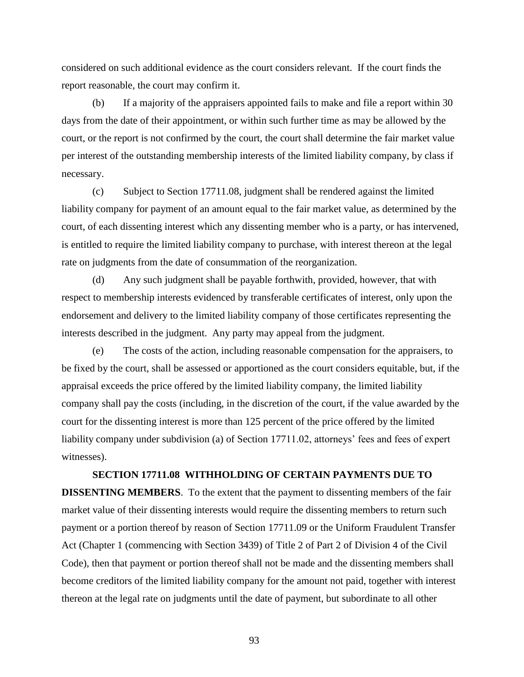considered on such additional evidence as the court considers relevant. If the court finds the report reasonable, the court may confirm it.

(b) If a majority of the appraisers appointed fails to make and file a report within 30 days from the date of their appointment, or within such further time as may be allowed by the court, or the report is not confirmed by the court, the court shall determine the fair market value per interest of the outstanding membership interests of the limited liability company, by class if necessary.

(c) Subject to Section 17711.08, judgment shall be rendered against the limited liability company for payment of an amount equal to the fair market value, as determined by the court, of each dissenting interest which any dissenting member who is a party, or has intervened, is entitled to require the limited liability company to purchase, with interest thereon at the legal rate on judgments from the date of consummation of the reorganization.

(d) Any such judgment shall be payable forthwith, provided, however, that with respect to membership interests evidenced by transferable certificates of interest, only upon the endorsement and delivery to the limited liability company of those certificates representing the interests described in the judgment. Any party may appeal from the judgment.

(e) The costs of the action, including reasonable compensation for the appraisers, to be fixed by the court, shall be assessed or apportioned as the court considers equitable, but, if the appraisal exceeds the price offered by the limited liability company, the limited liability company shall pay the costs (including, in the discretion of the court, if the value awarded by the court for the dissenting interest is more than 125 percent of the price offered by the limited liability company under subdivision (a) of Section 17711.02, attorneys' fees and fees of expert witnesses).

**SECTION 17711.08 WITHHOLDING OF CERTAIN PAYMENTS DUE TO DISSENTING MEMBERS**. To the extent that the payment to dissenting members of the fair market value of their dissenting interests would require the dissenting members to return such payment or a portion thereof by reason of Section 17711.09 or the Uniform Fraudulent Transfer Act (Chapter 1 (commencing with Section 3439) of Title 2 of Part 2 of Division 4 of the Civil Code), then that payment or portion thereof shall not be made and the dissenting members shall become creditors of the limited liability company for the amount not paid, together with interest thereon at the legal rate on judgments until the date of payment, but subordinate to all other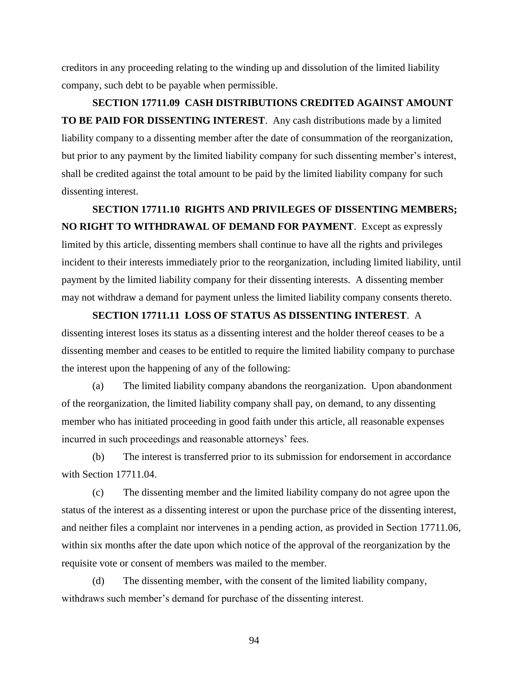creditors in any proceeding relating to the winding up and dissolution of the limited liability company, such debt to be payable when permissible.

**SECTION 17711.09 CASH DISTRIBUTIONS CREDITED AGAINST AMOUNT TO BE PAID FOR DISSENTING INTEREST**. Any cash distributions made by a limited liability company to a dissenting member after the date of consummation of the reorganization, but prior to any payment by the limited liability company for such dissenting member's interest, shall be credited against the total amount to be paid by the limited liability company for such dissenting interest.

# **SECTION 17711.10 RIGHTS AND PRIVILEGES OF DISSENTING MEMBERS; NO RIGHT TO WITHDRAWAL OF DEMAND FOR PAYMENT**. Except as expressly limited by this article, dissenting members shall continue to have all the rights and privileges incident to their interests immediately prior to the reorganization, including limited liability, until payment by the limited liability company for their dissenting interests. A dissenting member may not withdraw a demand for payment unless the limited liability company consents thereto.

**SECTION 17711.11 LOSS OF STATUS AS DISSENTING INTEREST**. A dissenting interest loses its status as a dissenting interest and the holder thereof ceases to be a dissenting member and ceases to be entitled to require the limited liability company to purchase the interest upon the happening of any of the following:

(a) The limited liability company abandons the reorganization. Upon abandonment of the reorganization, the limited liability company shall pay, on demand, to any dissenting member who has initiated proceeding in good faith under this article, all reasonable expenses incurred in such proceedings and reasonable attorneys' fees.

(b) The interest is transferred prior to its submission for endorsement in accordance with Section 17711.04.

(c) The dissenting member and the limited liability company do not agree upon the status of the interest as a dissenting interest or upon the purchase price of the dissenting interest, and neither files a complaint nor intervenes in a pending action, as provided in Section 17711.06, within six months after the date upon which notice of the approval of the reorganization by the requisite vote or consent of members was mailed to the member.

(d) The dissenting member, with the consent of the limited liability company, withdraws such member's demand for purchase of the dissenting interest.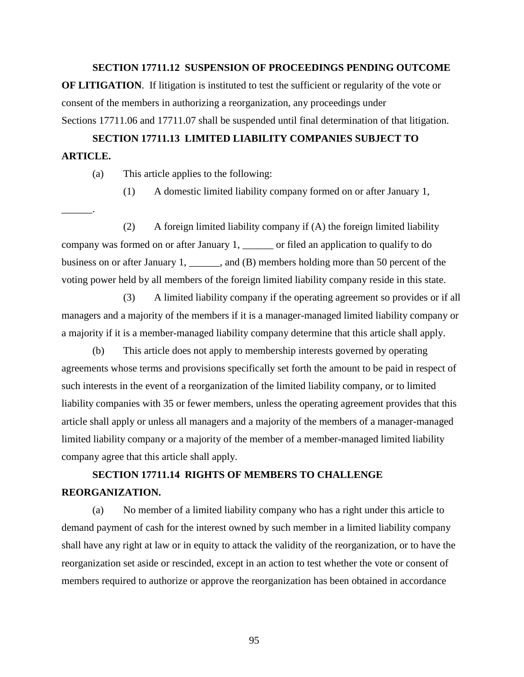#### **SECTION 17711.12 SUSPENSION OF PROCEEDINGS PENDING OUTCOME**

**OF LITIGATION.** If litigation is instituted to test the sufficient or regularity of the vote or consent of the members in authorizing a reorganization, any proceedings under Sections 17711.06 and 17711.07 shall be suspended until final determination of that litigation.

# **SECTION 17711.13 LIMITED LIABILITY COMPANIES SUBJECT TO ARTICLE.**

(a) This article applies to the following:

\_\_\_\_\_\_.

(1) A domestic limited liability company formed on or after January 1,

(2) A foreign limited liability company if (A) the foreign limited liability company was formed on or after January 1, \_\_\_\_\_\_ or filed an application to qualify to do business on or after January 1, \_\_\_\_\_\_, and (B) members holding more than 50 percent of the voting power held by all members of the foreign limited liability company reside in this state.

(3) A limited liability company if the operating agreement so provides or if all managers and a majority of the members if it is a manager-managed limited liability company or a majority if it is a member-managed liability company determine that this article shall apply.

(b) This article does not apply to membership interests governed by operating agreements whose terms and provisions specifically set forth the amount to be paid in respect of such interests in the event of a reorganization of the limited liability company, or to limited liability companies with 35 or fewer members, unless the operating agreement provides that this article shall apply or unless all managers and a majority of the members of a manager-managed limited liability company or a majority of the member of a member-managed limited liability company agree that this article shall apply.

## **SECTION 17711.14 RIGHTS OF MEMBERS TO CHALLENGE REORGANIZATION.**

(a) No member of a limited liability company who has a right under this article to demand payment of cash for the interest owned by such member in a limited liability company shall have any right at law or in equity to attack the validity of the reorganization, or to have the reorganization set aside or rescinded, except in an action to test whether the vote or consent of members required to authorize or approve the reorganization has been obtained in accordance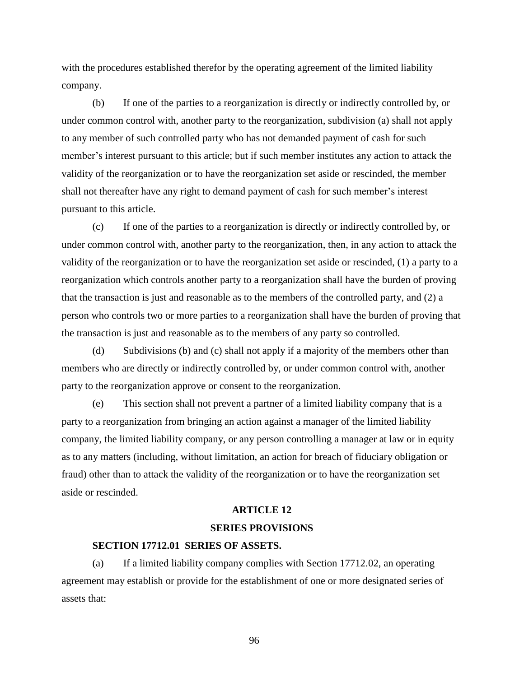with the procedures established therefor by the operating agreement of the limited liability company.

(b) If one of the parties to a reorganization is directly or indirectly controlled by, or under common control with, another party to the reorganization, subdivision (a) shall not apply to any member of such controlled party who has not demanded payment of cash for such member's interest pursuant to this article; but if such member institutes any action to attack the validity of the reorganization or to have the reorganization set aside or rescinded, the member shall not thereafter have any right to demand payment of cash for such member's interest pursuant to this article.

(c) If one of the parties to a reorganization is directly or indirectly controlled by, or under common control with, another party to the reorganization, then, in any action to attack the validity of the reorganization or to have the reorganization set aside or rescinded, (1) a party to a reorganization which controls another party to a reorganization shall have the burden of proving that the transaction is just and reasonable as to the members of the controlled party, and (2) a person who controls two or more parties to a reorganization shall have the burden of proving that the transaction is just and reasonable as to the members of any party so controlled.

(d) Subdivisions (b) and (c) shall not apply if a majority of the members other than members who are directly or indirectly controlled by, or under common control with, another party to the reorganization approve or consent to the reorganization.

(e) This section shall not prevent a partner of a limited liability company that is a party to a reorganization from bringing an action against a manager of the limited liability company, the limited liability company, or any person controlling a manager at law or in equity as to any matters (including, without limitation, an action for breach of fiduciary obligation or fraud) other than to attack the validity of the reorganization or to have the reorganization set aside or rescinded.

#### **ARTICLE 12**

#### **SERIES PROVISIONS**

## **SECTION 17712.01 SERIES OF ASSETS.**

(a) If a limited liability company complies with Section 17712.02, an operating agreement may establish or provide for the establishment of one or more designated series of assets that: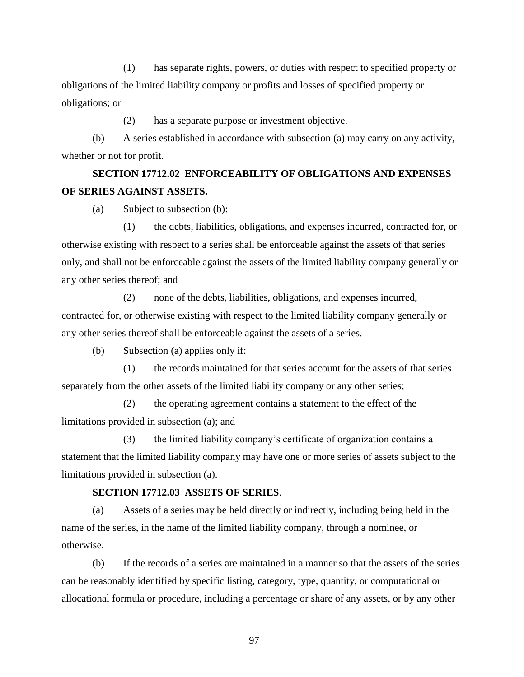(1) has separate rights, powers, or duties with respect to specified property or obligations of the limited liability company or profits and losses of specified property or obligations; or

(2) has a separate purpose or investment objective.

(b) A series established in accordance with subsection (a) may carry on any activity, whether or not for profit.

## **SECTION 17712.02 ENFORCEABILITY OF OBLIGATIONS AND EXPENSES OF SERIES AGAINST ASSETS.**

(a) Subject to subsection (b):

(1) the debts, liabilities, obligations, and expenses incurred, contracted for, or otherwise existing with respect to a series shall be enforceable against the assets of that series only, and shall not be enforceable against the assets of the limited liability company generally or any other series thereof; and

(2) none of the debts, liabilities, obligations, and expenses incurred, contracted for, or otherwise existing with respect to the limited liability company generally or any other series thereof shall be enforceable against the assets of a series.

(b) Subsection (a) applies only if:

(1) the records maintained for that series account for the assets of that series separately from the other assets of the limited liability company or any other series;

(2) the operating agreement contains a statement to the effect of the limitations provided in subsection (a); and

(3) the limited liability company's certificate of organization contains a statement that the limited liability company may have one or more series of assets subject to the limitations provided in subsection (a).

#### **SECTION 17712.03 ASSETS OF SERIES**.

(a) Assets of a series may be held directly or indirectly, including being held in the name of the series, in the name of the limited liability company, through a nominee, or otherwise.

(b) If the records of a series are maintained in a manner so that the assets of the series can be reasonably identified by specific listing, category, type, quantity, or computational or allocational formula or procedure, including a percentage or share of any assets, or by any other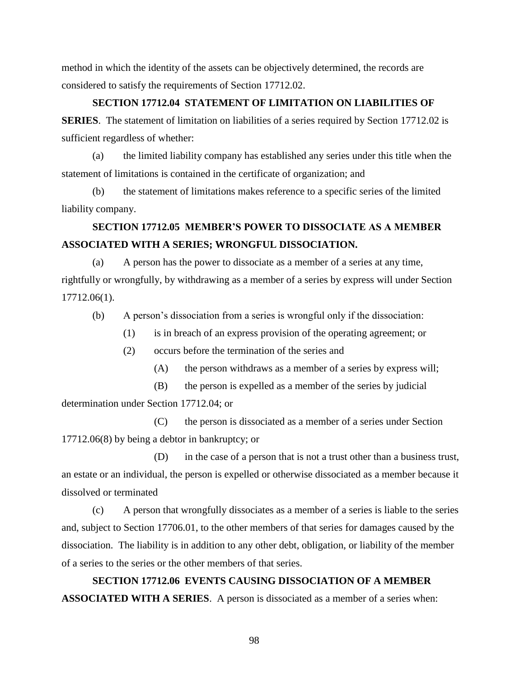method in which the identity of the assets can be objectively determined, the records are considered to satisfy the requirements of Section 17712.02.

### **SECTION 17712.04 STATEMENT OF LIMITATION ON LIABILITIES OF**

**SERIES**. The statement of limitation on liabilities of a series required by Section 17712.02 is sufficient regardless of whether:

(a) the limited liability company has established any series under this title when the statement of limitations is contained in the certificate of organization; and

(b) the statement of limitations makes reference to a specific series of the limited liability company.

## **SECTION 17712.05 MEMBER'S POWER TO DISSOCIATE AS A MEMBER ASSOCIATED WITH A SERIES; WRONGFUL DISSOCIATION.**

(a) A person has the power to dissociate as a member of a series at any time, rightfully or wrongfully, by withdrawing as a member of a series by express will under Section 17712.06(1).

(b) A person's dissociation from a series is wrongful only if the dissociation:

- (1) is in breach of an express provision of the operating agreement; or
- (2) occurs before the termination of the series and
	- (A) the person withdraws as a member of a series by express will;
	- (B) the person is expelled as a member of the series by judicial

determination under Section 17712.04; or

(C) the person is dissociated as a member of a series under Section 17712.06(8) by being a debtor in bankruptcy; or

(D) in the case of a person that is not a trust other than a business trust, an estate or an individual, the person is expelled or otherwise dissociated as a member because it dissolved or terminated

(c) A person that wrongfully dissociates as a member of a series is liable to the series and, subject to Section 17706.01, to the other members of that series for damages caused by the dissociation. The liability is in addition to any other debt, obligation, or liability of the member of a series to the series or the other members of that series.

**SECTION 17712.06 EVENTS CAUSING DISSOCIATION OF A MEMBER ASSOCIATED WITH A SERIES**. A person is dissociated as a member of a series when: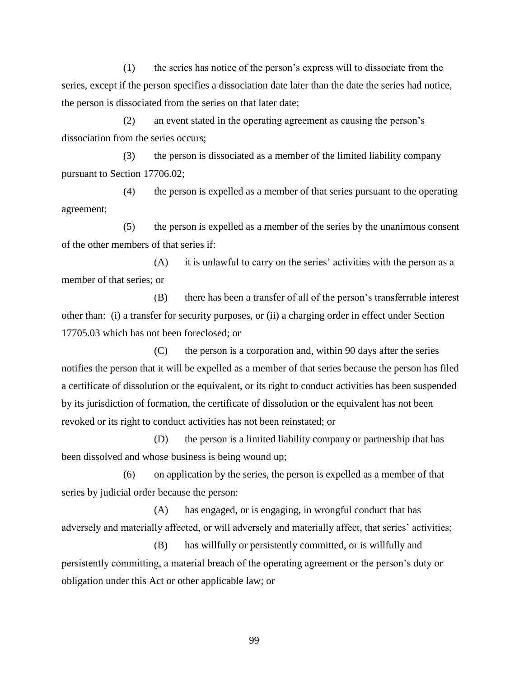(1) the series has notice of the person's express will to dissociate from the series, except if the person specifies a dissociation date later than the date the series had notice, the person is dissociated from the series on that later date;

(2) an event stated in the operating agreement as causing the person's dissociation from the series occurs;

(3) the person is dissociated as a member of the limited liability company pursuant to Section 17706.02;

(4) the person is expelled as a member of that series pursuant to the operating agreement;

(5) the person is expelled as a member of the series by the unanimous consent of the other members of that series if:

(A) it is unlawful to carry on the series' activities with the person as a member of that series; or

(B) there has been a transfer of all of the person's transferrable interest other than: (i) a transfer for security purposes, or (ii) a charging order in effect under Section 17705.03 which has not been foreclosed; or

(C) the person is a corporation and, within 90 days after the series notifies the person that it will be expelled as a member of that series because the person has filed a certificate of dissolution or the equivalent, or its right to conduct activities has been suspended by its jurisdiction of formation, the certificate of dissolution or the equivalent has not been revoked or its right to conduct activities has not been reinstated; or

(D) the person is a limited liability company or partnership that has been dissolved and whose business is being wound up;

(6) on application by the series, the person is expelled as a member of that series by judicial order because the person:

(A) has engaged, or is engaging, in wrongful conduct that has adversely and materially affected, or will adversely and materially affect, that series' activities;

(B) has willfully or persistently committed, or is willfully and persistently committing, a material breach of the operating agreement or the person's duty or obligation under this Act or other applicable law; or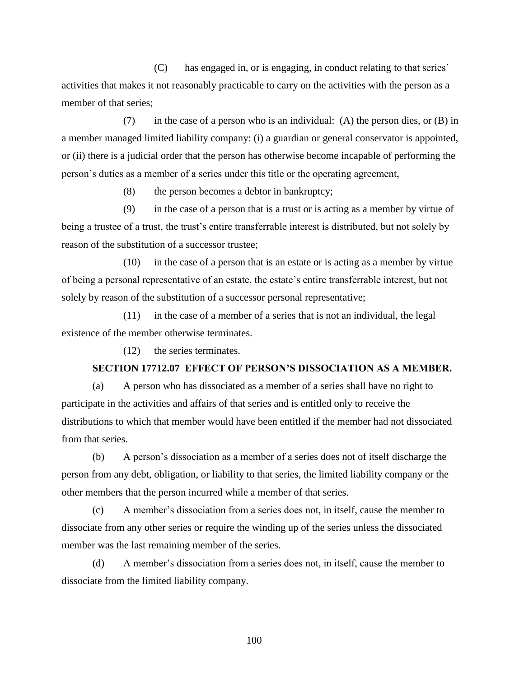(C) has engaged in, or is engaging, in conduct relating to that series' activities that makes it not reasonably practicable to carry on the activities with the person as a member of that series;

(7) in the case of a person who is an individual: (A) the person dies, or (B) in a member managed limited liability company: (i) a guardian or general conservator is appointed, or (ii) there is a judicial order that the person has otherwise become incapable of performing the person's duties as a member of a series under this title or the operating agreement,

(8) the person becomes a debtor in bankruptcy;

(9) in the case of a person that is a trust or is acting as a member by virtue of being a trustee of a trust, the trust's entire transferrable interest is distributed, but not solely by reason of the substitution of a successor trustee;

(10) in the case of a person that is an estate or is acting as a member by virtue of being a personal representative of an estate, the estate's entire transferrable interest, but not solely by reason of the substitution of a successor personal representative;

(11) in the case of a member of a series that is not an individual, the legal existence of the member otherwise terminates.

(12) the series terminates.

### **SECTION 17712.07 EFFECT OF PERSON'S DISSOCIATION AS A MEMBER.**

(a) A person who has dissociated as a member of a series shall have no right to participate in the activities and affairs of that series and is entitled only to receive the distributions to which that member would have been entitled if the member had not dissociated from that series.

(b) A person's dissociation as a member of a series does not of itself discharge the person from any debt, obligation, or liability to that series, the limited liability company or the other members that the person incurred while a member of that series.

(c) A member's dissociation from a series does not, in itself, cause the member to dissociate from any other series or require the winding up of the series unless the dissociated member was the last remaining member of the series.

(d) A member's dissociation from a series does not, in itself, cause the member to dissociate from the limited liability company.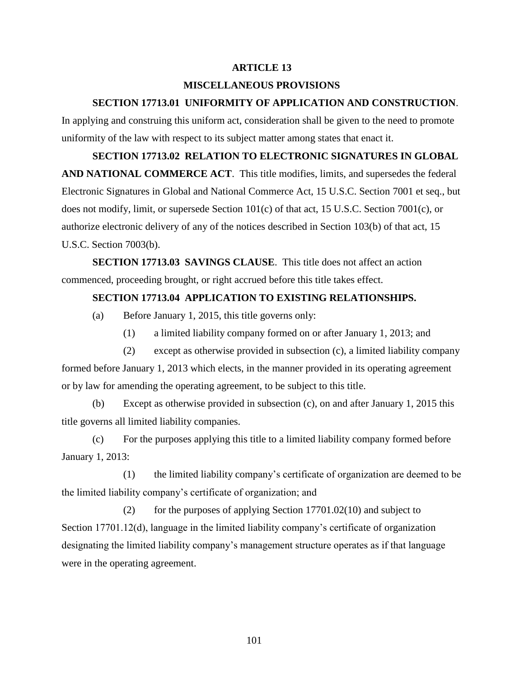### **ARTICLE 13**

### **MISCELLANEOUS PROVISIONS**

## **SECTION 17713.01 UNIFORMITY OF APPLICATION AND CONSTRUCTION**.

In applying and construing this uniform act, consideration shall be given to the need to promote uniformity of the law with respect to its subject matter among states that enact it.

### **SECTION 17713.02 RELATION TO ELECTRONIC SIGNATURES IN GLOBAL**

**AND NATIONAL COMMERCE ACT**. This title modifies, limits, and supersedes the federal Electronic Signatures in Global and National Commerce Act, 15 U.S.C. Section 7001 et seq., but does not modify, limit, or supersede Section 101(c) of that act, 15 U.S.C. Section 7001(c), or authorize electronic delivery of any of the notices described in Section 103(b) of that act, 15 U.S.C. Section 7003(b).

**SECTION 17713.03 SAVINGS CLAUSE**. This title does not affect an action commenced, proceeding brought, or right accrued before this title takes effect.

## **SECTION 17713.04 APPLICATION TO EXISTING RELATIONSHIPS.**

(a) Before January 1, 2015, this title governs only:

(1) a limited liability company formed on or after January 1, 2013; and

(2) except as otherwise provided in subsection (c), a limited liability company formed before January 1, 2013 which elects, in the manner provided in its operating agreement or by law for amending the operating agreement, to be subject to this title.

(b) Except as otherwise provided in subsection (c), on and after January 1, 2015 this title governs all limited liability companies.

(c) For the purposes applying this title to a limited liability company formed before January 1, 2013:

(1) the limited liability company's certificate of organization are deemed to be the limited liability company's certificate of organization; and

(2) for the purposes of applying Section 17701.02(10) and subject to Section 17701.12(d), language in the limited liability company's certificate of organization designating the limited liability company's management structure operates as if that language were in the operating agreement.